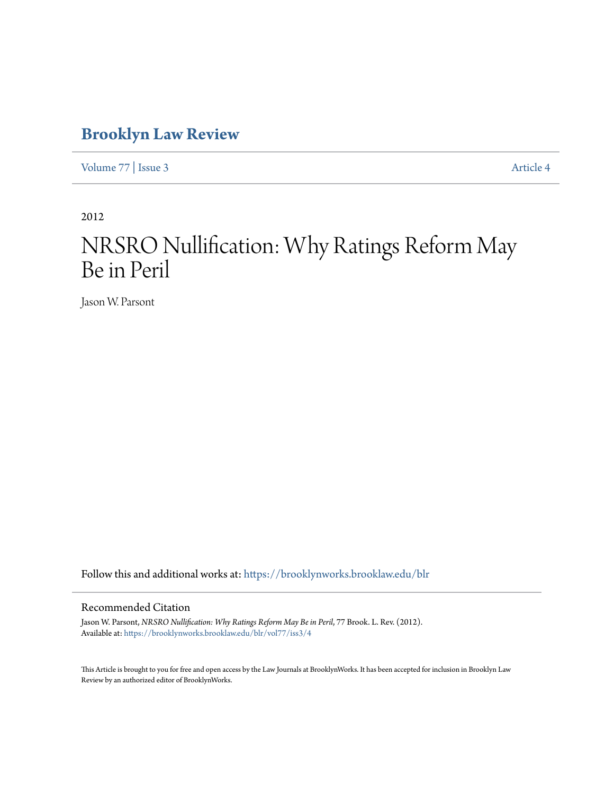# **[Brooklyn Law Review](https://brooklynworks.brooklaw.edu/blr?utm_source=brooklynworks.brooklaw.edu%2Fblr%2Fvol77%2Fiss3%2F4&utm_medium=PDF&utm_campaign=PDFCoverPages)**

[Volume 77](https://brooklynworks.brooklaw.edu/blr/vol77?utm_source=brooklynworks.brooklaw.edu%2Fblr%2Fvol77%2Fiss3%2F4&utm_medium=PDF&utm_campaign=PDFCoverPages) | [Issue 3](https://brooklynworks.brooklaw.edu/blr/vol77/iss3?utm_source=brooklynworks.brooklaw.edu%2Fblr%2Fvol77%2Fiss3%2F4&utm_medium=PDF&utm_campaign=PDFCoverPages) [Article 4](https://brooklynworks.brooklaw.edu/blr/vol77/iss3/4?utm_source=brooklynworks.brooklaw.edu%2Fblr%2Fvol77%2Fiss3%2F4&utm_medium=PDF&utm_campaign=PDFCoverPages)

2012

# NRSRO Nullification: Why Ratings Reform May Be in Peril

Jason W. Parsont

Follow this and additional works at: [https://brooklynworks.brooklaw.edu/blr](https://brooklynworks.brooklaw.edu/blr?utm_source=brooklynworks.brooklaw.edu%2Fblr%2Fvol77%2Fiss3%2F4&utm_medium=PDF&utm_campaign=PDFCoverPages)

### Recommended Citation

Jason W. Parsont, *NRSRO Nullification: Why Ratings Reform May Be in Peril*, 77 Brook. L. Rev. (2012). Available at: [https://brooklynworks.brooklaw.edu/blr/vol77/iss3/4](https://brooklynworks.brooklaw.edu/blr/vol77/iss3/4?utm_source=brooklynworks.brooklaw.edu%2Fblr%2Fvol77%2Fiss3%2F4&utm_medium=PDF&utm_campaign=PDFCoverPages)

This Article is brought to you for free and open access by the Law Journals at BrooklynWorks. It has been accepted for inclusion in Brooklyn Law Review by an authorized editor of BrooklynWorks.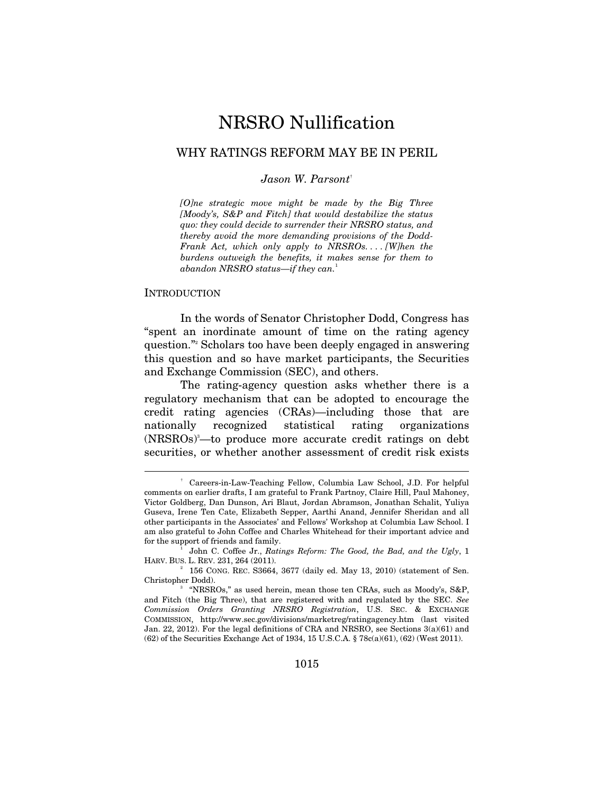## NRSRO Nullification

## WHY RATINGS REFORM MAY BE IN PERIL

#### *Jason W. Parsont*†

*[O]ne strategic move might be made by the Big Three [Moody's, S&P and Fitch] that would destabilize the status quo: they could decide to surrender their NRSRO status, and thereby avoid the more demanding provisions of the Dodd-Frank Act, which only apply to NRSROs. . . . [W]hen the burdens outweigh the benefits, it makes sense for them to abandon NRSRO status—if they can.*<sup>1</sup>

#### **INTRODUCTION**

 $\overline{a}$ 

In the words of Senator Christopher Dodd, Congress has "spent an inordinate amount of time on the rating agency question."2 Scholars too have been deeply engaged in answering this question and so have market participants, the Securities and Exchange Commission (SEC), and others.

The rating-agency question asks whether there is a regulatory mechanism that can be adopted to encourage the credit rating agencies (CRAs)—including those that are nationally recognized statistical rating organizations (NRSROs)3 —to produce more accurate credit ratings on debt securities, or whether another assessment of credit risk exists

<sup>†</sup> Careers-in-Law-Teaching Fellow, Columbia Law School, J.D. For helpful comments on earlier drafts, I am grateful to Frank Partnoy, Claire Hill, Paul Mahoney, Victor Goldberg, Dan Dunson, Ari Blaut, Jordan Abramson, Jonathan Schalit, Yuliya Guseva, Irene Ten Cate, Elizabeth Sepper, Aarthi Anand, Jennifer Sheridan and all other participants in the Associates' and Fellows' Workshop at Columbia Law School. I am also grateful to John Coffee and Charles Whitehead for their important advice and for the support of friends and family.

John C. Coffee Jr., *Ratings Reform: The Good, the Bad, and the Ugly*, 1 HARV. BUS. L. REV. 231, 264 (2011). 2

 $156$  CONG. REC. S3664, 3677 (daily ed. May 13, 2010) (statement of Sen. Christopher Dodd).

 <sup>&</sup>quot;NRSROs," as used herein, mean those ten CRAs, such as Moody's, S&P, and Fitch (the Big Three), that are registered with and regulated by the SEC. *See Commission Orders Granting NRSRO Registration*, U.S. SEC. & EXCHANGE COMMISSION, http://www.sec.gov/divisions/marketreg/ratingagency.htm (last visited Jan. 22, 2012). For the legal definitions of CRA and NRSRO, see Sections 3(a)(61) and (62) of the Securities Exchange Act of 1934, 15 U.S.C.A. § 78c(a)(61), (62) (West 2011).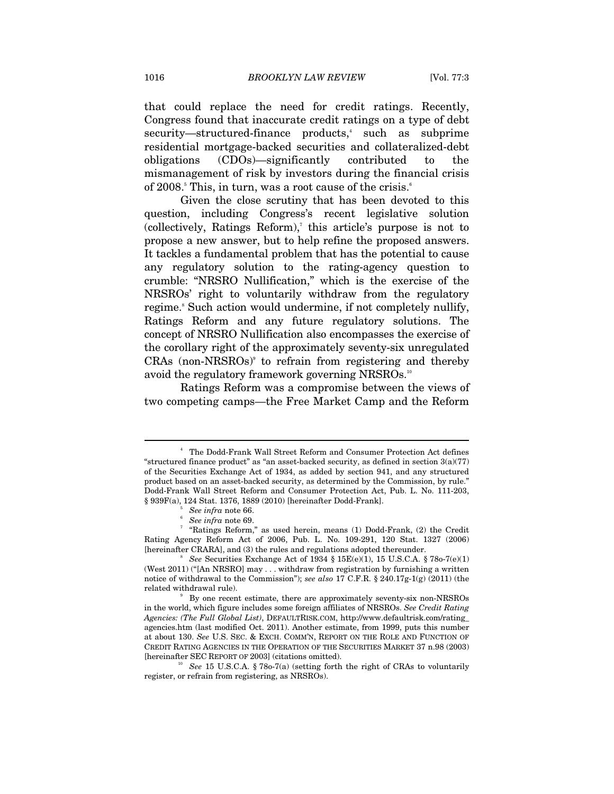that could replace the need for credit ratings. Recently, Congress found that inaccurate credit ratings on a type of debt security—structured-finance products,<sup>4</sup> such as subprime residential mortgage-backed securities and collateralized-debt obligations (CDOs)—significantly contributed to the mismanagement of risk by investors during the financial crisis of 2008.<sup>5</sup> This, in turn, was a root cause of the crisis.<sup>6</sup>

Given the close scrutiny that has been devoted to this question, including Congress's recent legislative solution  $(collectively, Ratings Reform),$ <sup>this article's purpose is not to  $($ </sup> propose a new answer, but to help refine the proposed answers. It tackles a fundamental problem that has the potential to cause any regulatory solution to the rating-agency question to crumble: "NRSRO Nullification," which is the exercise of the NRSROs' right to voluntarily withdraw from the regulatory regime.<sup>8</sup> Such action would undermine, if not completely nullify, Ratings Reform and any future regulatory solutions. The concept of NRSRO Nullification also encompasses the exercise of the corollary right of the approximately seventy-six unregulated  $CRAs$  (non- $NRSROS)$ <sup>9</sup> to refrain from registering and thereby avoid the regulatory framework governing NRSROs.<sup>10</sup>

Ratings Reform was a compromise between the views of two competing camps—the Free Market Camp and the Reform

<sup>4</sup> The Dodd-Frank Wall Street Reform and Consumer Protection Act defines "structured finance product" as "an asset-backed security, as defined in section 3(a)(77) of the Securities Exchange Act of 1934, as added by section 941, and any structured product based on an asset-backed security, as determined by the Commission, by rule." Dodd-Frank Wall Street Reform and Consumer Protection Act, Pub. L. No. 111-203, § 939F(a), 124 Stat. 1376, 1889 (2010) [hereinafter Dodd-Frank]. 5

See infra note 66.

*See infra* note 69. 7

 <sup>&</sup>quot;Ratings Reform," as used herein, means (1) Dodd-Frank, (2) the Credit Rating Agency Reform Act of 2006, Pub. L. No. 109-291, 120 Stat. 1327 (2006) [hereinafter CRARA], and (3) the rules and regulations adopted thereunder.

<sup>&</sup>lt;sup>8</sup> See Securities Exchange Act of 1934  $\S 15E(e)(1)$ , 15 U.S.C.A.  $\S 780-7(e)(1)$ (West 2011) ("[An NRSRO] may . . . withdraw from registration by furnishing a written notice of withdrawal to the Commission"); *see also* 17 C.F.R. § 240.17g-1(g) (2011) (the related withdrawal rule).

<sup>&</sup>lt;sup>9</sup> By one recent estimate, there are approximately seventy-six non-NRSROs in the world, which figure includes some foreign affiliates of NRSROs. *See Credit Rating Agencies: (The Full Global List)*, DEFAULTRISK.COM, http://www.defaultrisk.com/rating\_ agencies.htm (last modified Oct. 2011). Another estimate, from 1999, puts this number at about 130. *See* U.S. SEC. & EXCH. COMM'N, REPORT ON THE ROLE AND FUNCTION OF CREDIT RATING AGENCIES IN THE OPERATION OF THE SECURITIES MARKET 37 n.98 (2003) [hereinafter SEC REPORT OF 2003] (citations omitted).

<sup>&</sup>lt;sup>10</sup> See 15 U.S.C.A. § 78o-7(a) (setting forth the right of CRAs to voluntarily register, or refrain from registering, as NRSROs).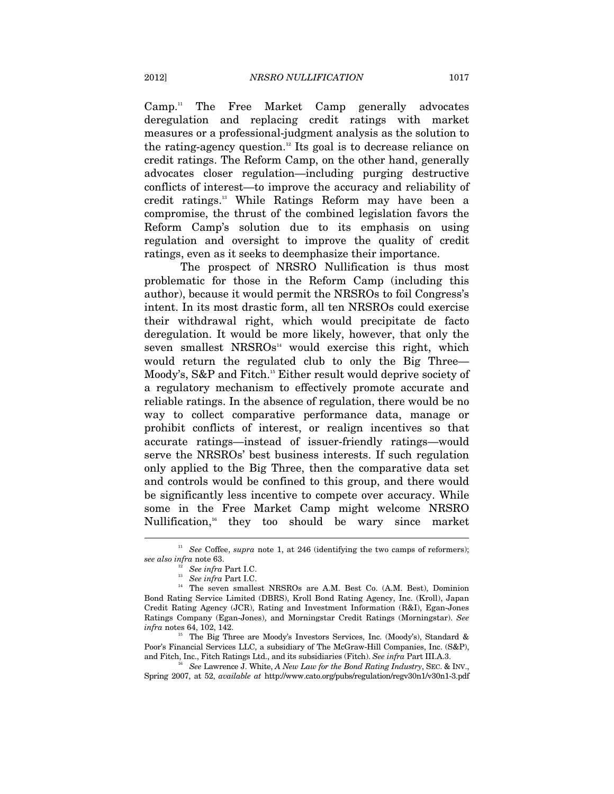$Camp.<sup>11</sup>$  The Free Market Camp generally advocates deregulation and replacing credit ratings with market measures or a professional-judgment analysis as the solution to the rating-agency question.12 Its goal is to decrease reliance on credit ratings. The Reform Camp, on the other hand, generally advocates closer regulation—including purging destructive conflicts of interest—to improve the accuracy and reliability of credit ratings.13 While Ratings Reform may have been a compromise, the thrust of the combined legislation favors the Reform Camp's solution due to its emphasis on using regulation and oversight to improve the quality of credit ratings, even as it seeks to deemphasize their importance.

The prospect of NRSRO Nullification is thus most problematic for those in the Reform Camp (including this author), because it would permit the NRSROs to foil Congress's intent. In its most drastic form, all ten NRSROs could exercise their withdrawal right, which would precipitate de facto deregulation. It would be more likely, however, that only the seven smallest  $NRSROS<sup>44</sup>$  would exercise this right, which would return the regulated club to only the Big Three— Moody's, S&P and Fitch.<sup>15</sup> Either result would deprive society of a regulatory mechanism to effectively promote accurate and reliable ratings. In the absence of regulation, there would be no way to collect comparative performance data, manage or prohibit conflicts of interest, or realign incentives so that accurate ratings—instead of issuer-friendly ratings—would serve the NRSROs' best business interests. If such regulation only applied to the Big Three, then the comparative data set and controls would be confined to this group, and there would be significantly less incentive to compete over accuracy. While some in the Free Market Camp might welcome NRSRO Nullification, $16$  they too should be wary since market

<sup>&</sup>lt;sup>11</sup> See Coffee, *supra* note 1, at 246 (identifying the two camps of reformers);

*see also infra* note 63. 12 *See infra* Part I.C. 13 *See infra* Part I.C. 14 The seven smallest NRSROs are A.M. Best Co. (A.M. Best), Dominion Bond Rating Service Limited (DBRS), Kroll Bond Rating Agency, Inc. (Kroll), Japan Credit Rating Agency (JCR), Rating and Investment Information (R&I), Egan-Jones Ratings Company (Egan-Jones), and Morningstar Credit Ratings (Morningstar). *See infra* notes 64, 102, 142.<br><sup>15</sup> The Big Three are Moody's Investors Services, Inc. (Moody's), Standard &

Poor's Financial Services LLC, a subsidiary of The McGraw-Hill Companies, Inc. (S&P), and Fitch, Inc., Fitch Ratings Ltd., and its subsidiaries (Fitch). See infra Part III.A.3.

See Lawrence J. White, A New Law for the Bond Rating Industry, SEC. & INV., Spring 2007, at 52, *available at* http://www.cato.org/pubs/regulation/regv30n1/v30n1-3.pdf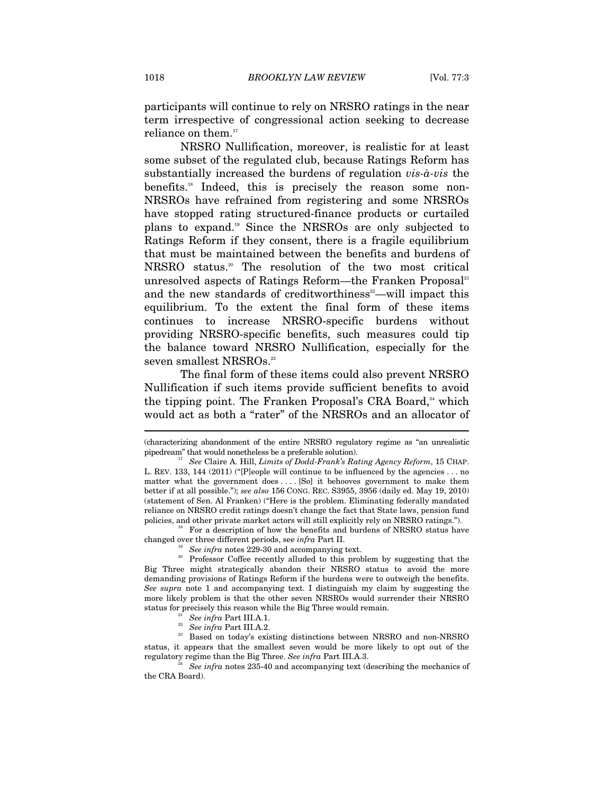participants will continue to rely on NRSRO ratings in the near term irrespective of congressional action seeking to decrease reliance on them.<sup>17</sup>

NRSRO Nullification, moreover, is realistic for at least some subset of the regulated club, because Ratings Reform has substantially increased the burdens of regulation *vis-à-vis* the benefits.<sup>18</sup> Indeed, this is precisely the reason some non-NRSROs have refrained from registering and some NRSROs have stopped rating structured-finance products or curtailed plans to expand.19 Since the NRSROs are only subjected to Ratings Reform if they consent, there is a fragile equilibrium that must be maintained between the benefits and burdens of NRSRO status.20 The resolution of the two most critical unresolved aspects of Ratings Reform—the Franken Proposal<sup>21</sup> and the new standards of creditworthiness<sup>22</sup>—will impact this equilibrium. To the extent the final form of these items continues to increase NRSRO-specific burdens without providing NRSRO-specific benefits, such measures could tip the balance toward NRSRO Nullification, especially for the seven smallest NRSROs.<sup>23</sup>

The final form of these items could also prevent NRSRO Nullification if such items provide sufficient benefits to avoid the tipping point. The Franken Proposal's CRA Board, $4$ <sup>4</sup> which would act as both a "rater" of the NRSROs and an allocator of

<sup>(</sup>characterizing abandonment of the entire NRSRO regulatory regime as "an unrealistic pipedream" that would nonetheless be a preferable solution). 17 *See* Claire A. Hill, *Limits of Dodd-Frank's Rating Agency Reform*, 15 CHAP.

L. REV. 133, 144  $(2011)$  ("[P]eople will continue to be influenced by the agencies . . . no matter what the government does . . . . [So] it behooves government to make them better if at all possible."); *see also* 156 CONG. REC. S3955, 3956 (daily ed. May 19, 2010) (statement of Sen. Al Franken) ("Here is the problem. Eliminating federally mandated reliance on NRSRO credit ratings doesn't change the fact that State laws, pension fund policies, and other private market actors will still explicitly rely on NRSRO ratings.").<br><sup>18</sup> For a description of how the benefits and burdens of NRSRO status have

changed over three different periods, see *infra* Part II.  $\frac{19}{20}$  See *infra* notes 229-30 and accompanying text. Professor Coffee recently alluded to this problem by suggesting that the Big Three might strategically abandon their NRSRO status to avoid the more demanding provisions of Ratings Reform if the burdens were to outweigh the benefits. *See supra* note 1 and accompanying text. I distinguish my claim by suggesting the more likely problem is that the other seven NRSROs would surrender their NRSRO

status for precisely this reason while the Big Three would remain.<br><sup>21</sup> See infra Part III.A.1.<br><sup>22</sup> See infra Part III.A.2.<br><sup>23</sup> Based on today's existing distinctions between NRSRO and non-NRSRO status, it appears that the smallest seven would be more likely to opt out of the regulatory regime than the Big Three. *See infra* Part III.A.3. 24 *See infra* notes 235-40 and accompanying text (describing the mechanics of

the CRA Board).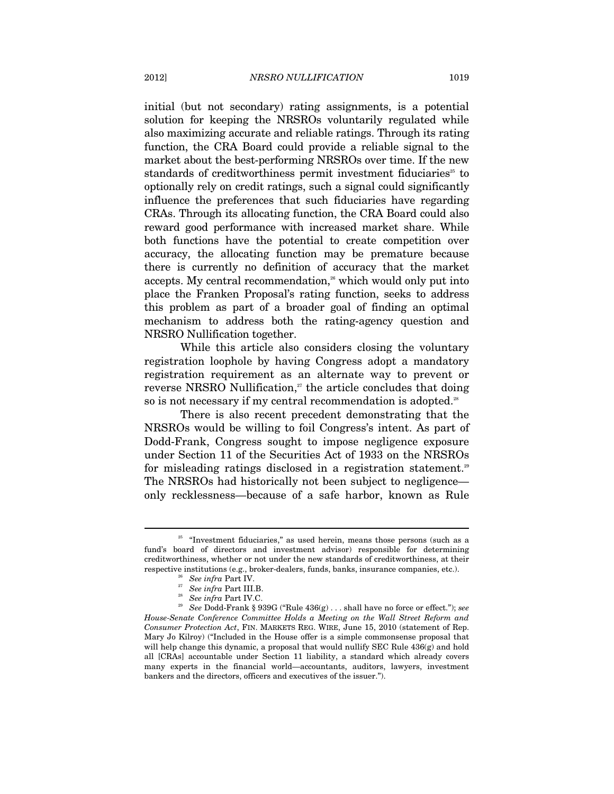initial (but not secondary) rating assignments, is a potential solution for keeping the NRSROs voluntarily regulated while also maximizing accurate and reliable ratings. Through its rating function, the CRA Board could provide a reliable signal to the market about the best-performing NRSROs over time. If the new standards of creditworthiness permit investment fiduciaries<sup>25</sup> to optionally rely on credit ratings, such a signal could significantly influence the preferences that such fiduciaries have regarding CRAs. Through its allocating function, the CRA Board could also reward good performance with increased market share. While both functions have the potential to create competition over accuracy, the allocating function may be premature because there is currently no definition of accuracy that the market accepts. My central recommendation,<sup>26</sup> which would only put into place the Franken Proposal's rating function, seeks to address this problem as part of a broader goal of finding an optimal mechanism to address both the rating-agency question and NRSRO Nullification together.

While this article also considers closing the voluntary registration loophole by having Congress adopt a mandatory registration requirement as an alternate way to prevent or reverse NRSRO Nullification, $27$  the article concludes that doing so is not necessary if my central recommendation is adopted.<sup>28</sup>

There is also recent precedent demonstrating that the NRSROs would be willing to foil Congress's intent. As part of Dodd-Frank, Congress sought to impose negligence exposure under Section 11 of the Securities Act of 1933 on the NRSROs for misleading ratings disclosed in a registration statement.<sup>29</sup> The NRSROs had historically not been subject to negligence only recklessness—because of a safe harbor, known as Rule

 $25$  "Investment fiduciaries," as used herein, means those persons (such as a fund's board of directors and investment advisor) responsible for determining creditworthiness, whether or not under the new standards of creditworthiness, at their  $\begin{array}{lll} \mbox{respective institutions (e.g., broker-dealers, funds, banks, insurance companies, etc.).}\\ \mbox{28} & \mbox{See infra Part IV.}\\ \mbox{27} & \mbox{See infra Part III.B.}\\ \mbox{28} & \mbox{See infra Part IV.C.}\\ \mbox{29} & \mbox{See infra Part IV.C.}\\ \mbox{29} & \mbox{See Dodd-Frank § 939G ("Rule 436(g) \dots shall have no force or effect."); see} \end{array}$ 

*House-Senate Conference Committee Holds a Meeting on the Wall Street Reform and Consumer Protection Act*, FIN. MARKETS REG. WIRE, June 15, 2010 (statement of Rep. Mary Jo Kilroy) ("Included in the House offer is a simple commonsense proposal that will help change this dynamic, a proposal that would nullify SEC Rule  $436(g)$  and hold all [CRAs] accountable under Section 11 liability, a standard which already covers many experts in the financial world—accountants, auditors, lawyers, investment bankers and the directors, officers and executives of the issuer.").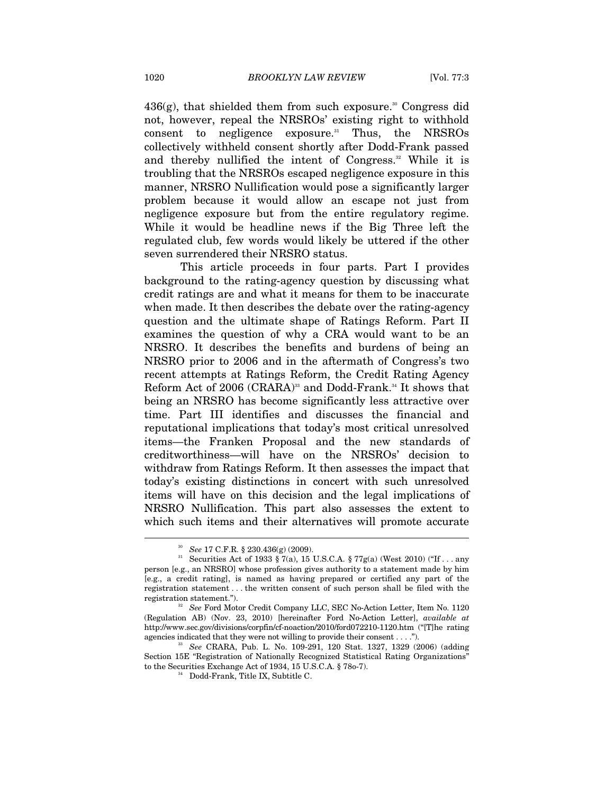$436(g)$ , that shielded them from such exposure.<sup>30</sup> Congress did not, however, repeal the NRSROs' existing right to withhold consent to negligence exposure.<sup>31</sup> Thus, the NRSROs collectively withheld consent shortly after Dodd-Frank passed and thereby nullified the intent of Congress.<sup>32</sup> While it is troubling that the NRSROs escaped negligence exposure in this manner, NRSRO Nullification would pose a significantly larger problem because it would allow an escape not just from negligence exposure but from the entire regulatory regime. While it would be headline news if the Big Three left the regulated club, few words would likely be uttered if the other seven surrendered their NRSRO status.

This article proceeds in four parts. Part I provides background to the rating-agency question by discussing what credit ratings are and what it means for them to be inaccurate when made. It then describes the debate over the rating-agency question and the ultimate shape of Ratings Reform. Part II examines the question of why a CRA would want to be an NRSRO. It describes the benefits and burdens of being an NRSRO prior to 2006 and in the aftermath of Congress's two recent attempts at Ratings Reform, the Credit Rating Agency Reform Act of 2006 (CRARA)<sup>33</sup> and Dodd-Frank.<sup>34</sup> It shows that being an NRSRO has become significantly less attractive over time. Part III identifies and discusses the financial and reputational implications that today's most critical unresolved items—the Franken Proposal and the new standards of creditworthiness—will have on the NRSROs' decision to withdraw from Ratings Reform. It then assesses the impact that today's existing distinctions in concert with such unresolved items will have on this decision and the legal implications of NRSRO Nullification. This part also assesses the extent to which such items and their alternatives will promote accurate

<sup>30</sup> *See* 17 C.F.R. § 230.436(g) (2009). 31 Securities Act of 1933 § 7(a), 15 U.S.C.A. § 77g(a) (West 2010) ("If . . . any person [e.g., an NRSRO] whose profession gives authority to a statement made by him [e.g., a credit rating], is named as having prepared or certified any part of the registration statement . . . the written consent of such person shall be filed with the

<sup>&</sup>lt;sup>32</sup> See Ford Motor Credit Company LLC, SEC No-Action Letter, Item No. 1120 (Regulation AB) (Nov. 23, 2010) [hereinafter Ford No-Action Letter], *available at* http://www.sec.gov/divisions/corpfin/cf-noaction/2010/ford072210-1120.htm ("[T]he rating agencies indicated that they were not willing to provide their consent . . . .").<br><sup>33</sup> See CRARA, Pub. L. No. 109-291, 120 Stat. 1327, 1329 (2006) (adding

Section 15E "Registration of Nationally Recognized Statistical Rating Organizations" to the Securities Exchange Act of 1934, 15 U.S.C.A. § 78o-7). 34 Dodd-Frank, Title IX, Subtitle C.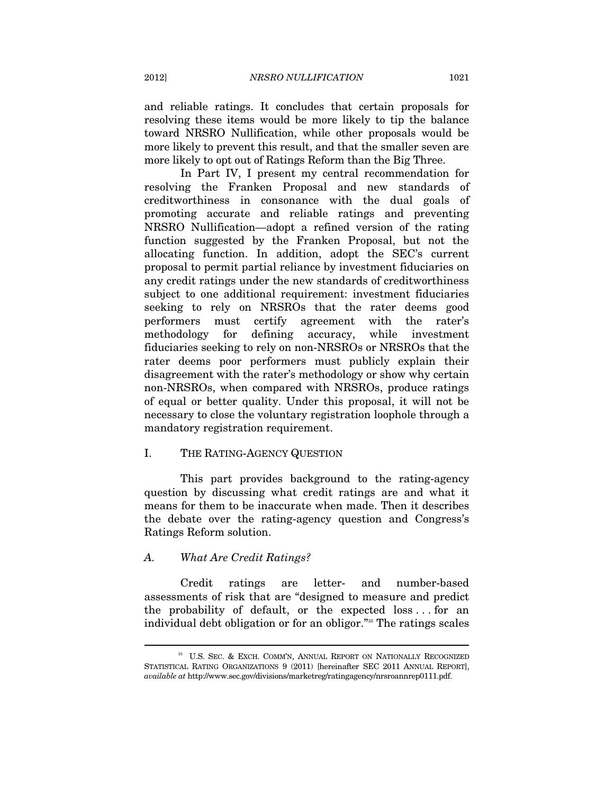and reliable ratings. It concludes that certain proposals for resolving these items would be more likely to tip the balance toward NRSRO Nullification, while other proposals would be more likely to prevent this result, and that the smaller seven are more likely to opt out of Ratings Reform than the Big Three.

In Part IV, I present my central recommendation for resolving the Franken Proposal and new standards of creditworthiness in consonance with the dual goals of promoting accurate and reliable ratings and preventing NRSRO Nullification—adopt a refined version of the rating function suggested by the Franken Proposal, but not the allocating function. In addition, adopt the SEC's current proposal to permit partial reliance by investment fiduciaries on any credit ratings under the new standards of creditworthiness subject to one additional requirement: investment fiduciaries seeking to rely on NRSROs that the rater deems good performers must certify agreement with the rater's methodology for defining accuracy, while investment fiduciaries seeking to rely on non-NRSROs or NRSROs that the rater deems poor performers must publicly explain their disagreement with the rater's methodology or show why certain non-NRSROs, when compared with NRSROs, produce ratings of equal or better quality. Under this proposal, it will not be necessary to close the voluntary registration loophole through a mandatory registration requirement.

#### I. THE RATING-AGENCY QUESTION

This part provides background to the rating-agency question by discussing what credit ratings are and what it means for them to be inaccurate when made. Then it describes the debate over the rating-agency question and Congress's Ratings Reform solution.

#### *A. What Are Credit Ratings?*

 $\overline{a}$ 

Credit ratings are letter- and number-based assessments of risk that are "designed to measure and predict the probability of default, or the expected loss . . . for an individual debt obligation or for an obligor."35 The ratings scales

 $^\mathrm{35}$  U.S. SEC. & EXCH. COMM'N, ANNUAL REPORT ON NATIONALLY RECOGNIZED STATISTICAL RATING ORGANIZATIONS 9 (2011) [hereinafter SEC 2011 ANNUAL REPORT], *available at* http://www.sec.gov/divisions/marketreg/ratingagency/nrsroannrep0111.pdf.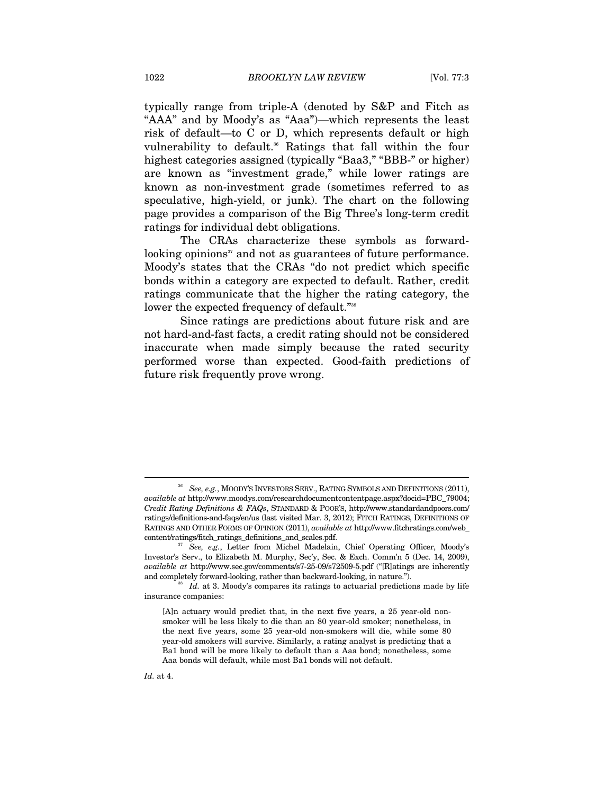typically range from triple-A (denoted by S&P and Fitch as "AAA" and by Moody's as "Aaa")—which represents the least risk of default—to C or D, which represents default or high vulnerability to default.<sup>36</sup> Ratings that fall within the four highest categories assigned (typically "Baa3," "BBB-" or higher) are known as "investment grade," while lower ratings are known as non-investment grade (sometimes referred to as speculative, high-yield, or junk). The chart on the following page provides a comparison of the Big Three's long-term credit ratings for individual debt obligations.

The CRAs characterize these symbols as forwardlooking opinions $\mathbf{S}^3$  and not as guarantees of future performance. Moody's states that the CRAs "do not predict which specific bonds within a category are expected to default. Rather, credit ratings communicate that the higher the rating category, the lower the expected frequency of default."<sup>38</sup>

Since ratings are predictions about future risk and are not hard-and-fast facts, a credit rating should not be considered inaccurate when made simply because the rated security performed worse than expected. Good-faith predictions of future risk frequently prove wrong.

<sup>36</sup> *See, e.g.*, MOODY'S INVESTORS SERV., RATING SYMBOLS AND DEFINITIONS (2011), *available at* http://www.moodys.com/researchdocumentcontentpage.aspx?docid=PBC\_79004; *Credit Rating Definitions & FAQs*, STANDARD & POOR'S, http://www.standardandpoors.com/ ratings/definitions-and-faqs/en/us (last visited Mar. 3, 2012); FITCH RATINGS, DEFINITIONS OF RATINGS AND OTHER FORMS OF OPINION (2011), *available at* http://www.fitchratings.com/web\_ content/ratings/fitch\_ratings\_definitions\_and\_scales.pdf. 37 *See, e.g.*, Letter from Michel Madelain, Chief Operating Officer, Moody's

Investor's Serv., to Elizabeth M. Murphy, Sec'y, Sec. & Exch. Comm'n 5 (Dec. 14, 2009), *available at* http://www.sec.gov/comments/s7-25-09/s72509-5.pdf ("[R]atings are inherently and completely forward-looking, rather than backward-looking, in nature.").<br><sup>38</sup> *Id.* at 3. Moody's compares its ratings to actuarial predictions made by life

insurance companies:

<sup>[</sup>A]n actuary would predict that, in the next five years, a 25 year-old nonsmoker will be less likely to die than an 80 year-old smoker; nonetheless, in the next five years, some 25 year-old non-smokers will die, while some 80 year-old smokers will survive. Similarly, a rating analyst is predicting that a Ba1 bond will be more likely to default than a Aaa bond; nonetheless, some Aaa bonds will default, while most Ba1 bonds will not default.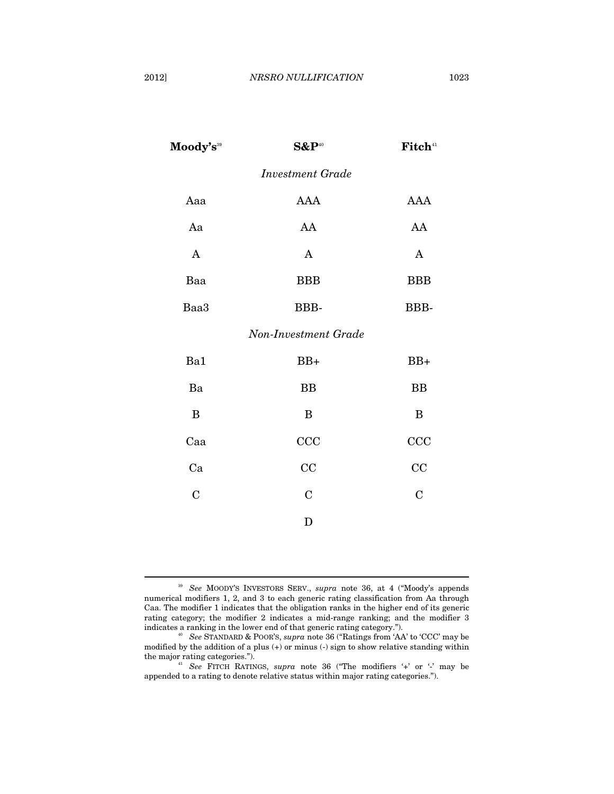| Moody's <sup>39</sup> | $S\&P^{40}$             | Fitch <sup>41</sup> |
|-----------------------|-------------------------|---------------------|
|                       | <b>Investment Grade</b> |                     |
| Aaa                   | <b>AAA</b>              | <b>AAA</b>          |
| Aa                    | AA                      | AA                  |
| $\mathbf{A}$          | $\mathbf{A}$            | $\mathbf A$         |
| Baa                   | <b>BBB</b>              | <b>BBB</b>          |
| Baa3                  | BBB-                    | BBB-                |
|                       | Non-Investment Grade    |                     |
| Ba1                   | $BB+$                   | $BB+$               |
| Ba                    | <b>BB</b>               | <b>BB</b>           |
| B                     | B                       | $\bf{B}$            |
| Caa                   | CCC                     | CCC                 |
| Ca                    | CC                      | CC                  |
| $\overline{C}$        | $\overline{C}$          | $\overline{C}$      |
|                       | D                       |                     |
|                       |                         |                     |

<sup>39</sup> *See* MOODY'S INVESTORS SERV., *supra* note 36, at 4 ("Moody's appends numerical modifiers 1, 2, and 3 to each generic rating classification from Aa through Caa. The modifier 1 indicates that the obligation ranks in the higher end of its generic rating category; the modifier 2 indicates a mid-range ranking; and the modifier 3 indicates a ranking in the lower end of that generic rating category.").

<sup>40</sup> See STANDARD & POOR'S, *supra* note 36 ("Ratings from 'AA' to 'CCC' may be modified by the addition of a plus  $(+)$  or minus  $(.)$  sign to show relative standing within the major rating categories.").

<sup>41</sup> See FITCH RATINGS, *supra* note 36 ("The modifiers '+' or '-' may be appended to a rating to denote relative status within major rating categories.").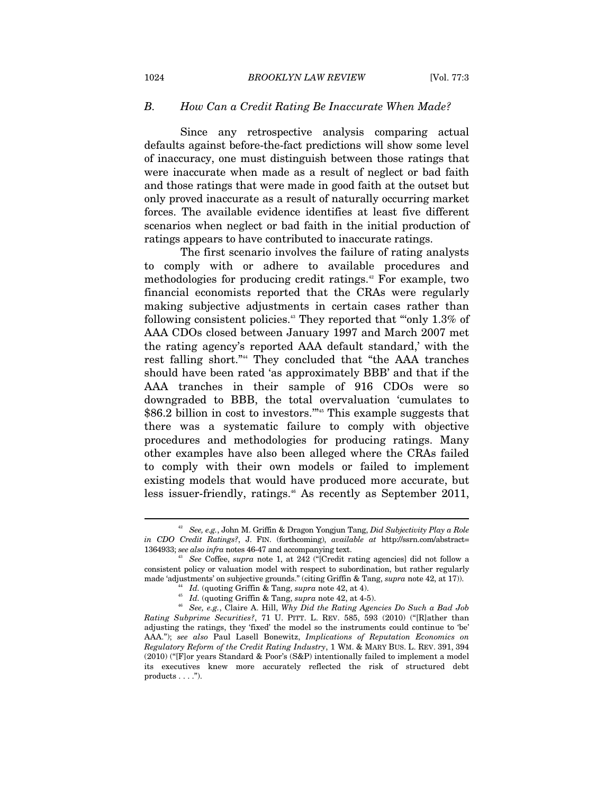#### *B. How Can a Credit Rating Be Inaccurate When Made?*

Since any retrospective analysis comparing actual defaults against before-the-fact predictions will show some level of inaccuracy, one must distinguish between those ratings that were inaccurate when made as a result of neglect or bad faith and those ratings that were made in good faith at the outset but only proved inaccurate as a result of naturally occurring market forces. The available evidence identifies at least five different scenarios when neglect or bad faith in the initial production of ratings appears to have contributed to inaccurate ratings.

The first scenario involves the failure of rating analysts to comply with or adhere to available procedures and methodologies for producing credit ratings.<sup>42</sup> For example, two financial economists reported that the CRAs were regularly making subjective adjustments in certain cases rather than following consistent policies.43 They reported that "'only 1.3% of AAA CDOs closed between January 1997 and March 2007 met the rating agency's reported AAA default standard,' with the rest falling short."44 They concluded that "the AAA tranches should have been rated 'as approximately BBB' and that if the AAA tranches in their sample of 916 CDOs were so downgraded to BBB, the total overvaluation 'cumulates to \$86.2 billion in cost to investors."<sup>45</sup> This example suggests that there was a systematic failure to comply with objective procedures and methodologies for producing ratings. Many other examples have also been alleged where the CRAs failed to comply with their own models or failed to implement existing models that would have produced more accurate, but less issuer-friendly, ratings.<sup>46</sup> As recently as September 2011,

<sup>42</sup> *See, e.g.*, John M. Griffin & Dragon Yongjun Tang, *Did Subjectivity Play a Role in CDO Credit Ratings?*, J. FIN. (forthcoming), *available at* http://ssrn.com/abstract=

<sup>&</sup>lt;sup>43</sup> See Coffee, *supra* note 1, at 242 ("[Credit rating agencies] did not follow a consistent policy or valuation model with respect to subordination, but rather regularly made 'adjustments' on subjective grounds." (citing Griffin & Tang, supra note 42, at 17)).

<sup>&</sup>lt;sup>44</sup> *Id.* (quoting Griffin & Tang, *supra* note 42, at 4).<br><sup>45</sup> *Id.* (quoting Griffin & Tang, *supra* note 42, at 4-5).<br><sup>46</sup> *See, e.g.*, Claire A. Hill, *Why Did the Rating Agencies Do Such a Bad Job Rating Subprime Securities?*, 71 U. PITT. L. REV. 585, 593 (2010) ("[R]ather than adjusting the ratings, they 'fixed' the model so the instruments could continue to 'be' AAA."); *see also* Paul Lasell Bonewitz, *Implications of Reputation Economics on Regulatory Reform of the Credit Rating Industry*, 1 WM. & MARY BUS. L. REV. 391, 394 (2010) ("[F]or years Standard & Poor's (S&P) intentionally failed to implement a model its executives knew more accurately reflected the risk of structured debt products . . . .").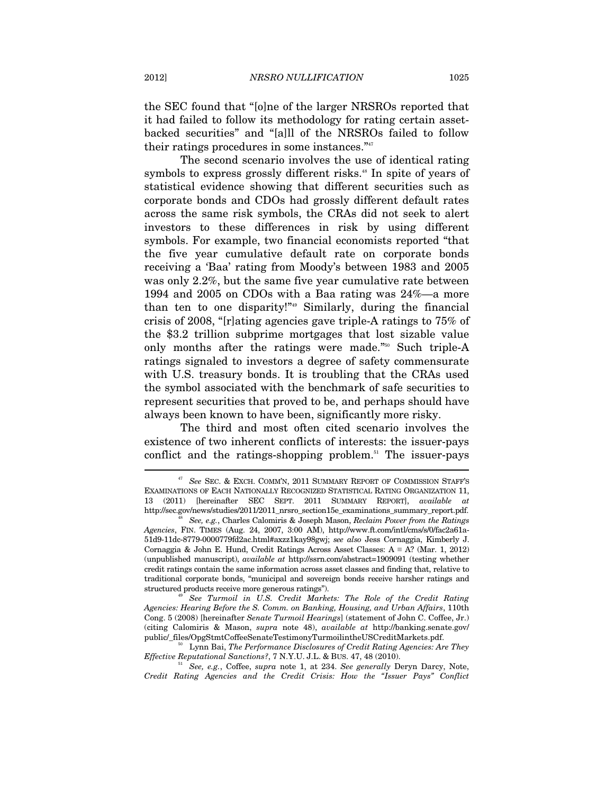the SEC found that "[o]ne of the larger NRSROs reported that it had failed to follow its methodology for rating certain assetbacked securities" and "[a]ll of the NRSROs failed to follow their ratings procedures in some instances."47

The second scenario involves the use of identical rating symbols to express grossly different risks.<sup>48</sup> In spite of years of statistical evidence showing that different securities such as corporate bonds and CDOs had grossly different default rates across the same risk symbols, the CRAs did not seek to alert investors to these differences in risk by using different symbols. For example, two financial economists reported "that the five year cumulative default rate on corporate bonds receiving a 'Baa' rating from Moody's between 1983 and 2005 was only 2.2%, but the same five year cumulative rate between 1994 and 2005 on CDOs with a Baa rating was 24%—a more than ten to one disparity!"49 Similarly, during the financial crisis of 2008, "[r]ating agencies gave triple-A ratings to 75% of the \$3.2 trillion subprime mortgages that lost sizable value only months after the ratings were made."50 Such triple-A ratings signaled to investors a degree of safety commensurate with U.S. treasury bonds. It is troubling that the CRAs used the symbol associated with the benchmark of safe securities to represent securities that proved to be, and perhaps should have always been known to have been, significantly more risky.

The third and most often cited scenario involves the existence of two inherent conflicts of interests: the issuer-pays conflict and the ratings-shopping problem.<sup>51</sup> The issuer-pays

structured products receive more generous ratings"). 49 *See Turmoil in U.S. Credit Markets: The Role of the Credit Rating Agencies: Hearing Before the S. Comm. on Banking, Housing, and Urban Affairs*, 110th Cong. 5 (2008) [hereinafter *Senate Turmoil Hearings*] (statement of John C. Coffee, Jr.) (citing Calomiris & Mason, *supra* note 48), *available at* http://banking.senate.gov/

<sup>47</sup> *See* SEC. & EXCH. COMM'N, 2011 SUMMARY REPORT OF COMMISSION STAFF'S EXAMINATIONS OF EACH NATIONALLY RECOGNIZED STATISTICAL RATING ORGANIZATION 11, 13 (2011) [hereinafter SEC SEPT. 2011 SUMMARY REPORT], *available at* http://sec.gov/news/studies/2011/2011\_nrsro\_section15e\_examinations\_summary\_report.pdf. 48 *See, e.g.*, Charles Calomiris & Joseph Mason, *Reclaim Power from the Ratings* 

*Agencies*, FIN. TIMES (Aug. 24, 2007, 3:00 AM), http://www.ft.com/intl/cms/s/0/fac2a61a-51d9-11dc-8779-0000779fd2ac.html#axzz1kay98gwj; *see also* Jess Cornaggia, Kimberly J. Cornaggia & John E. Hund, Credit Ratings Across Asset Classes:  $A = A$ ? (Mar. 1, 2012) (unpublished manuscript), *available at* http://ssrn.com/abstract=1909091 (testing whether credit ratings contain the same information across asset classes and finding that, relative to traditional corporate bonds, "municipal and sovereign bonds receive harsher ratings and

public/\_files/OpgStmtCoffeeSenateTestimonyTurmoilintheUSCreditMarkets.pdf.<br><sup>50</sup> Lynn Bai, *The Performance Disclosures of Credit Rating Agencies: Are They*<br>*Effective Reputational Sanctions?*, 7 N.Y.U. J.L. & BUS. 47, 48 (

<sup>&</sup>lt;sup>51</sup> See, e.g., Coffee, *supra* note 1, at 234. See generally Deryn Darcy, Note, *Credit Rating Agencies and the Credit Crisis: How the "Issuer Pays" Conflict*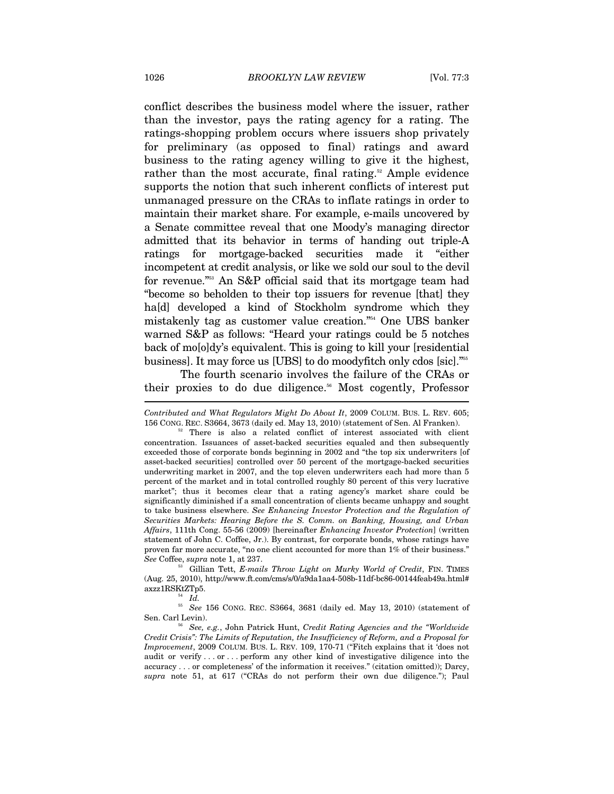conflict describes the business model where the issuer, rather than the investor, pays the rating agency for a rating. The ratings-shopping problem occurs where issuers shop privately for preliminary (as opposed to final) ratings and award business to the rating agency willing to give it the highest, rather than the most accurate, final rating. $52$  Ample evidence supports the notion that such inherent conflicts of interest put unmanaged pressure on the CRAs to inflate ratings in order to maintain their market share. For example, e-mails uncovered by a Senate committee reveal that one Moody's managing director admitted that its behavior in terms of handing out triple-A ratings for mortgage-backed securities made it "either incompetent at credit analysis, or like we sold our soul to the devil for revenue."53 An S&P official said that its mortgage team had "become so beholden to their top issuers for revenue [that] they ha[d] developed a kind of Stockholm syndrome which they mistakenly tag as customer value creation."54 One UBS banker warned S&P as follows: "Heard your ratings could be 5 notches back of mo[o]dy's equivalent. This is going to kill your [residential business]. It may force us [UBS] to do moodyfitch only cdos [sic]."55

The fourth scenario involves the failure of the CRAs or their proxies to do due diligence.<sup>56</sup> Most cogently, Professor

*See* Coffee, *supra* note 1, at 237.<br><sup>53</sup> Gillian Tett, *E-mails Throw Light on Murky World of Credit*, FIN. TIMES (Aug. 25, 2010), http://www.ft.com/cms/s/0/a9da1aa4-508b-11df-bc86-00144feab49a.html#  $axz1RSKtZTp5$ .

<sup>54</sup> Id.<br><sup>55</sup> See 156 CONG. REC. S3664, 3681 (daily ed. May 13, 2010) (statement of Sen. Carl Levin). 56 *See, e.g.*, John Patrick Hunt, *Credit Rating Agencies and the "Worldwide* 

*Contributed and What Regulators Might Do About It*, 2009 COLUM. BUS. L. REV. 605; 156 CONG. REC. S3664, 3673 (daily ed. May 13, 2010) (statement of Sen. Al Franken). 52 There is also a related conflict of interest associated with client

concentration. Issuances of asset-backed securities equaled and then subsequently exceeded those of corporate bonds beginning in 2002 and "the top six underwriters [of asset-backed securities] controlled over 50 percent of the mortgage-backed securities underwriting market in 2007, and the top eleven underwriters each had more than 5 percent of the market and in total controlled roughly 80 percent of this very lucrative market"; thus it becomes clear that a rating agency's market share could be significantly diminished if a small concentration of clients became unhappy and sought to take business elsewhere. *See Enhancing Investor Protection and the Regulation of Securities Markets: Hearing Before the S. Comm. on Banking, Housing, and Urban Affairs*, 111th Cong. 55-56 (2009) [hereinafter *Enhancing Investor Protection*] (written statement of John C. Coffee, Jr.). By contrast, for corporate bonds, whose ratings have proven far more accurate, "no one client accounted for more than 1% of their business."

*Credit Crisis": The Limits of Reputation, the Insufficiency of Reform, and a Proposal for Improvement*, 2009 COLUM. BUS. L. REV. 109, 170-71 ("Fitch explains that it 'does not audit or verify . . . or . . . perform any other kind of investigative diligence into the accuracy . . . or completeness' of the information it receives." (citation omitted)); Darcy, *supra* note 51, at 617 ("CRAs do not perform their own due diligence."); Paul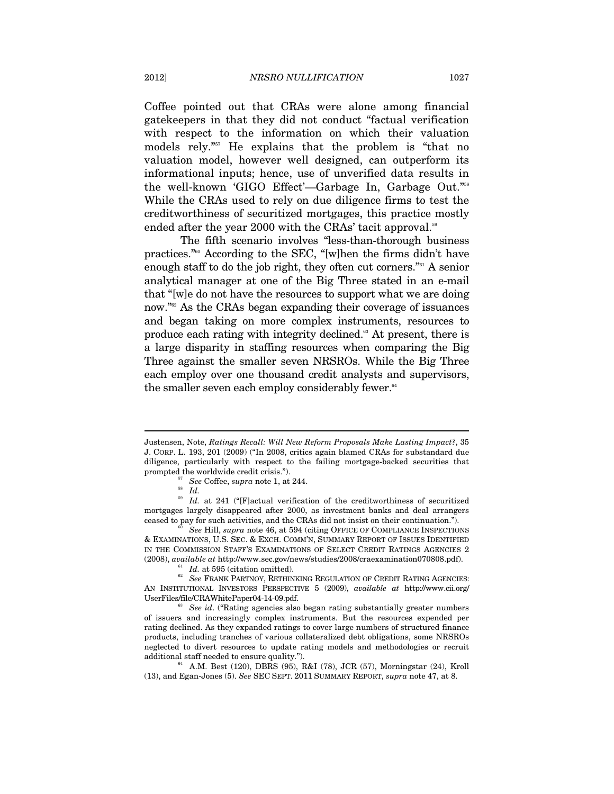Coffee pointed out that CRAs were alone among financial gatekeepers in that they did not conduct "factual verification with respect to the information on which their valuation models rely."57 He explains that the problem is "that no valuation model, however well designed, can outperform its informational inputs; hence, use of unverified data results in the well-known 'GIGO Effect'—Garbage In, Garbage Out."58 While the CRAs used to rely on due diligence firms to test the creditworthiness of securitized mortgages, this practice mostly ended after the year 2000 with the CRAs' tacit approval.<sup>59</sup>

The fifth scenario involves "less-than-thorough business practices."60 According to the SEC, "[w]hen the firms didn't have enough staff to do the job right, they often cut corners."61 A senior analytical manager at one of the Big Three stated in an e-mail that "[w]e do not have the resources to support what we are doing now."<sup>62</sup> As the CRAs began expanding their coverage of issuances and began taking on more complex instruments, resources to produce each rating with integrity declined.63 At present, there is a large disparity in staffing resources when comparing the Big Three against the smaller seven NRSROs. While the Big Three each employ over one thousand credit analysts and supervisors, the smaller seven each employ considerably fewer.<sup>64</sup>

Justensen, Note, *Ratings Recall: Will New Reform Proposals Make Lasting Impact?*, 35 J. CORP. L. 193, 201 (2009) ("In 2008, critics again blamed CRAs for substandard due diligence, particularly with respect to the failing mortgage-backed securities that prompted the worldwide credit crisis.").<br><sup>57</sup> See Coffee, *supra* note 1, at 244.<br>*58 Id.* 

<sup>&</sup>lt;sup>59</sup> Id. at 241 ("[F]actual verification of the creditworthiness of securitized mortgages largely disappeared after 2000, as investment banks and deal arrangers ceased to pay for such activities, and the CRAs did not insist on their continuation."). 60 *See* Hill, *supra* note 46, at 594 (citing OFFICE OF COMPLIANCE INSPECTIONS

<sup>&</sup>amp; EXAMINATIONS, U.S. SEC. & EXCH. COMM'N, SUMMARY REPORT OF ISSUES IDENTIFIED IN THE COMMISSION STAFF'S EXAMINATIONS OF SELECT CREDIT RATINGS AGENCIES 2 %), available at http://www.sec.gov/news/studies/2008/craexamination070808.pdf).<br><sup>61</sup> *Id.* at 595 (citation omitted).<br><sup>62</sup> *See* FRANK PARTNOY, RETHINKING REGULATION OF CREDIT RATING AGENCIES:

AN INSTITUTIONAL INVESTORS PERSPECTIVE 5 (2009), *available at* http://www.cii.org/ UserFiles/file/CRAWhitePaper04-14-09.pdf. 63 *See id*. ("Rating agencies also began rating substantially greater numbers

of issuers and increasingly complex instruments. But the resources expended per rating declined. As they expanded ratings to cover large numbers of structured finance products, including tranches of various collateralized debt obligations, some NRSROs neglected to divert resources to update rating models and methodologies or recruit additional staff needed to ensure quality.").<br><sup>64</sup> A.M. Best (120), DBRS (95), R&I (78), JCR (57), Morningstar (24), Kroll

<sup>(13),</sup> and Egan-Jones (5). *See* SEC SEPT. 2011 SUMMARY REPORT, *supra* note 47, at 8.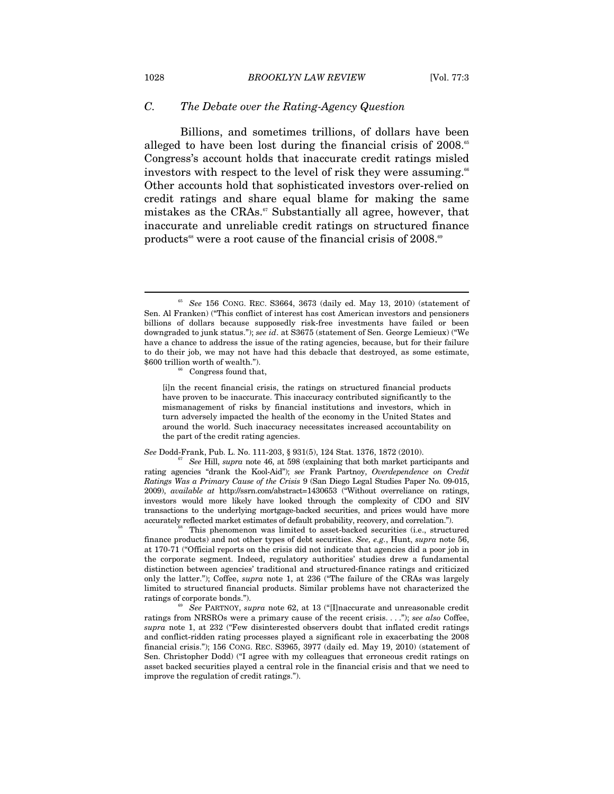#### *C. The Debate over the Rating-Agency Question*

Billions, and sometimes trillions, of dollars have been alleged to have been lost during the financial crisis of  $2008$ .<sup>65</sup> Congress's account holds that inaccurate credit ratings misled investors with respect to the level of risk they were assuming.<sup>66</sup> Other accounts hold that sophisticated investors over-relied on credit ratings and share equal blame for making the same mistakes as the CRAs.<sup>67</sup> Substantially all agree, however, that inaccurate and unreliable credit ratings on structured finance products<sup>68</sup> were a root cause of the financial crisis of  $2008$ .<sup>69</sup>

[i]n the recent financial crisis, the ratings on structured financial products have proven to be inaccurate. This inaccuracy contributed significantly to the mismanagement of risks by financial institutions and investors, which in turn adversely impacted the health of the economy in the United States and around the world. Such inaccuracy necessitates increased accountability on the part of the credit rating agencies.

*See* Dodd-Frank, Pub. L. No. 111-203, § 931(5), 124 Stat. 1376, 1872 (2010). 67 *See* Hill, *supra* note 46, at 598 (explaining that both market participants and rating agencies "drank the Kool-Aid"); *see* Frank Partnoy, *Overdependence on Credit Ratings Was a Primary Cause of the Crisis* 9 (San Diego Legal Studies Paper No. 09-015, 2009), *available at* http://ssrn.com/abstract=1430653 ("Without overreliance on ratings, investors would more likely have looked through the complexity of CDO and SIV transactions to the underlying mortgage-backed securities, and prices would have more accurately reflected market estimates of default probability, recovery, and correlation.").<br><sup>68</sup> This phenomenon was limited to asset-backed securities (i.e., structured

finance products) and not other types of debt securities. *See, e.g.*, Hunt, *supra* note 56, at 170-71 ("Official reports on the crisis did not indicate that agencies did a poor job in the corporate segment. Indeed, regulatory authorities' studies drew a fundamental distinction between agencies' traditional and structured-finance ratings and criticized only the latter."); Coffee, *supra* note 1, at 236 ("The failure of the CRAs was largely limited to structured financial products. Similar problems have not characterized the ratings of corporate bonds."). 69 *See* PARTNOY, *supra* note 62, at 13 ("[I]naccurate and unreasonable credit

ratings from NRSROs were a primary cause of the recent crisis. . . ."); *see also* Coffee, *supra* note 1, at 232 ("Few disinterested observers doubt that inflated credit ratings and conflict-ridden rating processes played a significant role in exacerbating the 2008 financial crisis."); 156 CONG. REC. S3965, 3977 (daily ed. May 19, 2010) (statement of Sen. Christopher Dodd) ("I agree with my colleagues that erroneous credit ratings on asset backed securities played a central role in the financial crisis and that we need to improve the regulation of credit ratings.").

<sup>65</sup> *See* 156 CONG. REC. S3664, 3673 (daily ed. May 13, 2010) (statement of Sen. Al Franken) ("This conflict of interest has cost American investors and pensioners billions of dollars because supposedly risk-free investments have failed or been downgraded to junk status."); *see id*. at S3675 (statement of Sen. George Lemieux) ("We have a chance to address the issue of the rating agencies, because, but for their failure to do their job, we may not have had this debacle that destroyed, as some estimate,  $$600$  trillion worth of wealth.").<br><sup>66</sup> Congress found that,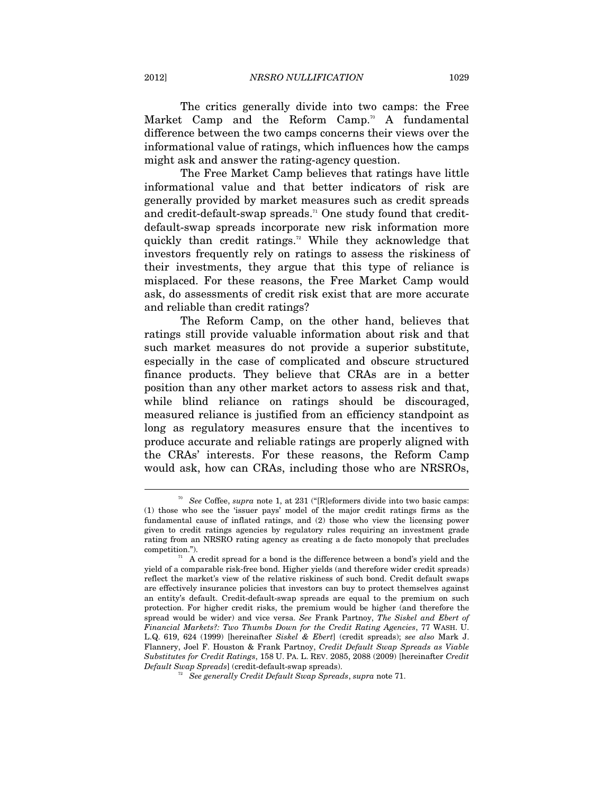The critics generally divide into two camps: the Free Market Camp and the Reform Camp.<sup>70</sup> A fundamental difference between the two camps concerns their views over the informational value of ratings, which influences how the camps might ask and answer the rating-agency question.

The Free Market Camp believes that ratings have little informational value and that better indicators of risk are generally provided by market measures such as credit spreads and credit-default-swap spreads.<sup> $\pi$ </sup> One study found that creditdefault-swap spreads incorporate new risk information more quickly than credit ratings.<sup>72</sup> While they acknowledge that investors frequently rely on ratings to assess the riskiness of their investments, they argue that this type of reliance is misplaced. For these reasons, the Free Market Camp would ask, do assessments of credit risk exist that are more accurate and reliable than credit ratings?

The Reform Camp, on the other hand, believes that ratings still provide valuable information about risk and that such market measures do not provide a superior substitute, especially in the case of complicated and obscure structured finance products. They believe that CRAs are in a better position than any other market actors to assess risk and that, while blind reliance on ratings should be discouraged, measured reliance is justified from an efficiency standpoint as long as regulatory measures ensure that the incentives to produce accurate and reliable ratings are properly aligned with the CRAs' interests. For these reasons, the Reform Camp would ask, how can CRAs, including those who are NRSROs,

<sup>70</sup> *See* Coffee, *supra* note 1, at 231 ("[R]eformers divide into two basic camps: (1) those who see the 'issuer pays' model of the major credit ratings firms as the fundamental cause of inflated ratings, and (2) those who view the licensing power given to credit ratings agencies by regulatory rules requiring an investment grade rating from an NRSRO rating agency as creating a de facto monopoly that precludes competition.").<br> $71$  A credit spread for a bond is the difference between a bond's yield and the

yield of a comparable risk-free bond. Higher yields (and therefore wider credit spreads) reflect the market's view of the relative riskiness of such bond. Credit default swaps are effectively insurance policies that investors can buy to protect themselves against an entity's default. Credit-default-swap spreads are equal to the premium on such protection. For higher credit risks, the premium would be higher (and therefore the spread would be wider) and vice versa. *See* Frank Partnoy, *The Siskel and Ebert of Financial Markets?: Two Thumbs Down for the Credit Rating Agencies*, 77 WASH. U. L.Q. 619, 624 (1999) [hereinafter *Siskel & Ebert*] (credit spreads); *see also* Mark J. Flannery, Joel F. Houston & Frank Partnoy, *Credit Default Swap Spreads as Viable Substitutes for Credit Ratings*, 158 U. PA. L. REV. 2085, 2088 (2009) [hereinafter *Credit Default Swap Spreads*] (credit-default-swap spreads).

<sup>72</sup> *See generally Credit Default Swap Spreads*, *supra* note 71.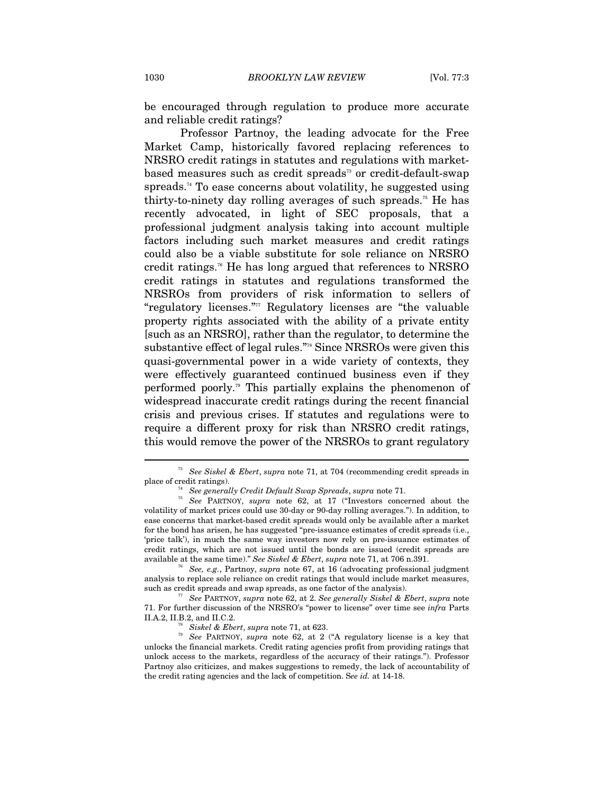be encouraged through regulation to produce more accurate and reliable credit ratings?

Professor Partnoy, the leading advocate for the Free Market Camp, historically favored replacing references to NRSRO credit ratings in statutes and regulations with marketbased measures such as credit spreads<sup>73</sup> or credit-default-swap spreads.74 To ease concerns about volatility, he suggested using thirty-to-ninety day rolling averages of such spreads.<sup>75</sup> He has recently advocated, in light of SEC proposals, that a professional judgment analysis taking into account multiple factors including such market measures and credit ratings could also be a viable substitute for sole reliance on NRSRO credit ratings.76 He has long argued that references to NRSRO credit ratings in statutes and regulations transformed the NRSROs from providers of risk information to sellers of "regulatory licenses."77 Regulatory licenses are "the valuable property rights associated with the ability of a private entity [such as an NRSRO], rather than the regulator, to determine the substantive effect of legal rules."78 Since NRSROs were given this quasi-governmental power in a wide variety of contexts, they were effectively guaranteed continued business even if they performed poorly.79 This partially explains the phenomenon of widespread inaccurate credit ratings during the recent financial crisis and previous crises. If statutes and regulations were to require a different proxy for risk than NRSRO credit ratings, this would remove the power of the NRSROs to grant regulatory

analysis to replace sole reliance on credit ratings that would include market measures, such as credit spreads and swap spreads, as one factor of the analysis). 77 *See* PARTNOY, *supra* note 62, at 2. *See generally Siskel & Ebert*, *supra* note

71. For further discussion of the NRSRO's "power to license" over time see *infra* Parts

<sup>73</sup> *See Siskel & Ebert*, *supra* note 71, at 704 (recommending credit spreads in

place of credit ratings). 74 *See generally Credit Default Swap Spreads*, *supra* note 71. 75 *See* PARTNOY, *supra* note 62, at 17 ("Investors concerned about the volatility of market prices could use 30-day or 90-day rolling averages."). In addition, to ease concerns that market-based credit spreads would only be available after a market for the bond has arisen, he has suggested "pre-issuance estimates of credit spreads (i.e., 'price talk'), in much the same way investors now rely on pre-issuance estimates of credit ratings, which are not issued until the bonds are issued (credit spreads are available at the same time)." *See Siskel & Ebert*, *supra* note 71, at 706 n.391.<br><sup>76</sup> *See, e.g.*, Partnoy, *supra* note 67, at 16 (advocating professional judgment

<sup>&</sup>lt;sup>78</sup> *Siskel & Ebert, supra* note 71, at 623. *The See PARTNOY, supra* note 62, at 2 ("A regulatory license is a key that unlocks the financial markets. Credit rating agencies profit from providing ratings that unlock access to the markets, regardless of the accuracy of their ratings."). Professor Partnoy also criticizes, and makes suggestions to remedy, the lack of accountability of the credit rating agencies and the lack of competition. S*ee id.* at 14-18.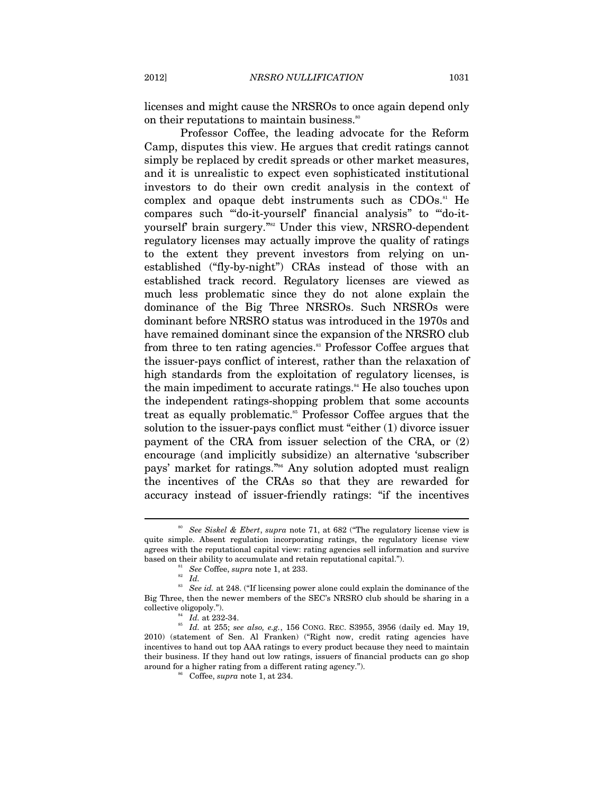licenses and might cause the NRSROs to once again depend only on their reputations to maintain business.<sup>80</sup>

Professor Coffee, the leading advocate for the Reform Camp, disputes this view. He argues that credit ratings cannot simply be replaced by credit spreads or other market measures, and it is unrealistic to expect even sophisticated institutional investors to do their own credit analysis in the context of complex and opaque debt instruments such as  $CDOs$ .<sup>81</sup> He compares such "'do-it-yourself' financial analysis" to "'do-ityourself' brain surgery."82 Under this view, NRSRO-dependent regulatory licenses may actually improve the quality of ratings to the extent they prevent investors from relying on unestablished ("fly-by-night") CRAs instead of those with an established track record. Regulatory licenses are viewed as much less problematic since they do not alone explain the dominance of the Big Three NRSROs. Such NRSROs were dominant before NRSRO status was introduced in the 1970s and have remained dominant since the expansion of the NRSRO club from three to ten rating agencies.<sup>83</sup> Professor Coffee argues that the issuer-pays conflict of interest, rather than the relaxation of high standards from the exploitation of regulatory licenses, is the main impediment to accurate ratings.<sup>84</sup> He also touches upon the independent ratings-shopping problem that some accounts treat as equally problematic.<sup>85</sup> Professor Coffee argues that the solution to the issuer-pays conflict must "either (1) divorce issuer payment of the CRA from issuer selection of the CRA, or (2) encourage (and implicitly subsidize) an alternative 'subscriber pays' market for ratings."<sup>86</sup> Any solution adopted must realign the incentives of the CRAs so that they are rewarded for accuracy instead of issuer-friendly ratings: "if the incentives

<sup>80</sup> *See Siskel & Ebert*, *supra* note 71, at 682 ("The regulatory license view is quite simple. Absent regulation incorporating ratings, the regulatory license view agrees with the reputational capital view: rating agencies sell information and survive

based on their ability to accumulate and retain reputational capital.").<br>
<sup>81</sup> See Coffee, *supra* note 1, at 233.<br>
<sup>82</sup> Id.<br>
<sup>83</sup> See id. at 248. ("If licensing power alone could explain the dominance of the Big Three, then the newer members of the SEC's NRSRO club should be sharing in a

collective oligopoly."). 84 *Id.* at 232-34. 85 *Id.* at 255; *see also, e.g.*, 156 CONG. REC. S3955, 3956 (daily ed. May 19, 2010) (statement of Sen. Al Franken) ("Right now, credit rating agencies have incentives to hand out top AAA ratings to every product because they need to maintain their business. If they hand out low ratings, issuers of financial products can go shop around for a higher rating from a different rating agency."). 86 Coffee, *supra* note 1, at 234.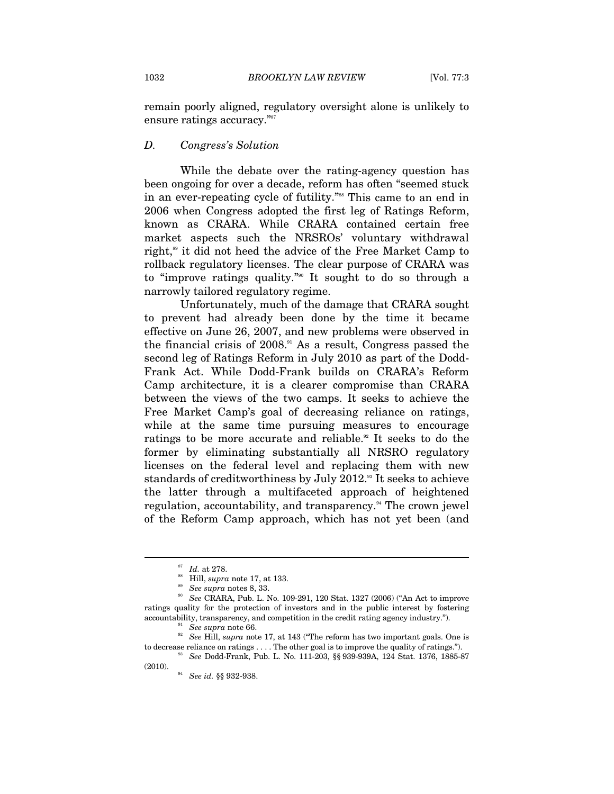remain poorly aligned, regulatory oversight alone is unlikely to ensure ratings accuracy."<sup>87</sup>

#### *D. Congress's Solution*

While the debate over the rating-agency question has been ongoing for over a decade, reform has often "seemed stuck in an ever-repeating cycle of futility."<sup>88</sup> This came to an end in 2006 when Congress adopted the first leg of Ratings Reform, known as CRARA. While CRARA contained certain free market aspects such the NRSROs' voluntary withdrawal right,<sup>89</sup> it did not heed the advice of the Free Market Camp to rollback regulatory licenses. The clear purpose of CRARA was to "improve ratings quality."90 It sought to do so through a narrowly tailored regulatory regime.

Unfortunately, much of the damage that CRARA sought to prevent had already been done by the time it became effective on June 26, 2007, and new problems were observed in the financial crisis of 2008.91 As a result, Congress passed the second leg of Ratings Reform in July 2010 as part of the Dodd-Frank Act. While Dodd-Frank builds on CRARA's Reform Camp architecture, it is a clearer compromise than CRARA between the views of the two camps. It seeks to achieve the Free Market Camp's goal of decreasing reliance on ratings, while at the same time pursuing measures to encourage ratings to be more accurate and reliable.<sup>92</sup> It seeks to do the former by eliminating substantially all NRSRO regulatory licenses on the federal level and replacing them with new standards of creditworthiness by July 2012.<sup>93</sup> It seeks to achieve the latter through a multifaceted approach of heightened regulation, accountability, and transparency.<sup>94</sup> The crown jewel of the Reform Camp approach, which has not yet been (and

<sup>&</sup>lt;sup>87</sup> Id. at 278.<br><sup>88</sup> Hill, *supra* note 17, at 133.<br><sup>89</sup> *See supra* notes 8, 33.<br><sup>90</sup> *See* CRARA, Pub. L. No. 109-291, 120 Stat. 1327 (2006) ("An Act to improve ratings quality for the protection of investors and in the public interest by fostering accountability, transparency, and competition in the credit rating agency industry.").<br><sup>91</sup> See supra note 66.<br><sup>92</sup> See Hill, *supra* note 17, at 143 ("The reform has two important goals. One is

to decrease reliance on ratings . . . . The other goal is to improve the quality of ratings.").<br><sup>93</sup> See Dodd-Frank, Pub. L. No. 111-203, §§ 939-939A, 124 Stat. 1376, 1885-87

<sup>(2010). 94</sup> *See id.* §§ 932-938.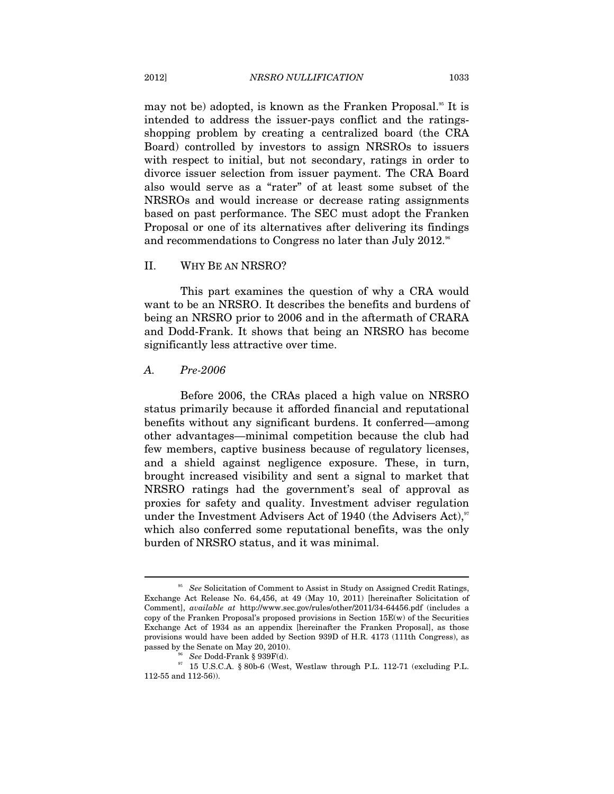may not be) adopted, is known as the Franken Proposal.<sup>55</sup> It is intended to address the issuer-pays conflict and the ratingsshopping problem by creating a centralized board (the CRA Board) controlled by investors to assign NRSROs to issuers with respect to initial, but not secondary, ratings in order to divorce issuer selection from issuer payment. The CRA Board also would serve as a "rater" of at least some subset of the NRSROs and would increase or decrease rating assignments based on past performance. The SEC must adopt the Franken Proposal or one of its alternatives after delivering its findings and recommendations to Congress no later than July 2012. $^{\mathrm{96}}$ 

#### II. WHY BE AN NRSRO?

This part examines the question of why a CRA would want to be an NRSRO. It describes the benefits and burdens of being an NRSRO prior to 2006 and in the aftermath of CRARA and Dodd-Frank. It shows that being an NRSRO has become significantly less attractive over time.

#### *A. Pre-2006*

 $\overline{a}$ 

Before 2006, the CRAs placed a high value on NRSRO status primarily because it afforded financial and reputational benefits without any significant burdens. It conferred—among other advantages—minimal competition because the club had few members, captive business because of regulatory licenses, and a shield against negligence exposure. These, in turn, brought increased visibility and sent a signal to market that NRSRO ratings had the government's seal of approval as proxies for safety and quality. Investment adviser regulation under the Investment Advisers Act of 1940 (the Advisers Act), $\mathcal{S}^7$ which also conferred some reputational benefits, was the only burden of NRSRO status, and it was minimal.

<sup>&</sup>lt;sup>95</sup> See Solicitation of Comment to Assist in Study on Assigned Credit Ratings, Exchange Act Release No. 64,456, at 49 (May 10, 2011) [hereinafter Solicitation of Comment], *available at* http://www.sec.gov/rules/other/2011/34-64456.pdf (includes a copy of the Franken Proposal's proposed provisions in Section 15E(w) of the Securities Exchange Act of 1934 as an appendix [hereinafter the Franken Proposal], as those provisions would have been added by Section 939D of H.R. 4173 (111th Congress), as passed by the Senate on May 20, 2010).

passed by the Senate on May 20, 2010). 96 *See* Dodd-Frank § 939F(d). 97 15 U.S.C.A. § 80b-6 (West, Westlaw through P.L. 112-71 (excluding P.L. 112-55 and 112-56)).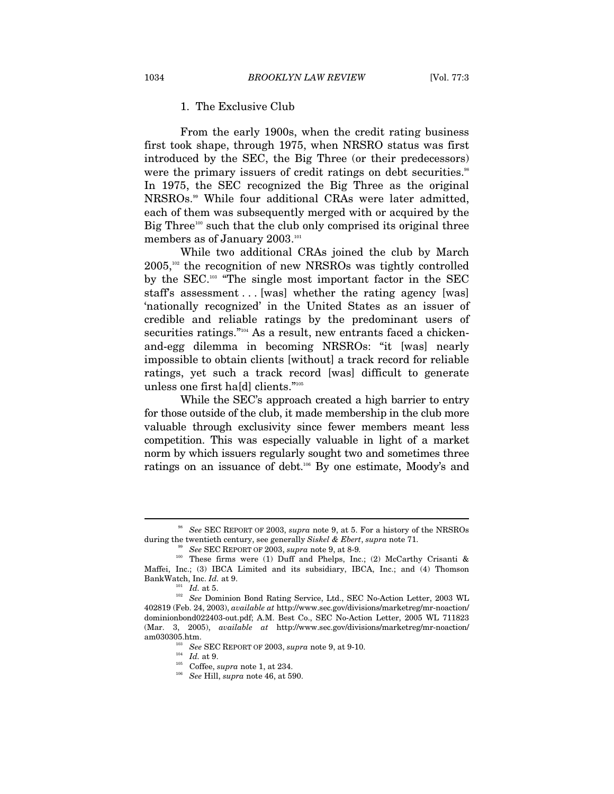#### 1. The Exclusive Club

From the early 1900s, when the credit rating business first took shape, through 1975, when NRSRO status was first introduced by the SEC, the Big Three (or their predecessors) were the primary issuers of credit ratings on debt securities.<sup>98</sup> In 1975, the SEC recognized the Big Three as the original NRSROs.99 While four additional CRAs were later admitted, each of them was subsequently merged with or acquired by the Big Three<sup>100</sup> such that the club only comprised its original three members as of January 2003. $^{101}$ 

While two additional CRAs joined the club by March  $2005$ ,<sup>102</sup> the recognition of new NRSROs was tightly controlled by the SEC.103 "The single most important factor in the SEC staff's assessment . . . [was] whether the rating agency [was] 'nationally recognized' in the United States as an issuer of credible and reliable ratings by the predominant users of securities ratings."<sup>104</sup> As a result, new entrants faced a chickenand-egg dilemma in becoming NRSROs: "it [was] nearly impossible to obtain clients [without] a track record for reliable ratings, yet such a track record [was] difficult to generate unless one first ha[d] clients."105

While the SEC's approach created a high barrier to entry for those outside of the club, it made membership in the club more valuable through exclusivity since fewer members meant less competition. This was especially valuable in light of a market norm by which issuers regularly sought two and sometimes three ratings on an issuance of debt.<sup>106</sup> By one estimate, Moody's and

<sup>98</sup> *See* SEC REPORT OF 2003, *supra* note 9, at 5. For a history of the NRSROs during the twentieth century, see generally *Siskel & Ebert*, *supra* note 71. <sup>99</sup> See SEC REPORT OF 2003, *supra* note 9, at 8-9.

<sup>&</sup>lt;sup>100</sup> These firms were (1) Duff and Phelps, Inc.; (2) McCarthy Crisanti & Maffei, Inc.; (3) IBCA Limited and its subsidiary, IBCA, Inc.; and (4) Thomson BankWatch, Inc. *Id.* at 9.

<sup>&</sup>lt;sup>101</sup> Id. at 5.<br><sup>102</sup> See Dominion Bond Rating Service, Ltd., SEC No-Action Letter, 2003 WL 402819 (Feb. 24, 2003), *available at* http://www.sec.gov/divisions/marketreg/mr-noaction/ dominionbond022403-out.pdf; A.M. Best Co., SEC No-Action Letter, 2005 WL 711823 (Mar. 3, 2005), *available at* http://www.sec.gov/divisions/marketreg/mr-noaction/ am030305.htm.<br>
<sup>103</sup> See SEC REPORT OF 2003, *supra* note 9, at 9-10.<br>
<sup>104</sup> *Id.* at 9.<br>
Coffee, *supra* note 1, at 234.<br>
<sup>106</sup> See Hill, *supra* note 46, at 590.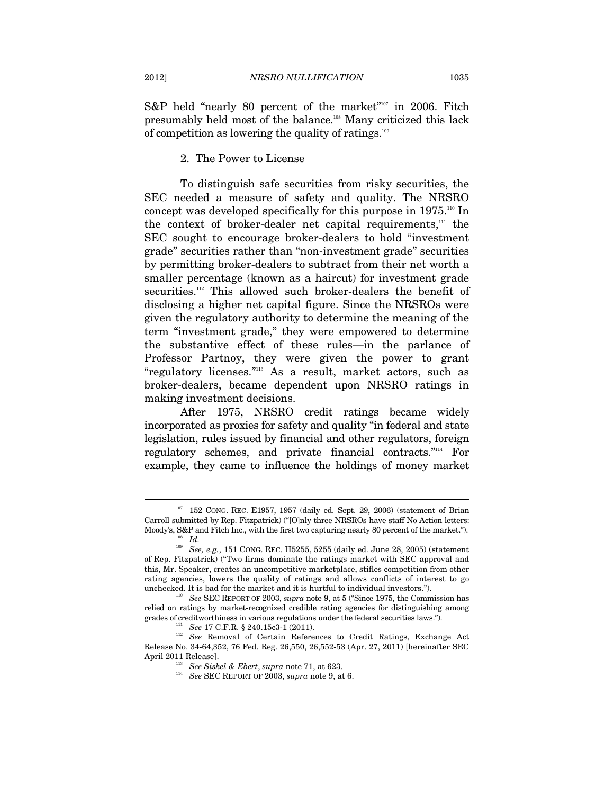S&P held "nearly 80 percent of the market"<sup>107</sup> in 2006. Fitch presumably held most of the balance.108 Many criticized this lack of competition as lowering the quality of ratings.<sup>109</sup>

#### 2. The Power to License

To distinguish safe securities from risky securities, the SEC needed a measure of safety and quality. The NRSRO concept was developed specifically for this purpose in  $1975.^{\text{10}}$  In the context of broker-dealer net capital requirements,111 the SEC sought to encourage broker-dealers to hold "investment grade" securities rather than "non-investment grade" securities by permitting broker-dealers to subtract from their net worth a smaller percentage (known as a haircut) for investment grade securities.<sup>112</sup> This allowed such broker-dealers the benefit of disclosing a higher net capital figure. Since the NRSROs were given the regulatory authority to determine the meaning of the term "investment grade," they were empowered to determine the substantive effect of these rules—in the parlance of Professor Partnoy, they were given the power to grant "regulatory licenses."113 As a result, market actors, such as broker-dealers, became dependent upon NRSRO ratings in making investment decisions.

After 1975, NRSRO credit ratings became widely incorporated as proxies for safety and quality "in federal and state legislation, rules issued by financial and other regulators, foreign regulatory schemes, and private financial contracts."114 For example, they came to influence the holdings of money market

 $107$  152 CONG. REC. E1957, 1957 (daily ed. Sept. 29, 2006) (statement of Brian Carroll submitted by Rep. Fitzpatrick) ("[O]nly three NRSROs have staff No Action letters: Moody's, S&P and Fitch Inc., with the first two capturing nearly 80 percent of the market.").<br><sup>109</sup> *Id.* <sup>109</sup> *See, e.g.*, 151 CONG. REC. H5255, 5255 (daily ed. June 28, 2005) (statement

of Rep. Fitzpatrick) ("Two firms dominate the ratings market with SEC approval and this, Mr. Speaker, creates an uncompetitive marketplace, stifles competition from other rating agencies, lowers the quality of ratings and allows conflicts of interest to go unchecked. It is bad for the market and it is hurtful to individual investors."). 110 *See* SEC REPORT OF 2003, *supra* note 9, at 5 ("Since 1975, the Commission has

relied on ratings by market-recognized credible rating agencies for distinguishing among grades of creditworthiness in various regulations under the federal securities laws.").

quarties 11 See 17 C.F.R. § 240.15c3-1 (2011).<br><sup>112</sup> See Removal of Certain References to Credit Ratings, Exchange Act Release No. 34-64,352, 76 Fed. Reg. 26,550, 26,552-53 (Apr. 27, 2011) [hereinafter SEC

April 2011 Release]. 113 *See Siskel & Ebert*, *supra* note 71, at 623. 114 *See* SEC REPORT OF 2003, *supra* note 9, at 6.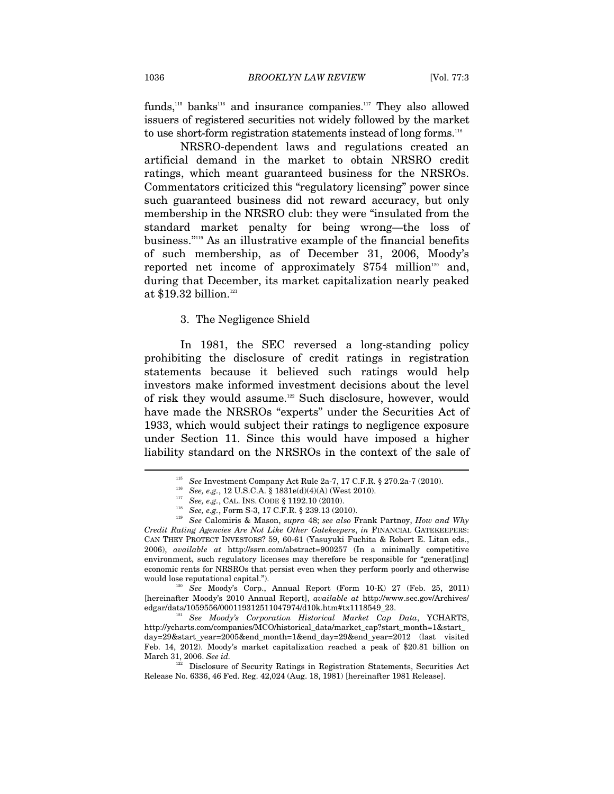funds,<sup>115</sup> banks<sup>116</sup> and insurance companies.<sup>117</sup> They also allowed issuers of registered securities not widely followed by the market to use short-form registration statements instead of long forms.<sup>118</sup>

NRSRO-dependent laws and regulations created an artificial demand in the market to obtain NRSRO credit ratings, which meant guaranteed business for the NRSROs. Commentators criticized this "regulatory licensing" power since such guaranteed business did not reward accuracy, but only membership in the NRSRO club: they were "insulated from the standard market penalty for being wrong—the loss of business."119 As an illustrative example of the financial benefits of such membership, as of December 31, 2006, Moody's reported net income of approximately  $$754$  million<sup>120</sup> and, during that December, its market capitalization nearly peaked at \$19.32 billion.<sup>121</sup>

#### 3. The Negligence Shield

In 1981, the SEC reversed a long-standing policy prohibiting the disclosure of credit ratings in registration statements because it believed such ratings would help investors make informed investment decisions about the level of risk they would assume.<sup>122</sup> Such disclosure, however, would have made the NRSROs "experts" under the Securities Act of 1933, which would subject their ratings to negligence exposure under Section 11. Since this would have imposed a higher liability standard on the NRSROs in the context of the sale of

would lose reputational capital."). 120 *See* Moody's Corp., Annual Report (Form 10-K) 27 (Feb. 25, 2011) [hereinafter Moody's 2010 Annual Report], *available at* http://www.sec.gov/Archives/ edgar/data/1059556/000119312511047974/d10k.htm#tx1118549\_23. 121 *See Moody's Corporation Historical Market Cap Data*, YCHARTS,

http://ycharts.com/companies/MCO/historical\_data/market\_cap?start\_month=1&start\_ day=29&start\_year=2005&end\_month=1&end\_day=29&end\_year=2012 (last visited Feb. 14, 2012). Moody's market capitalization reached a peak of \$20.81 billion on

March 31, 2006. *See id.* 122 Disclosure of Security Ratings in Registration Statements, Securities Act Release No. 6336, 46 Fed. Reg. 42,024 (Aug. 18, 1981) [hereinafter 1981 Release].

<sup>&</sup>lt;sup>115</sup> See Investment Company Act Rule 2a-7, 17 C.F.R. § 270.2a-7 (2010).<br><sup>116</sup> See, e.g., 12 U.S.C.A. § 1831e(d)(4)(A) (West 2010).<br><sup>117</sup> See, e.g., CAL. INS. CODE § 1192.10 (2010).<br><sup>118</sup> See, e.g., Form S-3, 17 C.F.R. §

*Credit Rating Agencies Are Not Like Other Gatekeepers*, *in* FINANCIAL GATEKEEPERS: CAN THEY PROTECT INVESTORS? 59, 60-61 (Yasuyuki Fuchita & Robert E. Litan eds., 2006), *available at* http://ssrn.com/abstract=900257 (In a minimally competitive environment, such regulatory licenses may therefore be responsible for "generat[ing] economic rents for NRSROs that persist even when they perform poorly and otherwise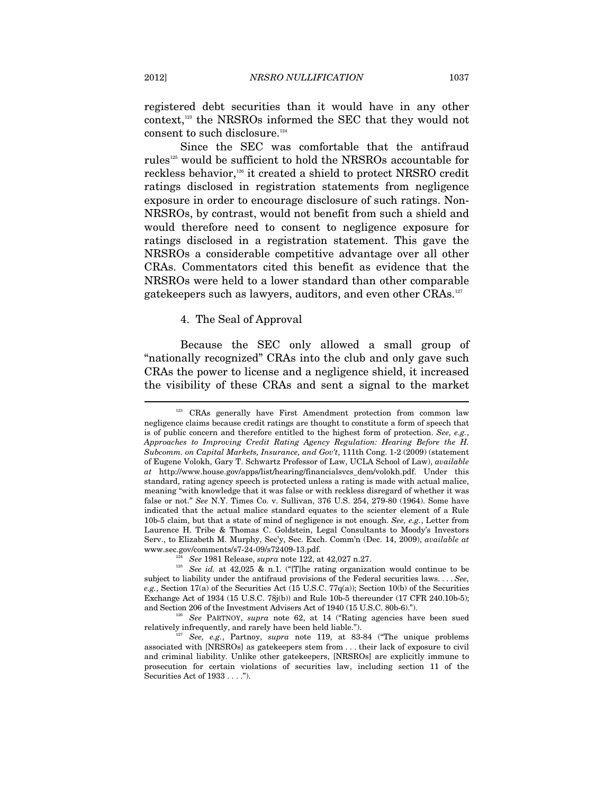registered debt securities than it would have in any other context,<sup>123</sup> the NRSROs informed the SEC that they would not consent to such disclosure.<sup>124</sup>

Since the SEC was comfortable that the antifraud rules125 would be sufficient to hold the NRSROs accountable for reckless behavior,126 it created a shield to protect NRSRO credit ratings disclosed in registration statements from negligence exposure in order to encourage disclosure of such ratings. Non-NRSROs, by contrast, would not benefit from such a shield and would therefore need to consent to negligence exposure for ratings disclosed in a registration statement. This gave the NRSROs a considerable competitive advantage over all other CRAs. Commentators cited this benefit as evidence that the NRSROs were held to a lower standard than other comparable gatekeepers such as lawyers, auditors, and even other CRAs.127

#### 4. The Seal of Approval

Because the SEC only allowed a small group of "nationally recognized" CRAs into the club and only gave such CRAs the power to license and a negligence shield, it increased the visibility of these CRAs and sent a signal to the market

<sup>&</sup>lt;sup>123</sup> CRAs generally have First Amendment protection from common law negligence claims because credit ratings are thought to constitute a form of speech that is of public concern and therefore entitled to the highest form of protection. *See, e.g.*, *Approaches to Improving Credit Rating Agency Regulation: Hearing Before the H. Subcomm. on Capital Markets, Insurance, and Gov't*, 111th Cong. 1-2 (2009) (statement of Eugene Volokh, Gary T. Schwartz Professor of Law, UCLA School of Law), *available at* http://www.house.gov/apps/list/hearing/financialsvcs\_dem/volokh.pdf. Under this standard, rating agency speech is protected unless a rating is made with actual malice, meaning "with knowledge that it was false or with reckless disregard of whether it was false or not." *See* N.Y. Times Co. v. Sullivan, 376 U.S. 254, 279-80 (1964). Some have indicated that the actual malice standard equates to the scienter element of a Rule 10b-5 claim, but that a state of mind of negligence is not enough. *See, e.g.*, Letter from Laurence H. Tribe & Thomas C. Goldstein, Legal Consultants to Moody's Investors Serv., to Elizabeth M. Murphy, Sec'y, Sec. Exch. Comm'n (Dec. 14, 2009), *available at*  www.sec.gov/comments/s7-24-09/s72409-13.pdf. 124 *See* 1981 Release, *supra* note 122, at 42,027 n.27.

<sup>&</sup>lt;sup>125</sup> See *id.* at 42,025 & n.1. ("[T]he rating organization would continue to be subject to liability under the antifraud provisions of the Federal securities laws. . . . *See, e.g.*, Section 17(a) of the Securities Act (15 U.S.C. 77 $q(a)$ ); Section 10(b) of the Securities Exchange Act of 1934 (15 U.S.C. 78j(b)) and Rule 10b-5 thereunder (17 CFR 240.10b-5);

and Section 206 of the Investment Advisers Act of 1940 (15 U.S.C. 80b-6).").<br><sup>126</sup> See PARTNOY, *supra* note 62, at 14 ("Rating agencies have been sued relatively infrequently, and rarely have been held liable.").

<sup>&</sup>lt;sup>7</sup> See, e.g., Partnoy, *supra* note 119, at 83-84 ("The unique problems associated with [NRSROs] as gatekeepers stem from . . . their lack of exposure to civil and criminal liability. Unlike other gatekeepers, [NRSROs] are explicitly immune to prosecution for certain violations of securities law, including section 11 of the Securities Act of 1933 . . . .").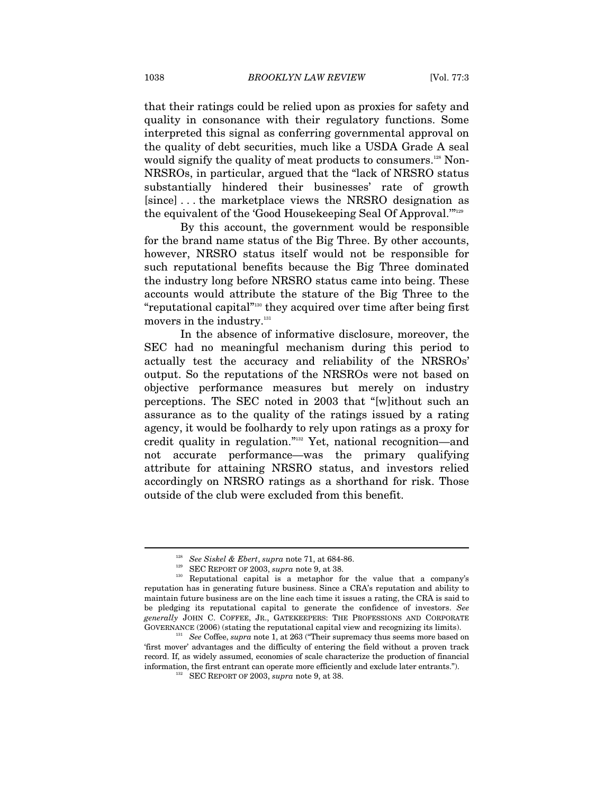that their ratings could be relied upon as proxies for safety and quality in consonance with their regulatory functions. Some interpreted this signal as conferring governmental approval on the quality of debt securities, much like a USDA Grade A seal would signify the quality of meat products to consumers.<sup>128</sup> Non-NRSROs, in particular, argued that the "lack of NRSRO status substantially hindered their businesses' rate of growth [since] . . . the marketplace views the NRSRO designation as the equivalent of the 'Good Housekeeping Seal Of Approval.'"129

By this account, the government would be responsible for the brand name status of the Big Three. By other accounts, however, NRSRO status itself would not be responsible for such reputational benefits because the Big Three dominated the industry long before NRSRO status came into being. These accounts would attribute the stature of the Big Three to the "reputational capital"<sup>130</sup> they acquired over time after being first movers in the industry.<sup>131</sup>

In the absence of informative disclosure, moreover, the SEC had no meaningful mechanism during this period to actually test the accuracy and reliability of the NRSROs' output. So the reputations of the NRSROs were not based on objective performance measures but merely on industry perceptions. The SEC noted in 2003 that "[w]ithout such an assurance as to the quality of the ratings issued by a rating agency, it would be foolhardy to rely upon ratings as a proxy for credit quality in regulation."132 Yet, national recognition—and not accurate performance—was the primary qualifying attribute for attaining NRSRO status, and investors relied accordingly on NRSRO ratings as a shorthand for risk. Those outside of the club were excluded from this benefit.

<sup>&</sup>lt;sup>128</sup> See Siskel & Ebert, *supra* note 71, at 684-86.<br><sup>129</sup> SEC REPORT OF 2003, *supra* note 9, at 38.<br><sup>130</sup> Reputational capital is a metaphor for the value that a company's reputation has in generating future business. Since a CRA's reputation and ability to maintain future business are on the line each time it issues a rating, the CRA is said to be pledging its reputational capital to generate the confidence of investors. *See generally* JOHN C. COFFEE, JR., GATEKEEPERS: THE PROFESSIONS AND CORPORATE

GOVERNANCE (2006) (stating the reputational capital view and recognizing its limits). 131 *See* Coffee, *supra* note 1, at 263 ("Their supremacy thus seems more based on 'first mover' advantages and the difficulty of entering the field without a proven track record. If, as widely assumed, economies of scale characterize the production of financial information, the first entrant can operate more efficiently and exclude later entrants."). 132 SEC REPORT OF 2003, *supra* note 9, at 38.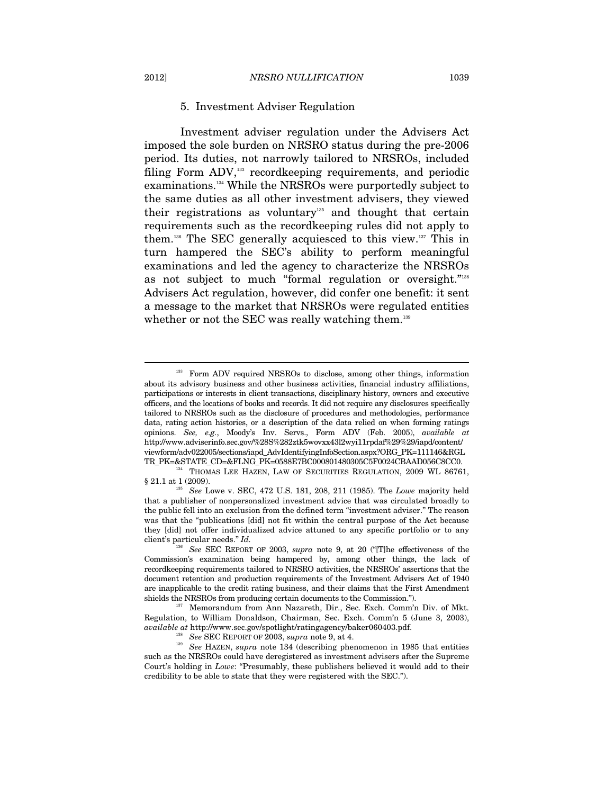#### 5. Investment Adviser Regulation

Investment adviser regulation under the Advisers Act imposed the sole burden on NRSRO status during the pre-2006 period. Its duties, not narrowly tailored to NRSROs, included filing Form ADV,133 recordkeeping requirements, and periodic examinations.134 While the NRSROs were purportedly subject to the same duties as all other investment advisers, they viewed their registrations as voluntary<sup>135</sup> and thought that certain requirements such as the recordkeeping rules did not apply to them.136 The SEC generally acquiesced to this view.137 This in turn hampered the SEC's ability to perform meaningful examinations and led the agency to characterize the NRSROs as not subject to much "formal regulation or oversight."<sup>138</sup> Advisers Act regulation, however, did confer one benefit: it sent a message to the market that NRSROs were regulated entities whether or not the SEC was really watching them.<sup>139</sup>

<sup>&</sup>lt;sup>133</sup> Form ADV required NRSROs to disclose, among other things, information about its advisory business and other business activities, financial industry affiliations, participations or interests in client transactions, disciplinary history, owners and executive officers, and the locations of books and records. It did not require any disclosures specifically tailored to NRSROs such as the disclosure of procedures and methodologies, performance data, rating action histories, or a description of the data relied on when forming ratings opinions. *See, e.g.*, Moody's Inv. Servs., Form ADV (Feb. 2005), *available at* http://www.adviserinfo.sec.gov/%28S%282ztk5wovxx43l2wyi11rpdaf%29%29/iapd/content/ viewform/adv022005/sections/iapd\_AdvIdentifyingInfoSection.aspx?ORG\_PK=111146&RGL

TR\_PK=&STATE\_CD=&FLNG\_PK=0588E7BC000801480305C5F0024CBAAD056C8CC0. 134 THOMAS LEE HAZEN, LAW OF SECURITIES REGULATION, 2009 WL 86761, § 21.1 at 1 (2009). 135 *See* Lowe v. SEC, 472 U.S. 181, 208, 211 (1985). The *Lowe* majority held

that a publisher of nonpersonalized investment advice that was circulated broadly to the public fell into an exclusion from the defined term "investment adviser." The reason was that the "publications [did] not fit within the central purpose of the Act because they [did] not offer individualized advice attuned to any specific portfolio or to any client's particular needs." *Id.*

<sup>136</sup> *See* SEC REPORT OF 2003, *supra* note 9, at 20 ("[T]he effectiveness of the Commission's examination being hampered by, among other things, the lack of recordkeeping requirements tailored to NRSRO activities, the NRSROs' assertions that the document retention and production requirements of the Investment Advisers Act of 1940 are inapplicable to the credit rating business, and their claims that the First Amendment shields the NRSROs from producing certain documents to the Commission."). 137 Memorandum from Ann Nazareth, Dir., Sec. Exch. Comm'n Div. of Mkt.

Regulation, to William Donaldson, Chairman, Sec. Exch. Comm'n 5 (June 3, 2003), *available at* http://www.sec.gov/spotlight/ratingagency/baker060403.pdf.

<sup>&</sup>lt;sup>138</sup> See SEC REPORT OF 2003, supra note 9, at 4.<br><sup>139</sup> See HAZEN, supra note 134 (describing phenomenon in 1985 that entities such as the NRSROs could have deregistered as investment advisers after the Supreme Court's holding in *Lowe*: "Presumably, these publishers believed it would add to their credibility to be able to state that they were registered with the SEC.").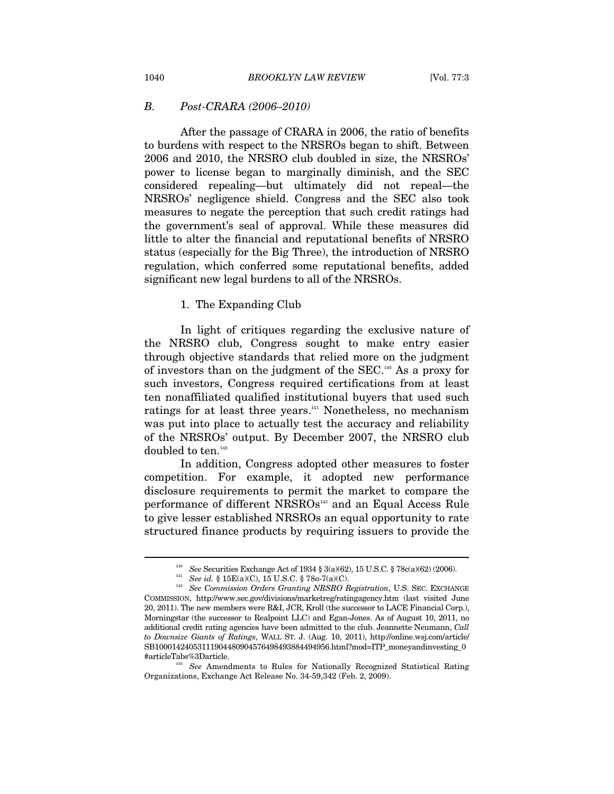#### *B. Post-CRARA (2006–2010)*

After the passage of CRARA in 2006, the ratio of benefits to burdens with respect to the NRSROs began to shift. Between 2006 and 2010, the NRSRO club doubled in size, the NRSROs' power to license began to marginally diminish, and the SEC considered repealing—but ultimately did not repeal—the NRSROs' negligence shield. Congress and the SEC also took measures to negate the perception that such credit ratings had the government's seal of approval. While these measures did little to alter the financial and reputational benefits of NRSRO status (especially for the Big Three), the introduction of NRSRO regulation, which conferred some reputational benefits, added significant new legal burdens to all of the NRSROs.

#### 1. The Expanding Club

In light of critiques regarding the exclusive nature of the NRSRO club, Congress sought to make entry easier through objective standards that relied more on the judgment of investors than on the judgment of the SEC.140 As a proxy for such investors, Congress required certifications from at least ten nonaffiliated qualified institutional buyers that used such ratings for at least three years.<sup>141</sup> Nonetheless, no mechanism was put into place to actually test the accuracy and reliability of the NRSROs' output. By December 2007, the NRSRO club doubled to ten.<sup>142</sup>

In addition, Congress adopted other measures to foster competition. For example, it adopted new performance disclosure requirements to permit the market to compare the performance of different NRSROs<sup>143</sup> and an Equal Access Rule to give lesser established NRSROs an equal opportunity to rate structured finance products by requiring issuers to provide the

<sup>&</sup>lt;sup>140</sup> See Securities Exchange Act of 1934 § 3(a)(62), 15 U.S.C. § 78c(a)(62) (2006).<br><sup>141</sup> See id. § 15E(a)(C), 15 U.S.C. § 78o-7(a)(C).<br><sup>142</sup> See Commission Orders Granting NRSRO Registration, U.S. SEC. EXCHANGE COMMISSION, http://www.sec.gov/divisions/marketreg/ratingagency.htm (last visited June 20, 2011). The new members were R&I, JCR, Kroll (the successor to LACE Financial Corp.), Morningstar (the successor to Realpoint LLC) and Egan-Jones. As of August 10, 2011, no additional credit rating agencies have been admitted to the club. Jeannette Neumann, *Call to Downsize Giants of Ratings*, WALL ST. J. (Aug. 10, 2011), http://online.wsj.com/article/ SB10001424053111904480904576498493884494956.html?mod=ITP\_moneyandinvesting\_0

<sup>#</sup>articleTabs%3Darticle. 143 *See* Amendments to Rules for Nationally Recognized Statistical Rating Organizations, Exchange Act Release No. 34-59,342 (Feb. 2, 2009).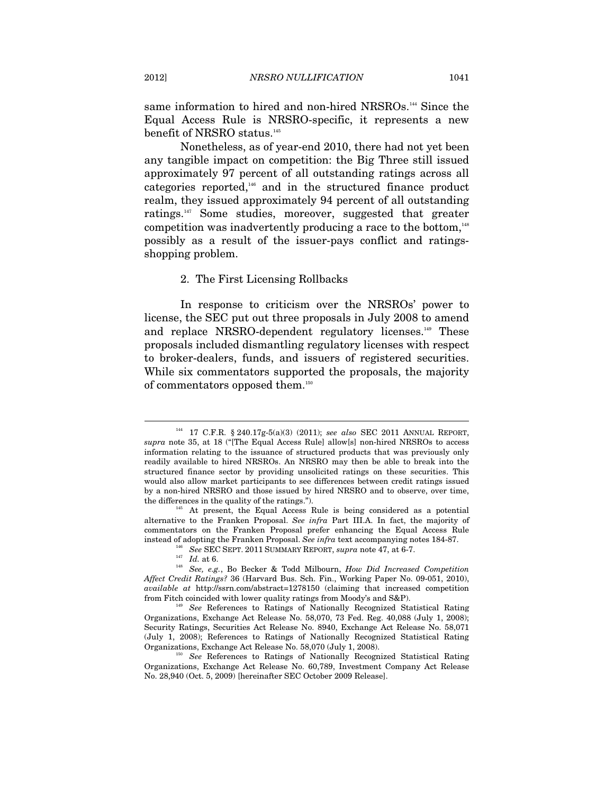same information to hired and non-hired NRSROs.<sup>144</sup> Since the Equal Access Rule is NRSRO-specific, it represents a new benefit of NRSRO status.<sup>145</sup>

Nonetheless, as of year-end 2010, there had not yet been any tangible impact on competition: the Big Three still issued approximately 97 percent of all outstanding ratings across all categories reported,146 and in the structured finance product realm, they issued approximately 94 percent of all outstanding ratings.147 Some studies, moreover, suggested that greater competition was inadvertently producing a race to the bottom, $148$ possibly as a result of the issuer-pays conflict and ratingsshopping problem.

#### 2. The First Licensing Rollbacks

In response to criticism over the NRSROs' power to license, the SEC put out three proposals in July 2008 to amend and replace NRSRO-dependent regulatory licenses.149 These proposals included dismantling regulatory licenses with respect to broker-dealers, funds, and issuers of registered securities. While six commentators supported the proposals, the majority of commentators opposed them.<sup>150</sup>

<sup>144 17</sup> C.F.R. § 240.17g-5(a)(3) (2011); *see also* SEC 2011 ANNUAL REPORT, *supra* note 35, at 18 ("[The Equal Access Rule] allow[s] non-hired NRSROs to access information relating to the issuance of structured products that was previously only readily available to hired NRSROs. An NRSRO may then be able to break into the structured finance sector by providing unsolicited ratings on these securities. This would also allow market participants to see differences between credit ratings issued by a non-hired NRSRO and those issued by hired NRSRO and to observe, over time, the differences in the quality of the ratings.").

 $^{45}$  At present, the Equal Access Rule is being considered as a potential alternative to the Franken Proposal. *See infra* Part III.A. In fact, the majority of commentators on the Franken Proposal prefer enhancing the Equal Access Rule % instead of adopting the Franken Proposal. See in<br>fra text accompanying notes 184-87.  $^{146}$  See SEC SEPT. 2011 SUMMARY REPORT,<br> $supra$  note 47, at 6-7.  $^{147}$ <br> $Id.$  at 6.  $^{148}$  See,<br> $e.g.$ , Bo Becker & Todd Milbourn,  $How$ 

*Affect Credit Ratings?* 36 (Harvard Bus. Sch. Fin., Working Paper No. 09-051, 2010), *available at* http://ssrn.com/abstract=1278150 (claiming that increased competition from Fitch coincided with lower quality ratings from Moody's and S&P). 149 *See* References to Ratings of Nationally Recognized Statistical Rating

Organizations, Exchange Act Release No. 58,070, 73 Fed. Reg. 40,088 (July 1, 2008); Security Ratings, Securities Act Release No. 8940, Exchange Act Release No. 58,071 (July 1, 2008); References to Ratings of Nationally Recognized Statistical Rating Organizations, Exchange Act Release No. 58,070 (July 1, 2008). 150 *See* References to Ratings of Nationally Recognized Statistical Rating

Organizations, Exchange Act Release No. 60,789, Investment Company Act Release No. 28,940 (Oct. 5, 2009) [hereinafter SEC October 2009 Release].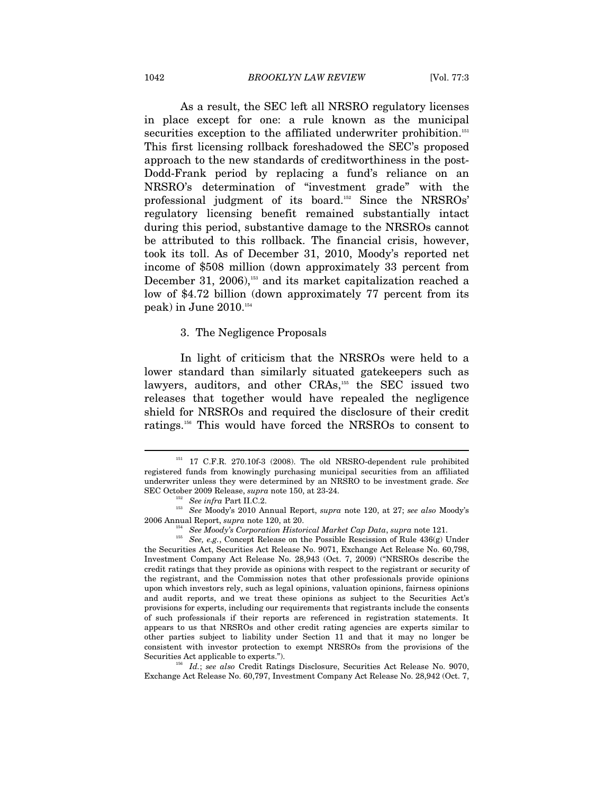As a result, the SEC left all NRSRO regulatory licenses in place except for one: a rule known as the municipal securities exception to the affiliated underwriter prohibition.<sup>151</sup> This first licensing rollback foreshadowed the SEC's proposed approach to the new standards of creditworthiness in the post-Dodd-Frank period by replacing a fund's reliance on an NRSRO's determination of "investment grade" with the professional judgment of its board.152 Since the NRSROs' regulatory licensing benefit remained substantially intact during this period, substantive damage to the NRSROs cannot be attributed to this rollback. The financial crisis, however, took its toll. As of December 31, 2010, Moody's reported net income of \$508 million (down approximately 33 percent from December 31, 2006),<sup>153</sup> and its market capitalization reached a low of \$4.72 billion (down approximately 77 percent from its peak) in June  $2010.^{154}$ 

3. The Negligence Proposals

In light of criticism that the NRSROs were held to a lower standard than similarly situated gatekeepers such as lawyers, auditors, and other CRAs,<sup>155</sup> the SEC issued two releases that together would have repealed the negligence shield for NRSROs and required the disclosure of their credit ratings.156 This would have forced the NRSROs to consent to

<sup>156</sup> Id.; see also Credit Ratings Disclosure, Securities Act Release No. 9070, Exchange Act Release No. 60,797, Investment Company Act Release No. 28,942 (Oct. 7,

<sup>&</sup>lt;sup>151</sup> 17 C.F.R. 270.10f-3 (2008). The old NRSRO-dependent rule prohibited registered funds from knowingly purchasing municipal securities from an affiliated underwriter unless they were determined by an NRSRO to be investment grade. *See* 

SEC October 2009 Release, *supra* note 150, at 23-24. 152 *See infra* Part II.C.2. 153 *See* Moody's 2010 Annual Report, *supra* note 120, at 27; *see also* Moody's

<sup>2006</sup> Annual Report, *supra* note 120, at 20. 154 *See Moody's Corporation Historical Market Cap Data*, *supra* note 121. 155 *See, e.g.*, Concept Release on the Possible Rescission of Rule 436(g) Under the Securities Act, Securities Act Release No. 9071, Exchange Act Release No. 60,798, Investment Company Act Release No. 28,943 (Oct. 7, 2009) ("NRSROs describe the credit ratings that they provide as opinions with respect to the registrant or security of the registrant, and the Commission notes that other professionals provide opinions upon which investors rely, such as legal opinions, valuation opinions, fairness opinions and audit reports, and we treat these opinions as subject to the Securities Act's provisions for experts, including our requirements that registrants include the consents of such professionals if their reports are referenced in registration statements. It appears to us that NRSROs and other credit rating agencies are experts similar to other parties subject to liability under Section 11 and that it may no longer be consistent with investor protection to exempt NRSROs from the provisions of the Securities Act applicable to experts.").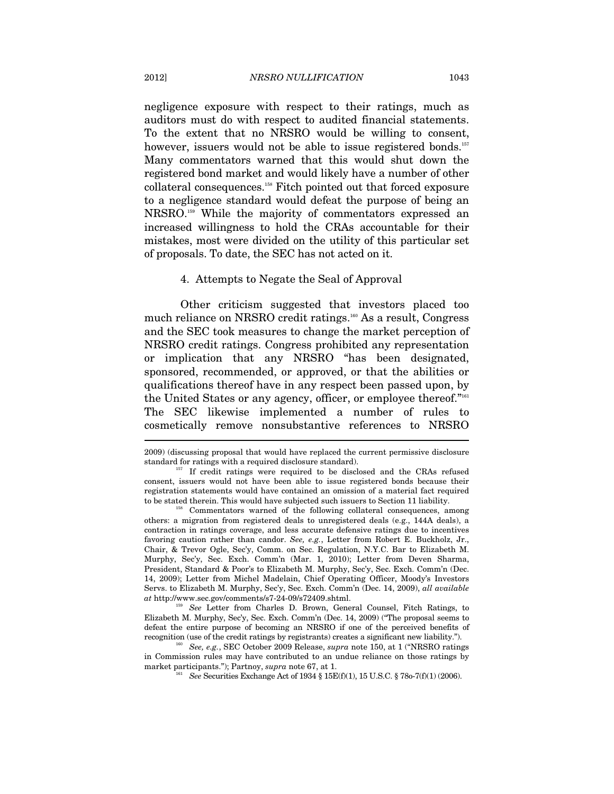negligence exposure with respect to their ratings, much as auditors must do with respect to audited financial statements. To the extent that no NRSRO would be willing to consent, however, issuers would not be able to issue registered bonds.<sup>157</sup> Many commentators warned that this would shut down the registered bond market and would likely have a number of other collateral consequences.158 Fitch pointed out that forced exposure to a negligence standard would defeat the purpose of being an NRSRO.159 While the majority of commentators expressed an increased willingness to hold the CRAs accountable for their mistakes, most were divided on the utility of this particular set of proposals. To date, the SEC has not acted on it.

#### 4. Attempts to Negate the Seal of Approval

Other criticism suggested that investors placed too much reliance on NRSRO credit ratings.<sup>160</sup> As a result, Congress and the SEC took measures to change the market perception of NRSRO credit ratings. Congress prohibited any representation or implication that any NRSRO "has been designated, sponsored, recommended, or approved, or that the abilities or qualifications thereof have in any respect been passed upon, by the United States or any agency, officer, or employee thereof."161 The SEC likewise implemented a number of rules to cosmetically remove nonsubstantive references to NRSRO

<sup>2009) (</sup>discussing proposal that would have replaced the current permissive disclosure standard for ratings with a required disclosure standard). 157 If credit ratings were required to be disclosed and the CRAs refused

consent, issuers would not have been able to issue registered bonds because their registration statements would have contained an omission of a material fact required

to Commentators warned of the following collateral consequences, among others: a migration from registered deals to unregistered deals (e.g., 144A deals), a contraction in ratings coverage, and less accurate defensive ratings due to incentives favoring caution rather than candor. *See, e.g.*, Letter from Robert E. Buckholz, Jr., Chair, & Trevor Ogle, Sec'y, Comm. on Sec. Regulation, N.Y.C. Bar to Elizabeth M. Murphy, Sec'y, Sec. Exch. Comm'n (Mar. 1, 2010); Letter from Deven Sharma, President, Standard & Poor's to Elizabeth M. Murphy, Sec'y, Sec. Exch. Comm'n (Dec. 14, 2009); Letter from Michel Madelain, Chief Operating Officer, Moody's Investors Servs. to Elizabeth M. Murphy, Sec'y, Sec. Exch. Comm'n (Dec. 14, 2009), *all available at* http://www.sec.gov/comments/s7-24-09/s72409.shtml. 159 *See* Letter from Charles D. Brown, General Counsel, Fitch Ratings, to

Elizabeth M. Murphy, Sec'y, Sec. Exch. Comm'n (Dec. 14, 2009) ("The proposal seems to defeat the entire purpose of becoming an NRSRO if one of the perceived benefits of recognition (use of the credit ratings by registrants) creates a significant new liability."). 160 *See, e.g.*, SEC October 2009 Release, *supra* note 150, at 1 ("NRSRO ratings

in Commission rules may have contributed to an undue reliance on those ratings by market participants."); Partnoy, *supra* note 67, at 1.<br><sup>161</sup> *See* Securities Exchange Act of 1934 § 15E(f)(1), 15 U.S.C. § 78o-7(f)(1) (2006).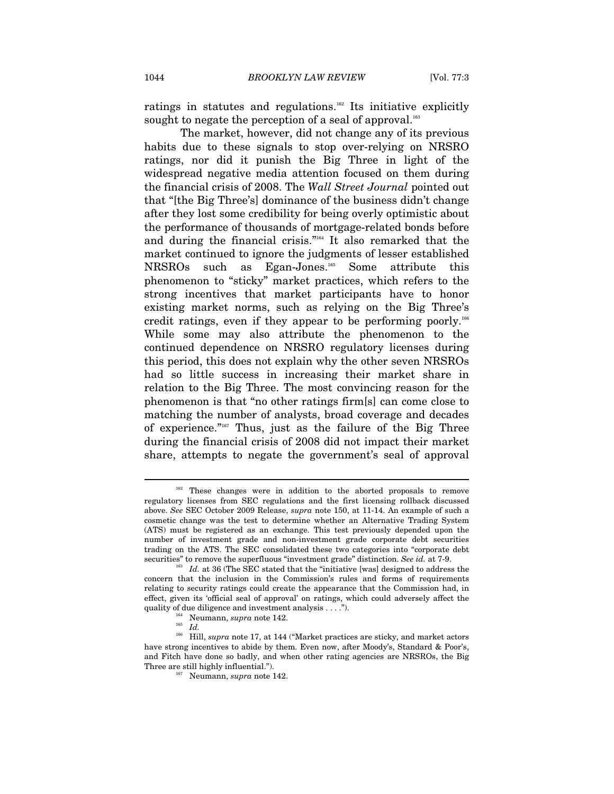ratings in statutes and regulations.162 Its initiative explicitly sought to negate the perception of a seal of approval.<sup>163</sup>

The market, however, did not change any of its previous habits due to these signals to stop over-relying on NRSRO ratings, nor did it punish the Big Three in light of the widespread negative media attention focused on them during the financial crisis of 2008. The *Wall Street Journal* pointed out that "[the Big Three's] dominance of the business didn't change after they lost some credibility for being overly optimistic about the performance of thousands of mortgage-related bonds before and during the financial crisis."164 It also remarked that the market continued to ignore the judgments of lesser established NRSROs such as Egan-Jones.165 Some attribute this phenomenon to "sticky" market practices, which refers to the strong incentives that market participants have to honor existing market norms, such as relying on the Big Three's credit ratings, even if they appear to be performing poorly.166 While some may also attribute the phenomenon to the continued dependence on NRSRO regulatory licenses during this period, this does not explain why the other seven NRSROs had so little success in increasing their market share in relation to the Big Three. The most convincing reason for the phenomenon is that "no other ratings firm[s] can come close to matching the number of analysts, broad coverage and decades of experience."167 Thus, just as the failure of the Big Three during the financial crisis of 2008 did not impact their market share, attempts to negate the government's seal of approval

These changes were in addition to the aborted proposals to remove regulatory licenses from SEC regulations and the first licensing rollback discussed above. *See* SEC October 2009 Release, *supra* note 150, at 11-14. An example of such a cosmetic change was the test to determine whether an Alternative Trading System (ATS) must be registered as an exchange. This test previously depended upon the number of investment grade and non-investment grade corporate debt securities trading on the ATS. The SEC consolidated these two categories into "corporate debt

securities" to remove the superfluous "investment grade" distinction. *See id.* at 7-9.<br><sup>163</sup> *Id.* at 36 (The SEC stated that the "initiative [was] designed to address the concern that the inclusion in the Commission's rules and forms of requirements relating to security ratings could create the appearance that the Commission had, in effect, given its 'official seal of approval' on ratings, which could adversely affect the quality of due diligence and investment analysis . . . .").<br><sup>164</sup> Neumann, *supra* note 142.<br>*Id.* 

<sup>&</sup>lt;sup>166</sup> Hill, *supra* note 17, at 144 ("Market practices are sticky, and market actors have strong incentives to abide by them. Even now, after Moody's, Standard & Poor's, and Fitch have done so badly, and when other rating agencies are NRSROs, the Big Three are still highly influential.").<br><sup>167</sup> Neumann, *supra* note 142.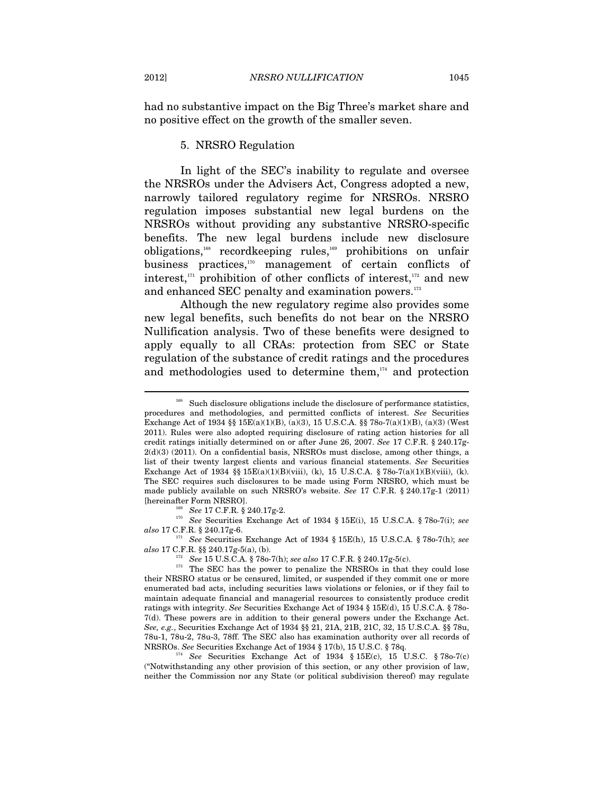#### 5. NRSRO Regulation

In light of the SEC's inability to regulate and oversee the NRSROs under the Advisers Act, Congress adopted a new, narrowly tailored regulatory regime for NRSROs. NRSRO regulation imposes substantial new legal burdens on the NRSROs without providing any substantive NRSRO-specific benefits. The new legal burdens include new disclosure obligations,168 recordkeeping rules,169 prohibitions on unfair business practices,170 management of certain conflicts of interest, $171$  prohibition of other conflicts of interest, $172$  and new and enhanced SEC penalty and examination powers.<sup>173</sup>

Although the new regulatory regime also provides some new legal benefits, such benefits do not bear on the NRSRO Nullification analysis. Two of these benefits were designed to apply equally to all CRAs: protection from SEC or State regulation of the substance of credit ratings and the procedures and methodologies used to determine them, $174}$  and protection

*also* 17 C.F.R. § 240.17g-6.<br><sup>171</sup> See Securities Exchange Act of 1934 § 15E(h), 15 U.S.C.A. § 78o-7(h); *see also* 17 C.F.R. §§ 240.17g-5(a), (b).

("Notwithstanding any other provision of this section, or any other provision of law, neither the Commission nor any State (or political subdivision thereof) may regulate

Such disclosure obligations include the disclosure of performance statistics, procedures and methodologies, and permitted conflicts of interest. *See* Securities Exchange Act of 1934 §§ 15E(a)(1)(B), (a)(3), 15 U.S.C.A. §§ 78o-7(a)(1)(B), (a)(3) (West 2011). Rules were also adopted requiring disclosure of rating action histories for all credit ratings initially determined on or after June 26, 2007. *See* 17 C.F.R. § 240.17g-2(d)(3) (2011). On a confidential basis, NRSROs must disclose, among other things, a list of their twenty largest clients and various financial statements. *See* Securities Exchange Act of 1934 §§  $15E(a)(1)(B)(viii)$ , (k), 15 U.S.C.A. § 78o-7(a)(1)(B)(viii), (k). The SEC requires such disclosures to be made using Form NRSRO, which must be made publicly available on such NRSRO's website. *See* 17 C.F.R. § 240.17g-1 (2011) [hereinafter Form NRSRO]. 169 *See* 17 C.F.R. § 240.17g-2. 170 *See* Securities Exchange Act of 1934 § 15E(i), 15 U.S.C.A. § 78o-7(i); *see* 

<sup>&</sup>lt;sup>172</sup> See 15 U.S.C.A. § 78o-7(h); *see also* 17 C.F.R. § 240.17g-5(c). <sup>173</sup> The SEC has the power to penalize the NRSROs in that they could lose their NRSRO status or be censured, limited, or suspended if they commit one or more enumerated bad acts, including securities laws violations or felonies, or if they fail to maintain adequate financial and managerial resources to consistently produce credit ratings with integrity. *See* Securities Exchange Act of 1934 § 15E(d), 15 U.S.C.A. § 78o-7(d). These powers are in addition to their general powers under the Exchange Act. *See, e.g.*, Securities Exchange Act of 1934 §§ 21, 21A, 21B, 21C, 32, 15 U.S.C.A. §§ 78u, 78u-1, 78u-2, 78u-3, 78ff. The SEC also has examination authority over all records of NRSROs. *See* Securities Exchange Act of 1934 § 17(b), 15 U.S.C. § 78q.<br><sup>174</sup> *See* Securities Exchange Act of 1934 § 15E(c), 15 U.S.C. § 78o-7(c)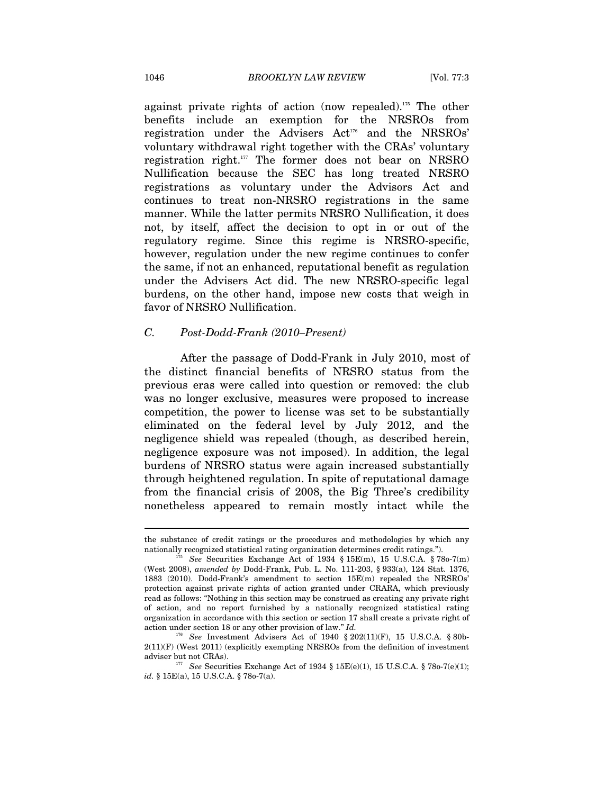against private rights of action (now repealed).175 The other benefits include an exemption for the NRSROs from registration under the Advisers Act<sup>176</sup> and the NRSROs' voluntary withdrawal right together with the CRAs' voluntary registration right.177 The former does not bear on NRSRO Nullification because the SEC has long treated NRSRO registrations as voluntary under the Advisors Act and continues to treat non-NRSRO registrations in the same manner. While the latter permits NRSRO Nullification, it does not, by itself, affect the decision to opt in or out of the regulatory regime. Since this regime is NRSRO-specific, however, regulation under the new regime continues to confer the same, if not an enhanced, reputational benefit as regulation under the Advisers Act did. The new NRSRO-specific legal burdens, on the other hand, impose new costs that weigh in favor of NRSRO Nullification.

#### *C. Post-Dodd-Frank (2010–Present)*

After the passage of Dodd-Frank in July 2010, most of the distinct financial benefits of NRSRO status from the previous eras were called into question or removed: the club was no longer exclusive, measures were proposed to increase competition, the power to license was set to be substantially eliminated on the federal level by July 2012, and the negligence shield was repealed (though, as described herein, negligence exposure was not imposed). In addition, the legal burdens of NRSRO status were again increased substantially through heightened regulation. In spite of reputational damage from the financial crisis of 2008, the Big Three's credibility nonetheless appeared to remain mostly intact while the

the substance of credit ratings or the procedures and methodologies by which any nationally recognized statistical rating organization determines credit ratings."). 175 *See* Securities Exchange Act of 1934 § 15E(m), 15 U.S.C.A. § 78o-7(m)

<sup>(</sup>West 2008), *amended by* Dodd-Frank, Pub. L. No. 111-203, § 933(a), 124 Stat. 1376, 1883 (2010). Dodd-Frank's amendment to section 15E(m) repealed the NRSROs' protection against private rights of action granted under CRARA, which previously read as follows: "Nothing in this section may be construed as creating any private right of action, and no report furnished by a nationally recognized statistical rating organization in accordance with this section or section 17 shall create a private right of action under section 18 or any other provision of law." *Id.* 176 I.S.C.A. § 80b-<br><sup>176</sup> See Investment Advisers Act of 1940 § 202(11)(F), 15 U.S.C.A. § 80b-

 $2(11)(\mathrm{F})$  (West 2011) (explicitly exempting NRSROs from the definition of investment

adviser but not CRAs). 177 See Securities Exchange Act of 1934 § 15E(e)(1), 15 U.S.C.A. § 78o-7(e)(1); *id.* § 15E(a), 15 U.S.C.A. § 78o-7(a).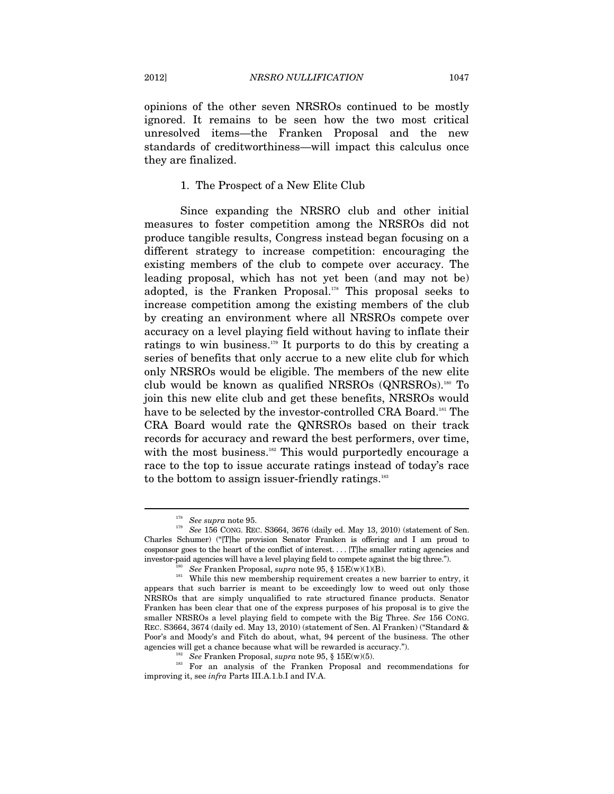opinions of the other seven NRSROs continued to be mostly ignored. It remains to be seen how the two most critical unresolved items—the Franken Proposal and the new standards of creditworthiness—will impact this calculus once they are finalized.

#### 1. The Prospect of a New Elite Club

Since expanding the NRSRO club and other initial measures to foster competition among the NRSROs did not produce tangible results, Congress instead began focusing on a different strategy to increase competition: encouraging the existing members of the club to compete over accuracy. The leading proposal, which has not yet been (and may not be) adopted, is the Franken Proposal.<sup>178</sup> This proposal seeks to increase competition among the existing members of the club by creating an environment where all NRSROs compete over accuracy on a level playing field without having to inflate their ratings to win business.<sup>179</sup> It purports to do this by creating a series of benefits that only accrue to a new elite club for which only NRSROs would be eligible. The members of the new elite club would be known as qualified NRSROs (QNRSROs).180 To join this new elite club and get these benefits, NRSROs would have to be selected by the investor-controlled CRA Board.<sup>181</sup> The CRA Board would rate the QNRSROs based on their track records for accuracy and reward the best performers, over time, with the most business.<sup>182</sup> This would purportedly encourage a race to the top to issue accurate ratings instead of today's race to the bottom to assign issuer-friendly ratings.<sup>183</sup>

<sup>&</sup>lt;sup>178</sup> See *supra* note 95.<br><sup>179</sup> See 156 CONG. REC. S3664, 3676 (daily ed. May 13, 2010) (statement of Sen. Charles Schumer) ("[T]he provision Senator Franken is offering and I am proud to cosponsor goes to the heart of the conflict of interest. . . . [T]he smaller rating agencies and

investor-paid agencies will have a level playing field to compete against the big three.").<br>
<sup>180</sup> See Franken Proposal, *supra* note 95, § 15E(w)(1)(B).<br>
<sup>181</sup> While this new membership requirement creates a new barrier appears that such barrier is meant to be exceedingly low to weed out only those NRSROs that are simply unqualified to rate structured finance products. Senator Franken has been clear that one of the express purposes of his proposal is to give the smaller NRSROs a level playing field to compete with the Big Three. *See* 156 CONG. REC. S3664, 3674 (daily ed. May 13, 2010) (statement of Sen. Al Franken) ("Standard & Poor's and Moody's and Fitch do about, what, 94 percent of the business. The other agencies will get a chance because what will be rewarded is accuracy."). 182 *See* Franken Proposal, *supra* note 95, § 15E(w)(5).

<sup>&</sup>lt;sup>183</sup> For an analysis of the Franken Proposal and recommendations for improving it, see *infra* Parts III.A.1.b.I and IV.A.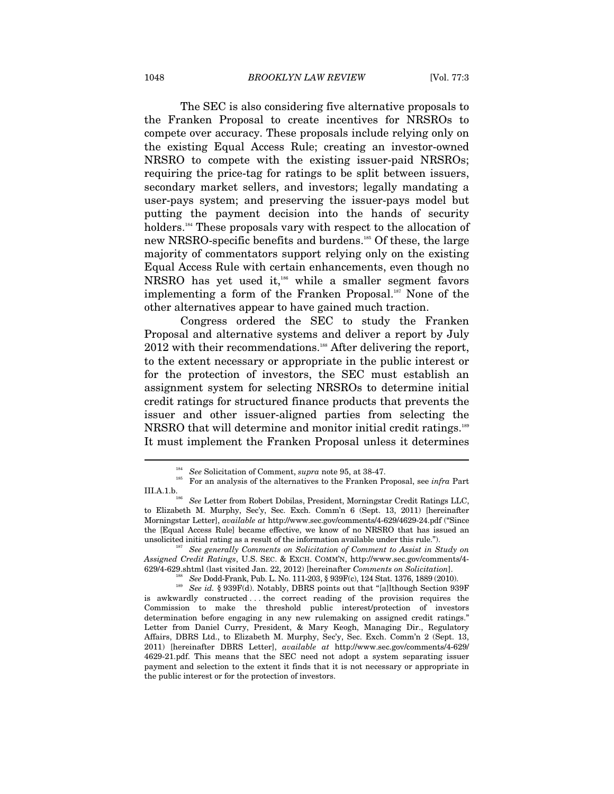The SEC is also considering five alternative proposals to the Franken Proposal to create incentives for NRSROs to compete over accuracy. These proposals include relying only on the existing Equal Access Rule; creating an investor-owned NRSRO to compete with the existing issuer-paid NRSROs; requiring the price-tag for ratings to be split between issuers, secondary market sellers, and investors; legally mandating a user-pays system; and preserving the issuer-pays model but putting the payment decision into the hands of security holders.<sup>184</sup> These proposals vary with respect to the allocation of new NRSRO-specific benefits and burdens.185 Of these, the large majority of commentators support relying only on the existing Equal Access Rule with certain enhancements, even though no NRSRO has yet used it,<sup>186</sup> while a smaller segment favors implementing a form of the Franken Proposal.<sup>187</sup> None of the other alternatives appear to have gained much traction.

Congress ordered the SEC to study the Franken Proposal and alternative systems and deliver a report by July 2012 with their recommendations.<sup>188</sup> After delivering the report, to the extent necessary or appropriate in the public interest or for the protection of investors, the SEC must establish an assignment system for selecting NRSROs to determine initial credit ratings for structured finance products that prevents the issuer and other issuer-aligned parties from selecting the NRSRO that will determine and monitor initial credit ratings.<sup>189</sup> It must implement the Franken Proposal unless it determines

<sup>&</sup>lt;sup>184</sup> See Solicitation of Comment, *supra* note 95, at 38-47.<br><sup>185</sup> For an analysis of the alternatives to the Franken Proposal, see *infra* Part

III.A.1.b.<br><sup>186</sup> See Letter from Robert Dobilas, President, Morningstar Credit Ratings LLC, to Elizabeth M. Murphy, Sec'y, Sec. Exch. Comm'n 6 (Sept. 13, 2011) [hereinafter Morningstar Letter], *available at* http://www.sec.gov/comments/4-629/4629-24.pdf ("Since the [Equal Access Rule] became effective, we know of no NRSRO that has issued an unsolicited initial rating as a result of the information available under this rule."). 187 *See generally Comments on Solicitation of Comment to Assist in Study on* 

*Assigned Credit Ratings*, U.S. SEC. & EXCH. COMM'N, http://www.sec.gov/comments/4- 629/4-629.shtml (last visited Jan. 22, 2012) [hereinafter Comments on Solicitation].<br><sup>188</sup> See Dodd-Frank, Pub. L. No. 111-203, § 939F(c), 124 Stat. 1376, 1889 (2010).<br><sup>189</sup> See id. § 939F(d). Notably, DBRS points out tha

is awkwardly constructed . . . the correct reading of the provision requires the Commission to make the threshold public interest/protection of investors determination before engaging in any new rulemaking on assigned credit ratings." Letter from Daniel Curry, President, & Mary Keogh, Managing Dir., Regulatory Affairs, DBRS Ltd., to Elizabeth M. Murphy, Sec'y, Sec. Exch. Comm'n 2 (Sept. 13, 2011) [hereinafter DBRS Letter], *available at* http://www.sec.gov/comments/4-629/ 4629-21.pdf. This means that the SEC need not adopt a system separating issuer payment and selection to the extent it finds that it is not necessary or appropriate in the public interest or for the protection of investors.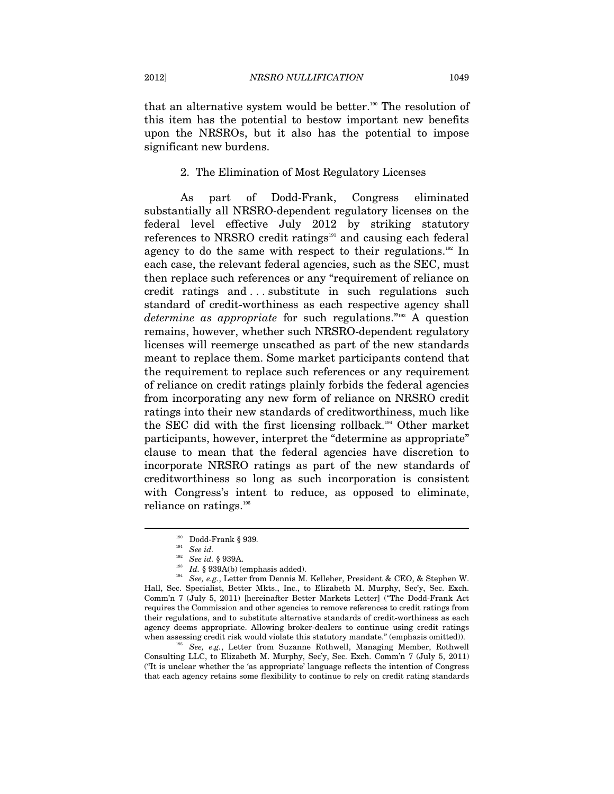that an alternative system would be better.<sup>190</sup> The resolution of this item has the potential to bestow important new benefits upon the NRSROs, but it also has the potential to impose significant new burdens.

#### 2. The Elimination of Most Regulatory Licenses

As part of Dodd-Frank, Congress eliminated substantially all NRSRO-dependent regulatory licenses on the federal level effective July 2012 by striking statutory references to NRSRO credit ratings<sup>191</sup> and causing each federal agency to do the same with respect to their regulations.<sup>192</sup> In each case, the relevant federal agencies, such as the SEC, must then replace such references or any "requirement of reliance on credit ratings and . . . substitute in such regulations such standard of credit-worthiness as each respective agency shall *determine as appropriate* for such regulations."193 A question remains, however, whether such NRSRO-dependent regulatory licenses will reemerge unscathed as part of the new standards meant to replace them. Some market participants contend that the requirement to replace such references or any requirement of reliance on credit ratings plainly forbids the federal agencies from incorporating any new form of reliance on NRSRO credit ratings into their new standards of creditworthiness, much like the SEC did with the first licensing rollback.194 Other market participants, however, interpret the "determine as appropriate" clause to mean that the federal agencies have discretion to incorporate NRSRO ratings as part of the new standards of creditworthiness so long as such incorporation is consistent with Congress's intent to reduce, as opposed to eliminate, reliance on ratings.<sup>195</sup>

 $\overline{a}$ 

Consulting LLC, to Elizabeth M. Murphy, Sec'y, Sec. Exch. Comm'n 7 (July 5, 2011) ("It is unclear whether the 'as appropriate' language reflects the intention of Congress that each agency retains some flexibility to continue to rely on credit rating standards

<sup>190</sup> Dodd-Frank § 939*.*

<sup>&</sup>lt;sup>191</sup> See id.<br><sup>192</sup> See id. § 939A.

<sup>&</sup>lt;sup>193</sup> Id. § 939A(b) (emphasis added).<br><sup>194</sup> *See, e.g.*, Letter from Dennis M. Kelleher, President & CEO, & Stephen W. Hall, Sec. Specialist, Better Mkts., Inc., to Elizabeth M. Murphy, Sec'y, Sec. Exch. Comm'n 7 (July 5, 2011) [hereinafter Better Markets Letter] ("The Dodd-Frank Act requires the Commission and other agencies to remove references to credit ratings from their regulations, and to substitute alternative standards of credit-worthiness as each agency deems appropriate. Allowing broker-dealers to continue using credit ratings when assessing credit risk would violate this statutory mandate." (emphasis omitted)). 195 *See, e.g.*, Letter from Suzanne Rothwell, Managing Member, Rothwell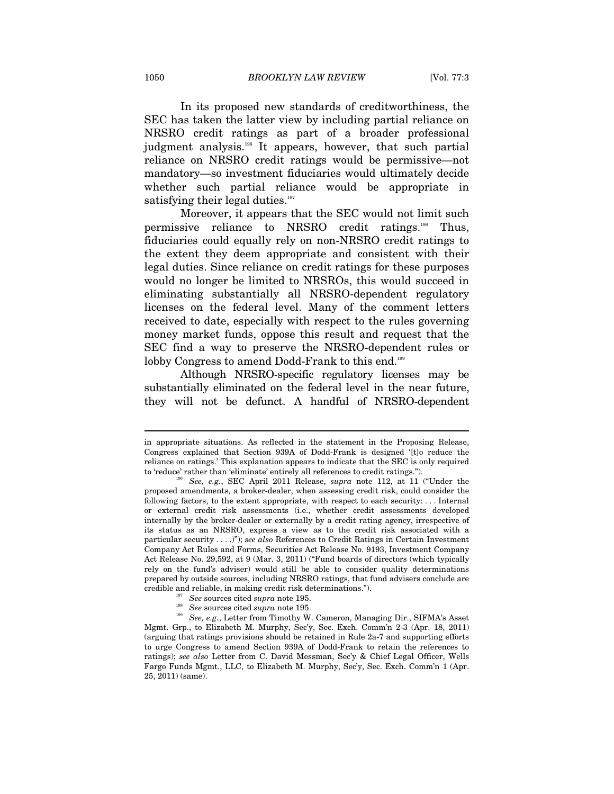In its proposed new standards of creditworthiness, the SEC has taken the latter view by including partial reliance on NRSRO credit ratings as part of a broader professional judgment analysis.<sup>196</sup> It appears, however, that such partial reliance on NRSRO credit ratings would be permissive—not mandatory—so investment fiduciaries would ultimately decide whether such partial reliance would be appropriate in satisfying their legal duties.<sup>197</sup>

Moreover, it appears that the SEC would not limit such permissive reliance to NRSRO credit ratings.198 Thus, fiduciaries could equally rely on non-NRSRO credit ratings to the extent they deem appropriate and consistent with their legal duties. Since reliance on credit ratings for these purposes would no longer be limited to NRSROs, this would succeed in eliminating substantially all NRSRO-dependent regulatory licenses on the federal level. Many of the comment letters received to date, especially with respect to the rules governing money market funds, oppose this result and request that the SEC find a way to preserve the NRSRO-dependent rules or lobby Congress to amend Dodd-Frank to this end.<sup>199</sup>

Although NRSRO-specific regulatory licenses may be substantially eliminated on the federal level in the near future, they will not be defunct. A handful of NRSRO-dependent

in appropriate situations. As reflected in the statement in the Proposing Release, Congress explained that Section 939A of Dodd-Frank is designed '[t]o reduce the reliance on ratings.' This explanation appears to indicate that the SEC is only required to 'reduce' rather than 'eliminate' entirely all references to credit ratings."). 196 *See, e.g.*, SEC April 2011 Release, *supra* note 112, at 11 ("Under the

proposed amendments, a broker-dealer, when assessing credit risk, could consider the following factors, to the extent appropriate, with respect to each security: . . . Internal or external credit risk assessments (i.e., whether credit assessments developed internally by the broker-dealer or externally by a credit rating agency, irrespective of its status as an NRSRO, express a view as to the credit risk associated with a particular security . . . .)"); *see also* References to Credit Ratings in Certain Investment Company Act Rules and Forms, Securities Act Release No. 9193, Investment Company Act Release No. 29,592, at 9 (Mar. 3, 2011) ("Fund boards of directors (which typically rely on the fund's adviser) would still be able to consider quality determinations prepared by outside sources, including NRSRO ratings, that fund advisers conclude are

credible and reliable, in making credit risk determinations.").<br>
See sources cited *supra* note 195.<br>
<sup>198</sup> See sources cited *supra* note 195.<br>
<sup>198</sup> See, e.g., Letter from Timothy W. Cameron, Managing Dir., SIFMA's Asse Mgmt. Grp., to Elizabeth M. Murphy, Sec'y, Sec. Exch. Comm'n 2-3 (Apr. 18, 2011) (arguing that ratings provisions should be retained in Rule 2a-7 and supporting efforts to urge Congress to amend Section 939A of Dodd-Frank to retain the references to ratings); *see also* Letter from C. David Messman, Sec'y & Chief Legal Officer, Wells Fargo Funds Mgmt., LLC, to Elizabeth M. Murphy, Sec'y, Sec. Exch. Comm'n 1 (Apr. 25, 2011) (same).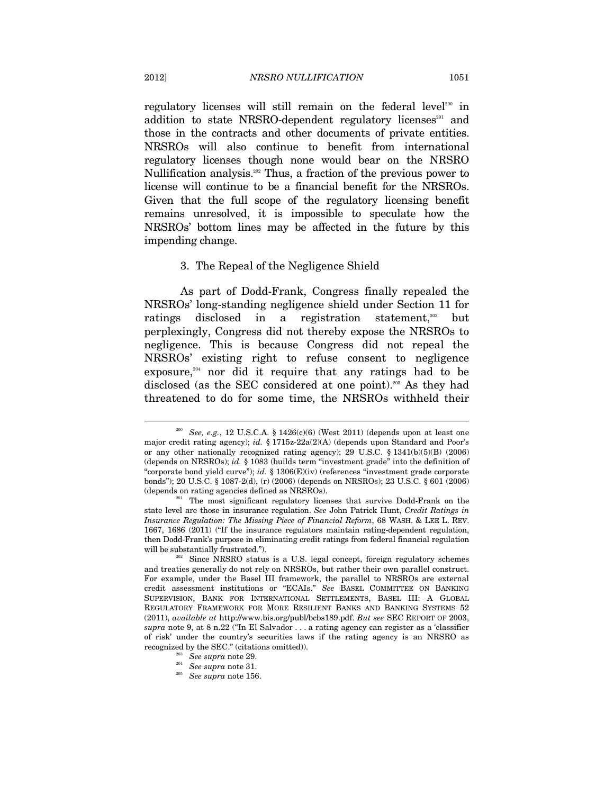regulatory licenses will still remain on the federal level<sup>200</sup> in addition to state NRSRO-dependent regulatory licenses<sup>201</sup> and those in the contracts and other documents of private entities. NRSROs will also continue to benefit from international regulatory licenses though none would bear on the NRSRO Nullification analysis.<sup>202</sup> Thus, a fraction of the previous power to license will continue to be a financial benefit for the NRSROs. Given that the full scope of the regulatory licensing benefit remains unresolved, it is impossible to speculate how the NRSROs' bottom lines may be affected in the future by this impending change.

#### 3. The Repeal of the Negligence Shield

As part of Dodd-Frank, Congress finally repealed the NRSROs' long-standing negligence shield under Section 11 for ratings disclosed in a registration statement,<sup>203</sup> but perplexingly, Congress did not thereby expose the NRSROs to negligence. This is because Congress did not repeal the NRSROs' existing right to refuse consent to negligence exposure, $204$  nor did it require that any ratings had to be disclosed (as the SEC considered at one point).205 As they had threatened to do for some time, the NRSROs withheld their

<sup>&</sup>lt;sup>200</sup> See, e.g., 12 U.S.C.A. § 1426(c)(6) (West 2011) (depends upon at least one major credit rating agency); *id.* § 1715z-22a(2)(A) (depends upon Standard and Poor's or any other nationally recognized rating agency); 29 U.S.C. § 1341(b)(5)(B) (2006) (depends on NRSROs); *id.* § 1083 (builds term "investment grade" into the definition of "corporate bond yield curve"); *id.* § 1306(E)(iv) (references "investment grade corporate bonds"); 20 U.S.C. § 1087-2(d), (r) (2006) (depends on NRSROs); 23 U.S.C. § 601 (2006) (depends on rating agencies defined as NRSROs). 201 The most significant regulatory licenses that survive Dodd-Frank on the

state level are those in insurance regulation. *See* John Patrick Hunt, *Credit Ratings in Insurance Regulation: The Missing Piece of Financial Reform*, 68 WASH. & LEE L. REV. 1667, 1686 (2011) ("If the insurance regulators maintain rating-dependent regulation, then Dodd-Frank's purpose in eliminating credit ratings from federal financial regulation will be substantially frustrated.").<br><sup>202</sup> Since NRSRO status is a U.S. legal concept, foreign regulatory schemes

and treaties generally do not rely on NRSROs, but rather their own parallel construct. For example, under the Basel III framework, the parallel to NRSROs are external credit assessment institutions or "ECAIs." *See* BASEL COMMITTEE ON BANKING SUPERVISION, BANK FOR INTERNATIONAL SETTLEMENTS, BASEL III: A GLOBAL REGULATORY FRAMEWORK FOR MORE RESILIENT BANKS AND BANKING SYSTEMS 52 (2011), *available at* http://www.bis.org/publ/bcbs189.pdf. *But see* SEC REPORT OF 2003, *supra* note 9, at 8 n.22 ("In El Salvador . . . a rating agency can register as a 'classifier of risk' under the country's securities laws if the rating agency is an NRSRO as recognized by the SEC." (citations omitted)). 203 *See supra* note 29. 204 *See supra* note 31. 205 *See supra* note 156.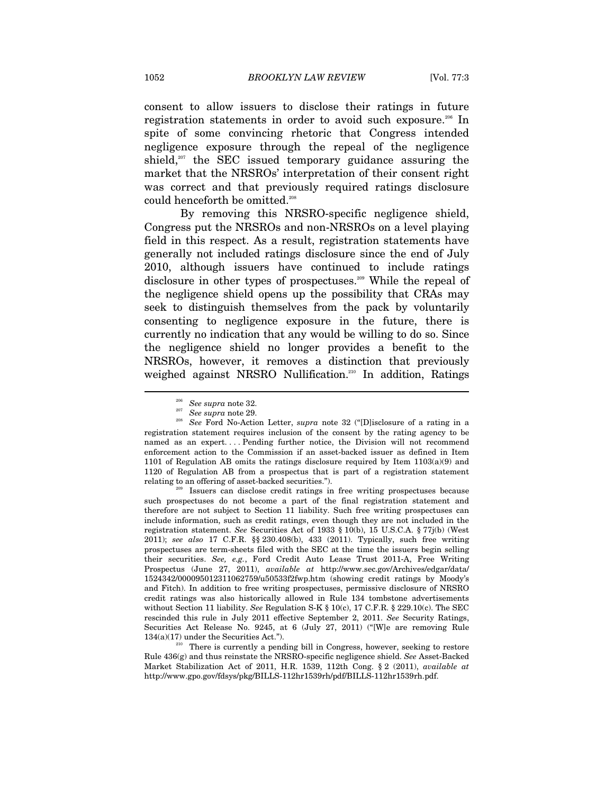consent to allow issuers to disclose their ratings in future registration statements in order to avoid such exposure.<sup>206</sup> In spite of some convincing rhetoric that Congress intended negligence exposure through the repeal of the negligence shield, $207$  the SEC issued temporary guidance assuring the market that the NRSROs' interpretation of their consent right was correct and that previously required ratings disclosure could henceforth be omitted.<sup>208</sup>

By removing this NRSRO-specific negligence shield, Congress put the NRSROs and non-NRSROs on a level playing field in this respect. As a result, registration statements have generally not included ratings disclosure since the end of July 2010, although issuers have continued to include ratings disclosure in other types of prospectuses.<sup>209</sup> While the repeal of the negligence shield opens up the possibility that CRAs may seek to distinguish themselves from the pack by voluntarily consenting to negligence exposure in the future, there is currently no indication that any would be willing to do so. Since the negligence shield no longer provides a benefit to the NRSROs, however, it removes a distinction that previously weighed against NRSRO Nullification.<sup>210</sup> In addition, Ratings

such prospectuses do not become a part of the final registration statement and therefore are not subject to Section 11 liability. Such free writing prospectuses can include information, such as credit ratings, even though they are not included in the registration statement. *See* Securities Act of 1933 § 10(b), 15 U.S.C.A. § 77j(b) (West 2011); *see also* 17 C.F.R. §§ 230.408(b), 433 (2011). Typically, such free writing prospectuses are term-sheets filed with the SEC at the time the issuers begin selling their securities. *See, e.g.*, Ford Credit Auto Lease Trust 2011-A, Free Writing Prospectus (June 27, 2011), *available at* http://www.sec.gov/Archives/edgar/data/ 1524342/000095012311062759/u50533f2fwp.htm (showing credit ratings by Moody's and Fitch). In addition to free writing prospectuses, permissive disclosure of NRSRO credit ratings was also historically allowed in Rule 134 tombstone advertisements without Section 11 liability. *See* Regulation S-K § 10(c), 17 C.F.R. § 229.10(c). The SEC rescinded this rule in July 2011 effective September 2, 2011. *See* Security Ratings, Securities Act Release No. 9245, at 6 (July 27, 2011) ("[W]e are removing Rule 134(a)(17) under the Securities Act.").<br><sup>210</sup> There is currently a pending bill in Congress, however, seeking to restore

Rule 436(g) and thus reinstate the NRSRO-specific negligence shield. *See* Asset-Backed Market Stabilization Act of 2011, H.R. 1539, 112th Cong. § 2 (2011), *available at* http://www.gpo.gov/fdsys/pkg/BILLS-112hr1539rh/pdf/BILLS-112hr1539rh.pdf.

<sup>206</sup> *See supra* note 32. 207 *See supra* note 29. 208 *See* Ford No-Action Letter, *supra* note 32 ("[D]isclosure of a rating in a registration statement requires inclusion of the consent by the rating agency to be named as an expert. . . . Pending further notice, the Division will not recommend enforcement action to the Commission if an asset-backed issuer as defined in Item 1101 of Regulation AB omits the ratings disclosure required by Item  $1103(a)(9)$  and 1120 of Regulation AB from a prospectus that is part of a registration statement relating to an offering of asset-backed securities."). 209 Issuers can disclose credit ratings in free writing prospectuses because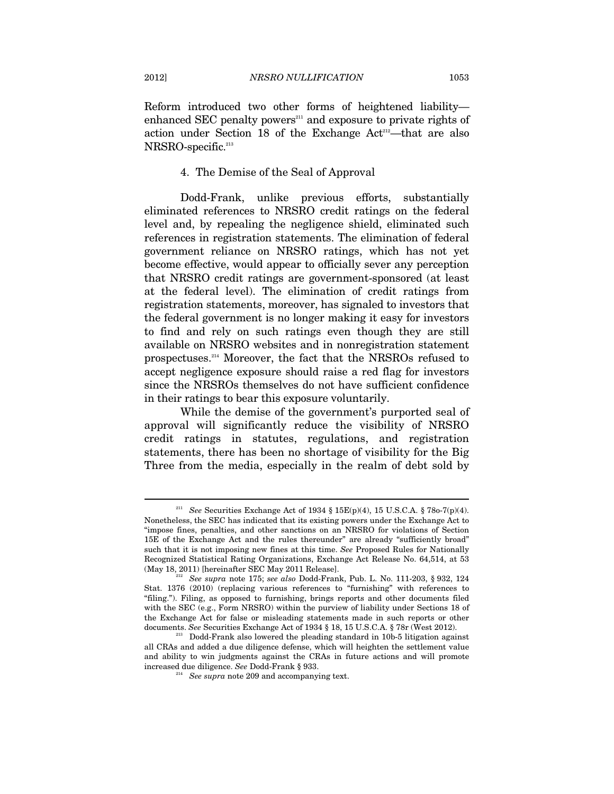Reform introduced two other forms of heightened liability enhanced SEC penalty powers $\sum_{i=1}^{n}$  and exposure to private rights of action under Section 18 of the Exchange Act<sup>212</sup>—that are also NRSRO-specific.<sup>213</sup>

# 4. The Demise of the Seal of Approval

Dodd-Frank, unlike previous efforts, substantially eliminated references to NRSRO credit ratings on the federal level and, by repealing the negligence shield, eliminated such references in registration statements. The elimination of federal government reliance on NRSRO ratings, which has not yet become effective, would appear to officially sever any perception that NRSRO credit ratings are government-sponsored (at least at the federal level). The elimination of credit ratings from registration statements, moreover, has signaled to investors that the federal government is no longer making it easy for investors to find and rely on such ratings even though they are still available on NRSRO websites and in nonregistration statement prospectuses.214 Moreover, the fact that the NRSROs refused to accept negligence exposure should raise a red flag for investors since the NRSROs themselves do not have sufficient confidence in their ratings to bear this exposure voluntarily.

While the demise of the government's purported seal of approval will significantly reduce the visibility of NRSRO credit ratings in statutes, regulations, and registration statements, there has been no shortage of visibility for the Big Three from the media, especially in the realm of debt sold by

<sup>211</sup> *See* Securities Exchange Act of 1934 § 15E(p)(4), 15 U.S.C.A. § 78o-7(p)(4). Nonetheless, the SEC has indicated that its existing powers under the Exchange Act to "impose fines, penalties, and other sanctions on an NRSRO for violations of Section 15E of the Exchange Act and the rules thereunder" are already "sufficiently broad" such that it is not imposing new fines at this time. *See* Proposed Rules for Nationally Recognized Statistical Rating Organizations, Exchange Act Release No. 64,514, at 53

<sup>(</sup>May 18, 2011) [hereinafter SEC May 2011 Release]. 212 *See supra* note 175; *see also* Dodd-Frank, Pub. L. No. 111-203, § 932, 124 Stat. 1376 (2010) (replacing various references to "furnishing" with references to "filing."). Filing, as opposed to furnishing, brings reports and other documents filed with the SEC (e.g., Form NRSRO) within the purview of liability under Sections 18 of the Exchange Act for false or misleading statements made in such reports or other documents. See Securities Exchange Act of 1934 § 18, 15 U.S.C.A. § 78r (West 2012).

<sup>&</sup>lt;sup>213</sup> Dodd-Frank also lowered the pleading standard in 10b-5 litigation against all CRAs and added a due diligence defense, which will heighten the settlement value and ability to win judgments against the CRAs in future actions and will promote increased due diligence. *See* Dodd-Frank § 933. 214 *See supra* note 209 and accompanying text.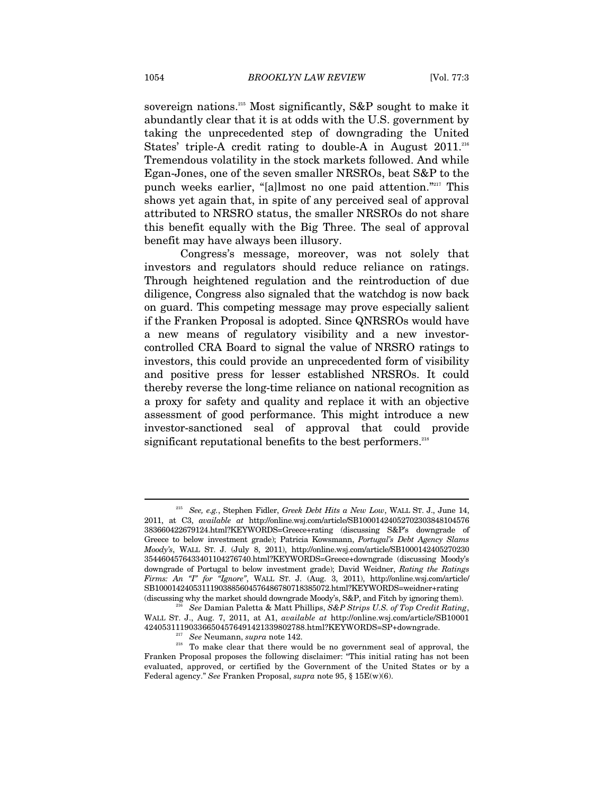sovereign nations.215 Most significantly, S&P sought to make it abundantly clear that it is at odds with the U.S. government by taking the unprecedented step of downgrading the United States' triple-A credit rating to double-A in August  $2011$ .<sup>216</sup> Tremendous volatility in the stock markets followed. And while Egan-Jones, one of the seven smaller NRSROs, beat S&P to the punch weeks earlier, "[a]lmost no one paid attention."217 This shows yet again that, in spite of any perceived seal of approval attributed to NRSRO status, the smaller NRSROs do not share this benefit equally with the Big Three. The seal of approval benefit may have always been illusory.

Congress's message, moreover, was not solely that investors and regulators should reduce reliance on ratings. Through heightened regulation and the reintroduction of due diligence, Congress also signaled that the watchdog is now back on guard. This competing message may prove especially salient if the Franken Proposal is adopted. Since QNRSROs would have a new means of regulatory visibility and a new investorcontrolled CRA Board to signal the value of NRSRO ratings to investors, this could provide an unprecedented form of visibility and positive press for lesser established NRSROs. It could thereby reverse the long-time reliance on national recognition as a proxy for safety and quality and replace it with an objective assessment of good performance. This might introduce a new investor-sanctioned seal of approval that could provide significant reputational benefits to the best performers.<sup>218</sup>

<sup>215</sup> *See, e.g.*, Stephen Fidler, *Greek Debt Hits a New Low*, WALL ST. J., June 14, 2011, at C3, *available at* http://online.wsj.com/article/SB10001424052702303848104576 383660422679124.html?KEYWORDS=Greece+rating (discussing S&P's downgrade of Greece to below investment grade); Patricia Kowsmann, *Portugal's Debt Agency Slams Moody's*, WALL ST. J. (July 8, 2011), http://online.wsj.com/article/SB1000142405270230 3544604576433401104276740.html?KEYWORDS=Greece+downgrade (discussing Moody's downgrade of Portugal to below investment grade); David Weidner, *Rating the Ratings Firms: An "I" for "Ignore"*, WALL ST. J. (Aug. 3, 2011), http://online.wsj.com/article/ SB10001424053111903885604576486780718385072.html?KEYWORDS=weidner+rating

<sup>(</sup>discussing why the market should downgrade Moody's, S&P, and Fitch by ignoring them). 216 *See* Damian Paletta & Matt Phillips, *S&P Strips U.S. of Top Credit Rating*, WALL ST. J., Aug. 7, 2011, at A1, *available at* http://online.wsj.com/article/SB10001

<sup>&</sup>lt;sup>217</sup> See Neumann, *supra* note 142.<br><sup>218</sup> To make clear that there would be no government seal of approval, the Franken Proposal proposes the following disclaimer: "This initial rating has not been evaluated, approved, or certified by the Government of the United States or by a Federal agency." *See* Franken Proposal, *supra* note 95, § 15E(w)(6).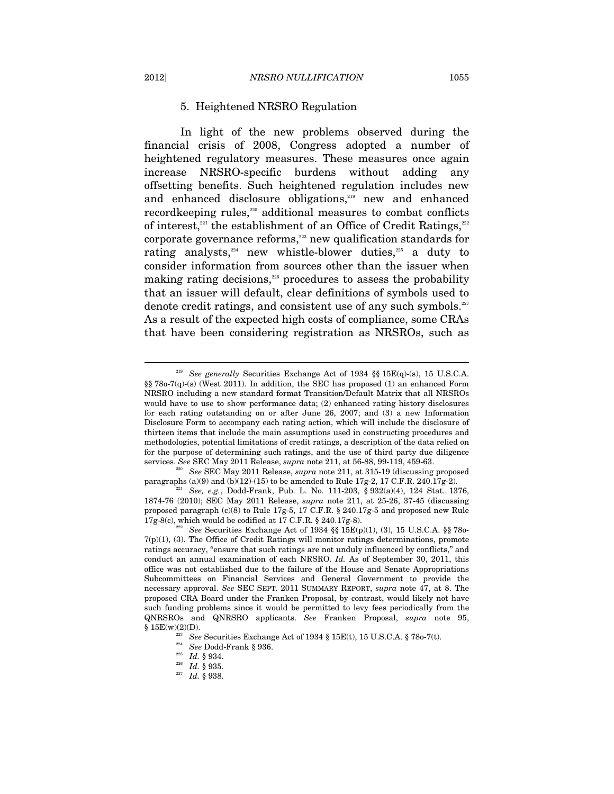### 5. Heightened NRSRO Regulation

In light of the new problems observed during the financial crisis of 2008, Congress adopted a number of heightened regulatory measures. These measures once again increase NRSRO-specific burdens without adding any offsetting benefits. Such heightened regulation includes new and enhanced disclosure obligations,<sup>219</sup> new and enhanced recordkeeping rules,<sup>220</sup> additional measures to combat conflicts of interest, $221$  the establishment of an Office of Credit Ratings, $222$ corporate governance reforms,<sup>223</sup> new qualification standards for rating analysts, $24$  new whistle-blower duties, $225$  a duty to consider information from sources other than the issuer when making rating decisions,<sup>226</sup> procedures to assess the probability that an issuer will default, clear definitions of symbols used to denote credit ratings, and consistent use of any such symbols. $227$ As a result of the expected high costs of compliance, some CRAs that have been considering registration as NRSROs, such as

<sup>219</sup> *See generally* Securities Exchange Act of 1934 §§ 15E(q)-(s), 15 U.S.C.A. §§ 78o-7(q)-(s) (West 2011). In addition, the SEC has proposed (1) an enhanced Form NRSRO including a new standard format Transition/Default Matrix that all NRSROs would have to use to show performance data; (2) enhanced rating history disclosures for each rating outstanding on or after June 26, 2007; and (3) a new Information Disclosure Form to accompany each rating action, which will include the disclosure of thirteen items that include the main assumptions used in constructing procedures and methodologies, potential limitations of credit ratings, a description of the data relied on for the purpose of determining such ratings, and the use of third party due diligence services. *See* SEC May 2011 Release, *supra* note 211, at 56-88, 99-119, 459-63. 220 *See* SEC May 2011 Release, *supra* note 211, at 315-19 (discussing proposed

paragraphs (a)(9) and (b)(12)-(15) to be amended to Rule 17g-2, 17 C.F.R. 240.17g-2).<br><sup>221</sup> *See, e.g.*, Dodd-Frank, Pub. L. No. 111-203, § 932(a)(4), 124 Stat. 1376,

<sup>1874-76 (2010);</sup> SEC May 2011 Release, *supra* note 211, at 25-26, 37-45 (discussing proposed paragraph (c)(8) to Rule 17g-5, 17 C.F.R. § 240.17g-5 and proposed new Rule 17g-8(c), which would be codified at 17 C.F.R. § 240.17g-8). 222 *See* Securities Exchange Act of 1934 §§ 15E(p)(1), (3), 15 U.S.C.A. §§ 78o-

 $7(p)(1)$ , (3). The Office of Credit Ratings will monitor ratings determinations, promote ratings accuracy, "ensure that such ratings are not unduly influenced by conflicts," and conduct an annual examination of each NRSRO. *Id.* As of September 30, 2011, this office was not established due to the failure of the House and Senate Appropriations Subcommittees on Financial Services and General Government to provide the necessary approval. *See* SEC SEPT. 2011 SUMMARY REPORT, *supra* note 47, at 8. The proposed CRA Board under the Franken Proposal, by contrast, would likely not have such funding problems since it would be permitted to levy fees periodically from the QNRSROs and QNRSRO applicants. *See* Franken Proposal, *supra* note 95,

<sup>&</sup>lt;sup>223</sup> See Securities Exchange Act of 1934 § 15E(t), 15 U.S.C.A. § 78o-7(t).<br><sup>225</sup> *Id.* § 934. <br><sup>226</sup> *Id.* § 935. <br><sup>227</sup> *Id.* § 938.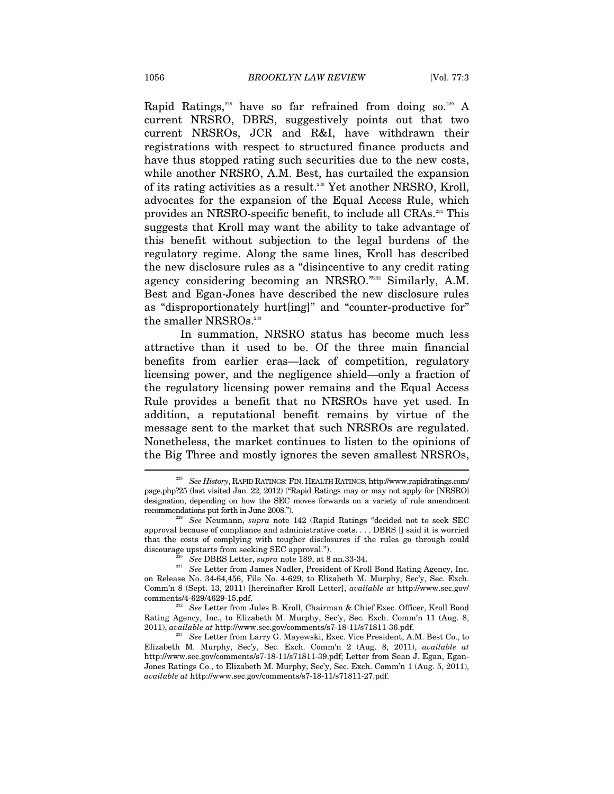Rapid Ratings,<sup>228</sup> have so far refrained from doing so.<sup>229</sup> A current NRSRO, DBRS, suggestively points out that two current NRSROs, JCR and R&I, have withdrawn their registrations with respect to structured finance products and have thus stopped rating such securities due to the new costs, while another NRSRO, A.M. Best, has curtailed the expansion of its rating activities as a result.<sup>230</sup> Yet another NRSRO, Kroll, advocates for the expansion of the Equal Access Rule, which provides an NRSRO-specific benefit, to include all CRAs.231 This suggests that Kroll may want the ability to take advantage of this benefit without subjection to the legal burdens of the regulatory regime. Along the same lines, Kroll has described the new disclosure rules as a "disincentive to any credit rating agency considering becoming an NRSRO."232 Similarly, A.M. Best and Egan-Jones have described the new disclosure rules as "disproportionately hurt[ing]" and "counter-productive for" the smaller NRSROs.<sup>233</sup>

In summation, NRSRO status has become much less attractive than it used to be. Of the three main financial benefits from earlier eras—lack of competition, regulatory licensing power, and the negligence shield—only a fraction of the regulatory licensing power remains and the Equal Access Rule provides a benefit that no NRSROs have yet used. In addition, a reputational benefit remains by virtue of the message sent to the market that such NRSROs are regulated. Nonetheless, the market continues to listen to the opinions of the Big Three and mostly ignores the seven smallest NRSROs,  $\overline{a}$ 

<sup>228</sup> *See History*, RAPID RATINGS: FIN. HEALTH RATINGS, http://www.rapidratings.com/ page.php?25 (last visited Jan. 22, 2012) ("Rapid Ratings may or may not apply for [NRSRO] designation, depending on how the SEC moves forwards on a variety of rule amendment recommendations put forth in June 2008."). 229 *See* Neumann, *supra* note 142 (Rapid Ratings "decided not to seek SEC

approval because of compliance and administrative costs. . . . DBRS [] said it is worried that the costs of complying with tougher disclosures if the rules go through could

discourage upstarts from seeking SEC approval."). 230<br><sup>230</sup> See DBRS Letter, *supra* note 189, at 8 nn.33-34. 231 See Letter from James Nadler, President of Kroll Bond Rating Agency, Inc. on Release No. 34-64,456, File No. 4-629, to Elizabeth M. Murphy, Sec'y, Sec. Exch. Comm'n 8 (Sept. 13, 2011) [hereinafter Kroll Letter], *available at* http://www.sec.gov/ comments/4-629/4629-15.pdf. 232 *See* Letter from Jules B. Kroll, Chairman & Chief Exec. Officer, Kroll Bond

Rating Agency, Inc., to Elizabeth M. Murphy, Sec'y, Sec. Exch. Comm'n 11 (Aug. 8, 2011), *available at http://www.sec.gov/comments/s*7-18-11/s71811-36.pdf.

<sup>&</sup>lt;sup>233</sup> See Letter from Larry G. Mayewski, Exec. Vice President, A.M. Best Co., to Elizabeth M. Murphy, Sec'y, Sec. Exch. Comm'n 2 (Aug. 8, 2011), *available at* http://www.sec.gov/comments/s7-18-11/s71811-39.pdf; Letter from Sean J. Egan, Egan-Jones Ratings Co., to Elizabeth M. Murphy, Sec'y, Sec. Exch. Comm'n 1 (Aug. 5, 2011), *available at* http://www.sec.gov/comments/s7-18-11/s71811-27.pdf.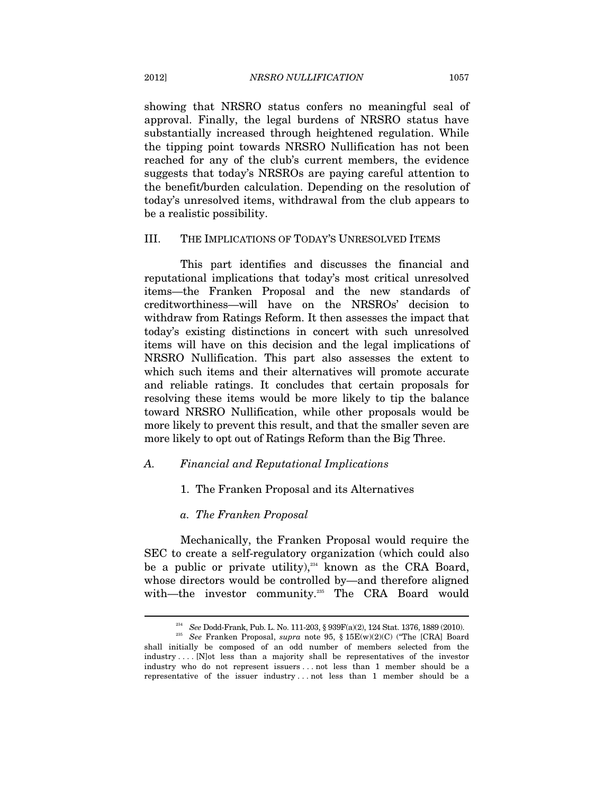showing that NRSRO status confers no meaningful seal of approval. Finally, the legal burdens of NRSRO status have substantially increased through heightened regulation. While the tipping point towards NRSRO Nullification has not been reached for any of the club's current members, the evidence suggests that today's NRSROs are paying careful attention to the benefit/burden calculation. Depending on the resolution of today's unresolved items, withdrawal from the club appears to be a realistic possibility.

# III. THE IMPLICATIONS OF TODAY'S UNRESOLVED ITEMS

This part identifies and discusses the financial and reputational implications that today's most critical unresolved items—the Franken Proposal and the new standards of creditworthiness—will have on the NRSROs' decision to withdraw from Ratings Reform. It then assesses the impact that today's existing distinctions in concert with such unresolved items will have on this decision and the legal implications of NRSRO Nullification. This part also assesses the extent to which such items and their alternatives will promote accurate and reliable ratings. It concludes that certain proposals for resolving these items would be more likely to tip the balance toward NRSRO Nullification, while other proposals would be more likely to prevent this result, and that the smaller seven are more likely to opt out of Ratings Reform than the Big Three.

# *A. Financial and Reputational Implications*

# 1. The Franken Proposal and its Alternatives

#### *a. The Franken Proposal*

Mechanically, the Franken Proposal would require the SEC to create a self-regulatory organization (which could also be a public or private utility), $234$  known as the CRA Board, whose directors would be controlled by—and therefore aligned with—the investor community.<sup>235</sup> The CRA Board would

<sup>234</sup> *See* Dodd-Frank, Pub. L. No. 111-203, § 939F(a)(2), 124 Stat. 1376, 1889 (2010). 235 *See* Franken Proposal, *supra* note 95, § 15E(w)(2)(C) ("The [CRA] Board shall initially be composed of an odd number of members selected from the industry . . . . [N]ot less than a majority shall be representatives of the investor industry who do not represent issuers . . . not less than 1 member should be a representative of the issuer industry . . . not less than 1 member should be a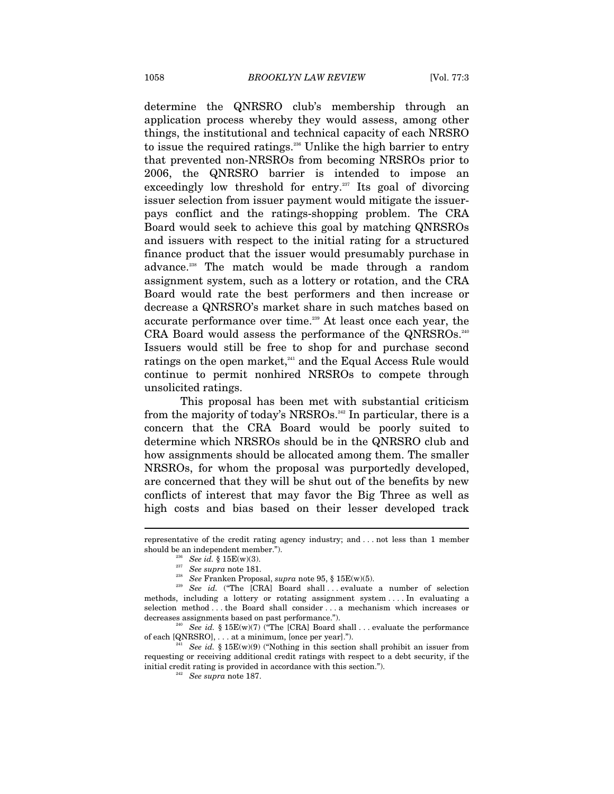determine the QNRSRO club's membership through an application process whereby they would assess, among other things, the institutional and technical capacity of each NRSRO to issue the required ratings.<sup>236</sup> Unlike the high barrier to entry that prevented non-NRSROs from becoming NRSROs prior to 2006, the QNRSRO barrier is intended to impose an exceedingly low threshold for entry. $237$  Its goal of divorcing issuer selection from issuer payment would mitigate the issuerpays conflict and the ratings-shopping problem. The CRA Board would seek to achieve this goal by matching QNRSROs and issuers with respect to the initial rating for a structured finance product that the issuer would presumably purchase in advance.238 The match would be made through a random assignment system, such as a lottery or rotation, and the CRA Board would rate the best performers and then increase or decrease a QNRSRO's market share in such matches based on accurate performance over time.<sup>239</sup> At least once each year, the CRA Board would assess the performance of the QNRSROs.<sup>240</sup> Issuers would still be free to shop for and purchase second ratings on the open market,<sup>241</sup> and the Equal Access Rule would continue to permit nonhired NRSROs to compete through unsolicited ratings.

This proposal has been met with substantial criticism from the majority of today's NRSROs.<sup>242</sup> In particular, there is a concern that the CRA Board would be poorly suited to determine which NRSROs should be in the QNRSRO club and how assignments should be allocated among them. The smaller NRSROs, for whom the proposal was purportedly developed, are concerned that they will be shut out of the benefits by new conflicts of interest that may favor the Big Three as well as high costs and bias based on their lesser developed track

representative of the credit rating agency industry; and . . . not less than 1 member % should be an independent member.").<br>
<sup>236</sup> See id. § 15E(w)(3).<br>
<sup>237</sup> See supra note 181.<br>
<sup>238</sup> See Franken Proposal, *supra* note 95, § 15E(w)(5).<br>
<sup>238</sup> See id. ("The [CRA] Board shall... evaluate a number of select

methods, including a lottery or rotating assignment system . . . . In evaluating a selection method . . . the Board shall consider . . . a mechanism which increases or decreases assignments based on past performance.").<br><sup>240</sup> See id. § 15E(w)(7) ("The [CRA] Board shall . . . evaluate the performance

of each [QNRSRO], . . . at a minimum, [once per year].").<br><sup>241</sup> See id. § 15E(w)(9) ("Nothing in this section shall prohibit an issuer from

requesting or receiving additional credit ratings with respect to a debt security, if the initial credit rating is provided in accordance with this section."). 242 *See supra* note 187.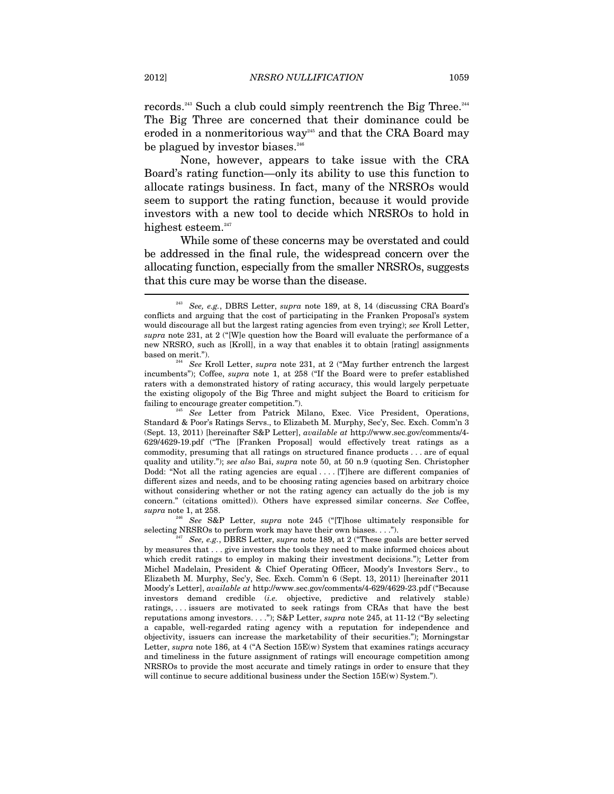records.<sup>243</sup> Such a club could simply reentrench the Big Three.<sup>244</sup> The Big Three are concerned that their dominance could be eroded in a nonmeritorious way<sup> $245$ </sup> and that the CRA Board may be plagued by investor biases.<sup>246</sup>

None, however, appears to take issue with the CRA Board's rating function—only its ability to use this function to allocate ratings business. In fact, many of the NRSROs would seem to support the rating function, because it would provide investors with a new tool to decide which NRSROs to hold in highest esteem.<sup>247</sup>

While some of these concerns may be overstated and could be addressed in the final rule, the widespread concern over the allocating function, especially from the smaller NRSROs, suggests that this cure may be worse than the disease.  $\overline{\phantom{a}}$ 

*supra* note 1, at 258.<br><sup>246</sup> See S&P Letter, *supra* note 245 ("[T]hose ultimately responsible for selecting NRSROs to perform work may have their own biases....").

<sup>243</sup> *See, e.g.*, DBRS Letter, *supra* note 189, at 8, 14 (discussing CRA Board's conflicts and arguing that the cost of participating in the Franken Proposal's system would discourage all but the largest rating agencies from even trying); *see* Kroll Letter, *supra* note 231, at 2 ("[W]e question how the Board will evaluate the performance of a new NRSRO, such as [Kroll], in a way that enables it to obtain [rating] assignments based on merit."). 244 *See* Kroll Letter, *supra* note 231, at 2 ("May further entrench the largest

incumbents"); Coffee, *supra* note 1, at 258 ("If the Board were to prefer established raters with a demonstrated history of rating accuracy, this would largely perpetuate the existing oligopoly of the Big Three and might subject the Board to criticism for failing to encourage greater competition."). 245 *See* Letter from Patrick Milano, Exec. Vice President, Operations,

Standard & Poor's Ratings Servs., to Elizabeth M. Murphy, Sec'y, Sec. Exch. Comm'n 3 (Sept. 13, 2011) [hereinafter S&P Letter], *available at* http://www.sec.gov/comments/4- 629/4629-19.pdf ("The [Franken Proposal] would effectively treat ratings as a commodity, presuming that all ratings on structured finance products . . . are of equal quality and utility."); *see also* Bai, *supra* note 50, at 50 n.9 (quoting Sen. Christopher Dodd: "Not all the rating agencies are equal . . . . [T]here are different companies of different sizes and needs, and to be choosing rating agencies based on arbitrary choice without considering whether or not the rating agency can actually do the job is my concern." (citations omitted)). Others have expressed similar concerns. *See* Coffee,

See, e.g., DBRS Letter, *supra* note 189, at 2 ("These goals are better served by measures that . . . give investors the tools they need to make informed choices about which credit ratings to employ in making their investment decisions."); Letter from Michel Madelain, President & Chief Operating Officer, Moody's Investors Serv., to Elizabeth M. Murphy, Sec'y, Sec. Exch. Comm'n 6 (Sept. 13, 2011) [hereinafter 2011 Moody's Letter], *available at* http://www.sec.gov/comments/4-629/4629-23.pdf ("Because investors demand credible (*i.e.* objective, predictive and relatively stable) ratings, . . . issuers are motivated to seek ratings from CRAs that have the best reputations among investors. . . ."); S&P Letter, *supra* note 245, at 11-12 ("By selecting a capable, well-regarded rating agency with a reputation for independence and objectivity, issuers can increase the marketability of their securities."); Morningstar Letter, *supra* note 186, at 4 ("A Section 15E(w) System that examines ratings accuracy and timeliness in the future assignment of ratings will encourage competition among NRSROs to provide the most accurate and timely ratings in order to ensure that they will continue to secure additional business under the Section 15E(w) System.").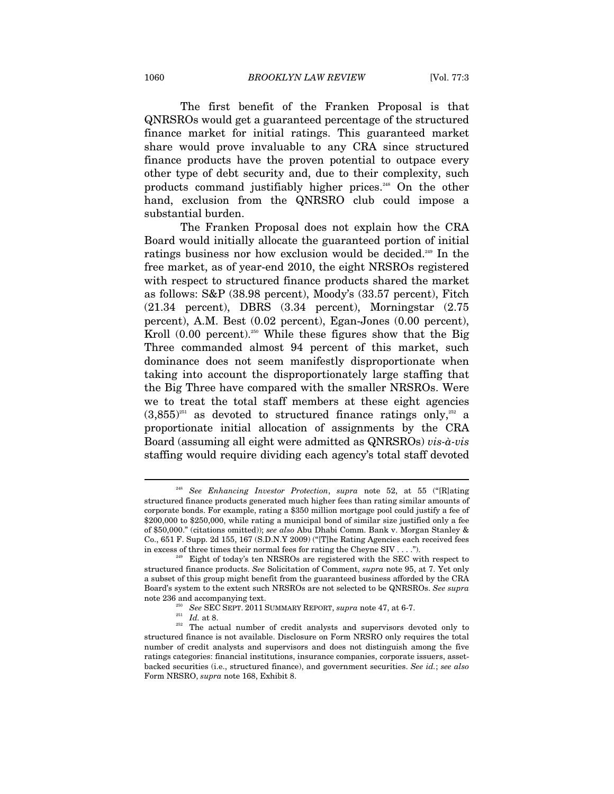The first benefit of the Franken Proposal is that QNRSROs would get a guaranteed percentage of the structured finance market for initial ratings. This guaranteed market share would prove invaluable to any CRA since structured finance products have the proven potential to outpace every other type of debt security and, due to their complexity, such products command justifiably higher prices.<sup>248</sup> On the other hand, exclusion from the QNRSRO club could impose a substantial burden.

The Franken Proposal does not explain how the CRA Board would initially allocate the guaranteed portion of initial ratings business nor how exclusion would be decided.249 In the free market, as of year-end 2010, the eight NRSROs registered with respect to structured finance products shared the market as follows: S&P (38.98 percent), Moody's (33.57 percent), Fitch (21.34 percent), DBRS (3.34 percent), Morningstar (2.75 percent), A.M. Best (0.02 percent), Egan-Jones (0.00 percent), Kroll  $(0.00$  percent).<sup>250</sup> While these figures show that the Big Three commanded almost 94 percent of this market, such dominance does not seem manifestly disproportionate when taking into account the disproportionately large staffing that the Big Three have compared with the smaller NRSROs. Were we to treat the total staff members at these eight agencies  $(3.855)^{251}$  as devoted to structured finance ratings only,<sup>252</sup> a proportionate initial allocation of assignments by the CRA Board (assuming all eight were admitted as QNRSROs) *vis-à-vis* staffing would require dividing each agency's total staff devoted

<sup>248</sup> *See Enhancing Investor Protection*, *supra* note 52, at 55 ("[R]ating structured finance products generated much higher fees than rating similar amounts of corporate bonds. For example, rating a \$350 million mortgage pool could justify a fee of \$200,000 to \$250,000, while rating a municipal bond of similar size justified only a fee of \$50,000." (citations omitted)); *see also* Abu Dhabi Comm. Bank v. Morgan Stanley & Co., 651 F. Supp. 2d 155, 167 (S.D.N.Y 2009) ("[T]he Rating Agencies each received fees in excess of three times their normal fees for rating the Cheyne SIV  $\dots$ .").<br><sup>249</sup> Eight of today's ten NRSROs are registered with the SEC with respect to

structured finance products. *See* Solicitation of Comment, *supra* note 95, at 7. Yet only a subset of this group might benefit from the guaranteed business afforded by the CRA Board's system to the extent such NRSROs are not selected to be QNRSROs. *See supra*

note 236 and accompanying text.<br><sup>250</sup> See SEC SEPT. 2011 SUMMARY REPORT, *supra* note 47, at 6-7.<br><sup>251</sup> *Id.* at 8. <br><sup>252</sup> The actual number of credit analysts and supervisors devoted only to structured finance is not available. Disclosure on Form NRSRO only requires the total number of credit analysts and supervisors and does not distinguish among the five ratings categories: financial institutions, insurance companies, corporate issuers, assetbacked securities (i.e., structured finance), and government securities. *See id.*; *see also* Form NRSRO, *supra* note 168, Exhibit 8.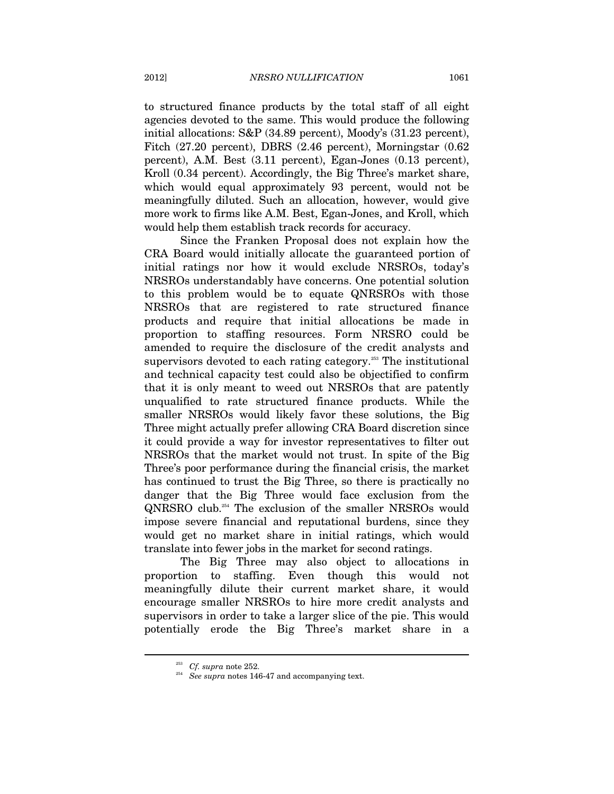to structured finance products by the total staff of all eight agencies devoted to the same. This would produce the following initial allocations: S&P (34.89 percent), Moody's (31.23 percent), Fitch (27.20 percent), DBRS (2.46 percent), Morningstar (0.62 percent), A.M. Best (3.11 percent), Egan-Jones (0.13 percent), Kroll (0.34 percent). Accordingly, the Big Three's market share, which would equal approximately 93 percent, would not be meaningfully diluted. Such an allocation, however, would give more work to firms like A.M. Best, Egan-Jones, and Kroll, which would help them establish track records for accuracy.

Since the Franken Proposal does not explain how the CRA Board would initially allocate the guaranteed portion of initial ratings nor how it would exclude NRSROs, today's NRSROs understandably have concerns. One potential solution to this problem would be to equate QNRSROs with those NRSROs that are registered to rate structured finance products and require that initial allocations be made in proportion to staffing resources. Form NRSRO could be amended to require the disclosure of the credit analysts and supervisors devoted to each rating category.<sup>253</sup> The institutional and technical capacity test could also be objectified to confirm that it is only meant to weed out NRSROs that are patently unqualified to rate structured finance products. While the smaller NRSROs would likely favor these solutions, the Big Three might actually prefer allowing CRA Board discretion since it could provide a way for investor representatives to filter out NRSROs that the market would not trust. In spite of the Big Three's poor performance during the financial crisis, the market has continued to trust the Big Three, so there is practically no danger that the Big Three would face exclusion from the QNRSRO club.254 The exclusion of the smaller NRSROs would impose severe financial and reputational burdens, since they would get no market share in initial ratings, which would translate into fewer jobs in the market for second ratings.

The Big Three may also object to allocations in proportion to staffing. Even though this would not meaningfully dilute their current market share, it would encourage smaller NRSROs to hire more credit analysts and supervisors in order to take a larger slice of the pie. This would potentially erode the Big Three's market share in a

<sup>&</sup>lt;sup>253</sup> Cf. supra note 252.<br><sup>254</sup> See supra notes 146-47 and accompanying text.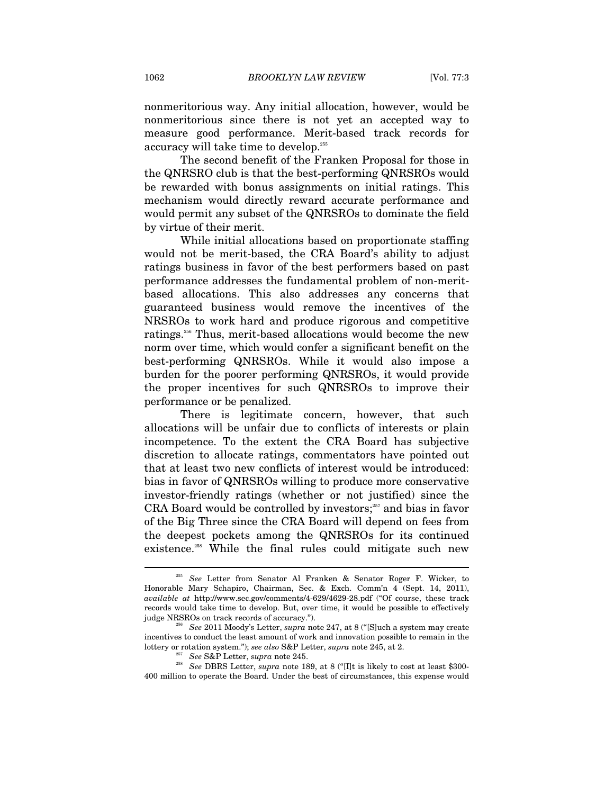nonmeritorious way. Any initial allocation, however, would be nonmeritorious since there is not yet an accepted way to measure good performance. Merit-based track records for accuracy will take time to develop.255

The second benefit of the Franken Proposal for those in the QNRSRO club is that the best-performing QNRSROs would be rewarded with bonus assignments on initial ratings. This mechanism would directly reward accurate performance and would permit any subset of the QNRSROs to dominate the field by virtue of their merit.

While initial allocations based on proportionate staffing would not be merit-based, the CRA Board's ability to adjust ratings business in favor of the best performers based on past performance addresses the fundamental problem of non-meritbased allocations. This also addresses any concerns that guaranteed business would remove the incentives of the NRSROs to work hard and produce rigorous and competitive ratings.<sup>256</sup> Thus, merit-based allocations would become the new norm over time, which would confer a significant benefit on the best-performing QNRSROs. While it would also impose a burden for the poorer performing QNRSROs, it would provide the proper incentives for such QNRSROs to improve their performance or be penalized.

There is legitimate concern, however, that such allocations will be unfair due to conflicts of interests or plain incompetence. To the extent the CRA Board has subjective discretion to allocate ratings, commentators have pointed out that at least two new conflicts of interest would be introduced: bias in favor of QNRSROs willing to produce more conservative investor-friendly ratings (whether or not justified) since the CRA Board would be controlled by investors; $357$  and bias in favor of the Big Three since the CRA Board will depend on fees from the deepest pockets among the QNRSROs for its continued existence.<sup>258</sup> While the final rules could mitigate such new

<sup>255</sup> *See* Letter from Senator Al Franken & Senator Roger F. Wicker, to Honorable Mary Schapiro, Chairman, Sec. & Exch. Comm'n 4 (Sept. 14, 2011), *available at* http://www.sec.gov/comments/4-629/4629-28.pdf ("Of course, these track records would take time to develop. But, over time, it would be possible to effectively judge NRSROs on track records of accuracy.").

<sup>&</sup>lt;sup>256</sup> See 2011 Moody's Letter, *supra* note 247, at 8 ("[S]uch a system may create incentives to conduct the least amount of work and innovation possible to remain in the % lottery or rotation system."); see also S&P Letter, supra note 245, at 2.<br>
<sup>257</sup> See S&P Letter, supra note 245.<br>
<sup>258</sup> See DBRS Letter, supra note 189, at 8 ("[I]t is likely to cost at least \$300-

<sup>400</sup> million to operate the Board. Under the best of circumstances, this expense would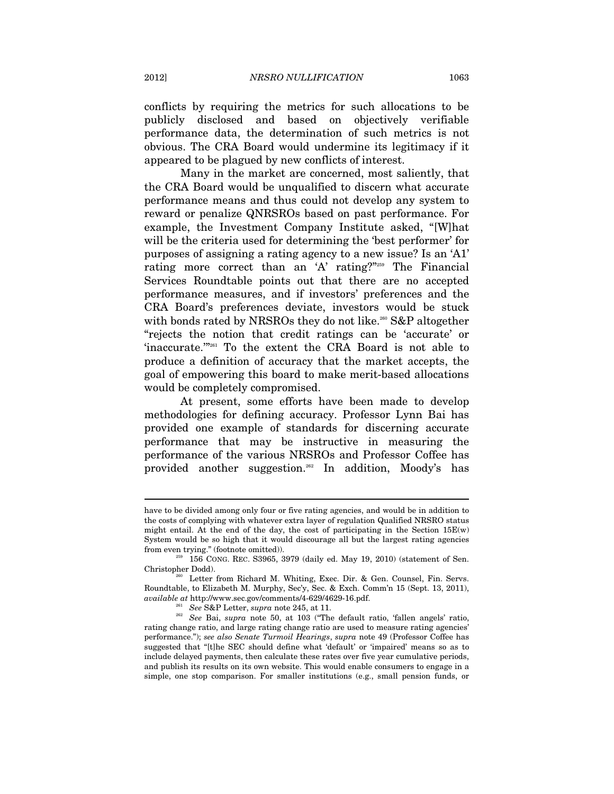conflicts by requiring the metrics for such allocations to be publicly disclosed and based on objectively verifiable performance data, the determination of such metrics is not obvious. The CRA Board would undermine its legitimacy if it appeared to be plagued by new conflicts of interest.

Many in the market are concerned, most saliently, that the CRA Board would be unqualified to discern what accurate performance means and thus could not develop any system to reward or penalize QNRSROs based on past performance. For example, the Investment Company Institute asked, "[W]hat will be the criteria used for determining the 'best performer' for purposes of assigning a rating agency to a new issue? Is an 'A1' rating more correct than an 'A' rating?"259 The Financial Services Roundtable points out that there are no accepted performance measures, and if investors' preferences and the CRA Board's preferences deviate, investors would be stuck with bonds rated by NRSROs they do not like.<sup>260</sup> S&P altogether "rejects the notion that credit ratings can be 'accurate' or 'inaccurate.'"261 To the extent the CRA Board is not able to produce a definition of accuracy that the market accepts, the goal of empowering this board to make merit-based allocations would be completely compromised.

At present, some efforts have been made to develop methodologies for defining accuracy. Professor Lynn Bai has provided one example of standards for discerning accurate performance that may be instructive in measuring the performance of the various NRSROs and Professor Coffee has provided another suggestion.<sup>262</sup> In addition, Moody's has

have to be divided among only four or five rating agencies, and would be in addition to the costs of complying with whatever extra layer of regulation Qualified NRSRO status might entail. At the end of the day, the cost of participating in the Section 15E(w) System would be so high that it would discourage all but the largest rating agencies

 $\frac{259}{156}$  CONG. REC. S3965, 3979 (daily ed. May 19, 2010) (statement of Sen.

Christopher Dodd).<br><sup>260</sup> Letter from Richard M. Whiting, Exec. Dir. & Gen. Counsel, Fin. Servs. Roundtable, to Elizabeth M. Murphy, Sec'y, Sec. & Exch. Comm'n 15 (Sept. 13, 2011), *available at* http://www.sec.gov/comments/4-629/4629-16.pdf.<br><sup>261</sup> See S&P Letter, *supra* note 245, at 11.<br><sup>262</sup> See Bai, *supra* note 50, at 103 ("The default ratio, 'fallen angels' ratio,

rating change ratio, and large rating change ratio are used to measure rating agencies' performance."); *see also Senate Turmoil Hearings*, *supra* note 49 (Professor Coffee has suggested that "[t]he SEC should define what 'default' or 'impaired' means so as to include delayed payments, then calculate these rates over five year cumulative periods, and publish its results on its own website. This would enable consumers to engage in a simple, one stop comparison. For smaller institutions (e.g., small pension funds, or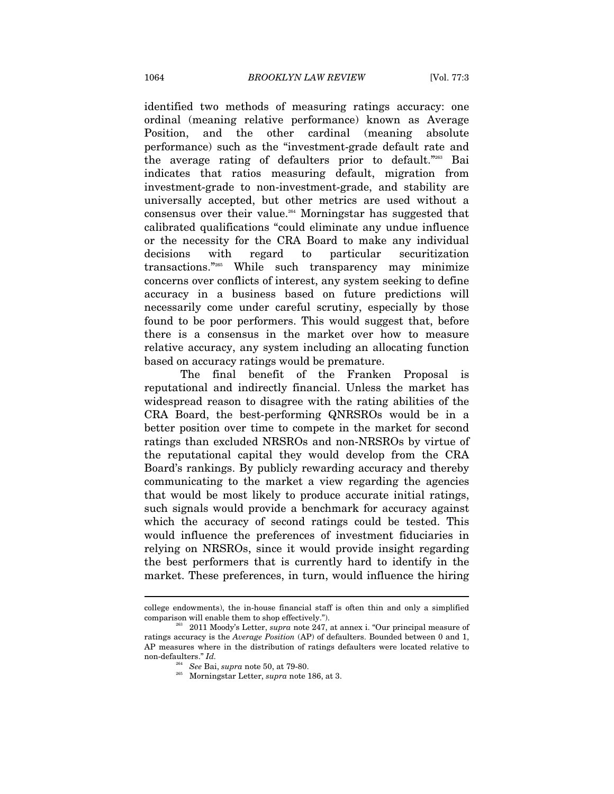identified two methods of measuring ratings accuracy: one ordinal (meaning relative performance) known as Average Position, and the other cardinal (meaning absolute performance) such as the "investment-grade default rate and the average rating of defaulters prior to default."263 Bai indicates that ratios measuring default, migration from investment-grade to non-investment-grade, and stability are universally accepted, but other metrics are used without a consensus over their value.264 Morningstar has suggested that calibrated qualifications "could eliminate any undue influence or the necessity for the CRA Board to make any individual decisions with regard to particular securitization transactions."265 While such transparency may minimize concerns over conflicts of interest, any system seeking to define accuracy in a business based on future predictions will necessarily come under careful scrutiny, especially by those found to be poor performers. This would suggest that, before there is a consensus in the market over how to measure relative accuracy, any system including an allocating function based on accuracy ratings would be premature.

The final benefit of the Franken Proposal is reputational and indirectly financial. Unless the market has widespread reason to disagree with the rating abilities of the CRA Board, the best-performing QNRSROs would be in a better position over time to compete in the market for second ratings than excluded NRSROs and non-NRSROs by virtue of the reputational capital they would develop from the CRA Board's rankings. By publicly rewarding accuracy and thereby communicating to the market a view regarding the agencies that would be most likely to produce accurate initial ratings, such signals would provide a benchmark for accuracy against which the accuracy of second ratings could be tested. This would influence the preferences of investment fiduciaries in relying on NRSROs, since it would provide insight regarding the best performers that is currently hard to identify in the market. These preferences, in turn, would influence the hiring

college endowments), the in-house financial staff is often thin and only a simplified

 $2^{63}$  2011 Moody's Letter, *supra* note 247, at annex i. "Our principal measure of ratings accuracy is the *Average Position* (AP) of defaulters. Bounded between 0 and 1, AP measures where in the distribution of ratings defaulters were located relative to non-defaulters." *Id.*<br>
<sup>264</sup> See Bai, supra note 50, at 79-80.

<sup>&</sup>lt;sup>265</sup> Morningstar Letter, *supra* note 186, at 3.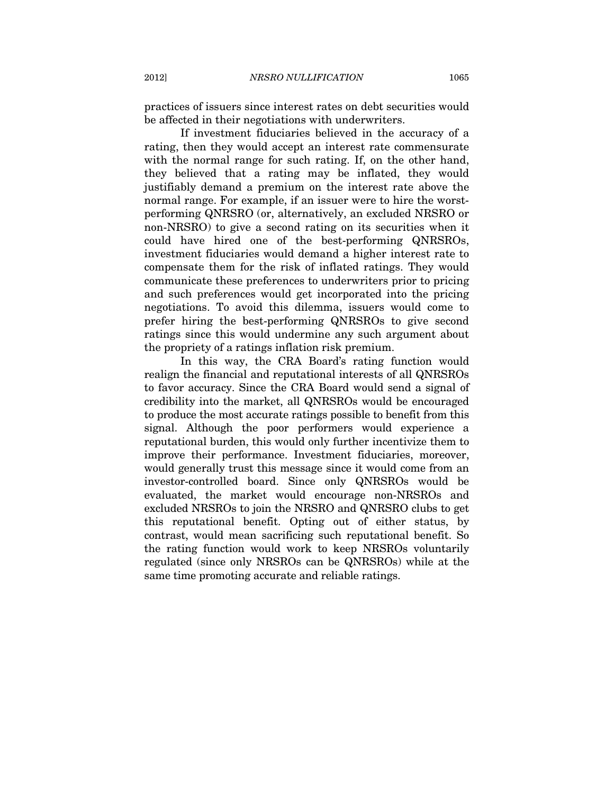practices of issuers since interest rates on debt securities would be affected in their negotiations with underwriters.

If investment fiduciaries believed in the accuracy of a rating, then they would accept an interest rate commensurate with the normal range for such rating. If, on the other hand, they believed that a rating may be inflated, they would justifiably demand a premium on the interest rate above the normal range. For example, if an issuer were to hire the worstperforming QNRSRO (or, alternatively, an excluded NRSRO or non-NRSRO) to give a second rating on its securities when it could have hired one of the best-performing QNRSROs, investment fiduciaries would demand a higher interest rate to compensate them for the risk of inflated ratings. They would communicate these preferences to underwriters prior to pricing and such preferences would get incorporated into the pricing negotiations. To avoid this dilemma, issuers would come to prefer hiring the best-performing QNRSROs to give second ratings since this would undermine any such argument about the propriety of a ratings inflation risk premium.

In this way, the CRA Board's rating function would realign the financial and reputational interests of all QNRSROs to favor accuracy. Since the CRA Board would send a signal of credibility into the market, all QNRSROs would be encouraged to produce the most accurate ratings possible to benefit from this signal. Although the poor performers would experience a reputational burden, this would only further incentivize them to improve their performance. Investment fiduciaries, moreover, would generally trust this message since it would come from an investor-controlled board. Since only QNRSROs would be evaluated, the market would encourage non-NRSROs and excluded NRSROs to join the NRSRO and QNRSRO clubs to get this reputational benefit. Opting out of either status, by contrast, would mean sacrificing such reputational benefit. So the rating function would work to keep NRSROs voluntarily regulated (since only NRSROs can be QNRSROs) while at the same time promoting accurate and reliable ratings.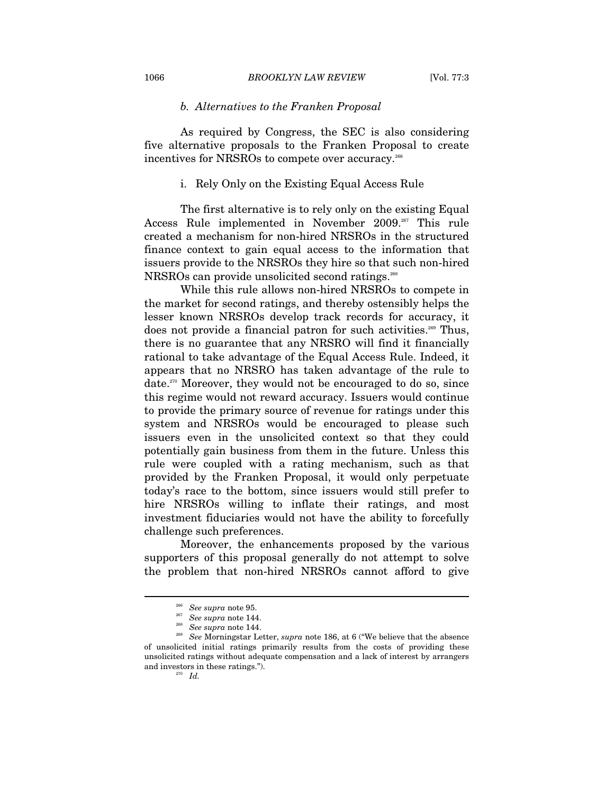### *b. Alternatives to the Franken Proposal*

As required by Congress, the SEC is also considering five alternative proposals to the Franken Proposal to create incentives for NRSROs to compete over accuracy.<sup>266</sup>

## i. Rely Only on the Existing Equal Access Rule

The first alternative is to rely only on the existing Equal Access Rule implemented in November 2009.<sup>267</sup> This rule created a mechanism for non-hired NRSROs in the structured finance context to gain equal access to the information that issuers provide to the NRSROs they hire so that such non-hired NRSROs can provide unsolicited second ratings.<sup>268</sup>

While this rule allows non-hired NRSROs to compete in the market for second ratings, and thereby ostensibly helps the lesser known NRSROs develop track records for accuracy, it does not provide a financial patron for such activities.<sup>269</sup> Thus, there is no guarantee that any NRSRO will find it financially rational to take advantage of the Equal Access Rule. Indeed, it appears that no NRSRO has taken advantage of the rule to date.270 Moreover, they would not be encouraged to do so, since this regime would not reward accuracy. Issuers would continue to provide the primary source of revenue for ratings under this system and NRSROs would be encouraged to please such issuers even in the unsolicited context so that they could potentially gain business from them in the future. Unless this rule were coupled with a rating mechanism, such as that provided by the Franken Proposal, it would only perpetuate today's race to the bottom, since issuers would still prefer to hire NRSROs willing to inflate their ratings, and most investment fiduciaries would not have the ability to forcefully challenge such preferences.

Moreover, the enhancements proposed by the various supporters of this proposal generally do not attempt to solve the problem that non-hired NRSROs cannot afford to give

<sup>266</sup> *See supra* note 95. 267 *See supra* note 144. 268 *See supra* note 144. 269 *See* Morningstar Letter, *supra* note 186, at 6 ("We believe that the absence of unsolicited initial ratings primarily results from the costs of providing these unsolicited ratings without adequate compensation and a lack of interest by arrangers and investors in these ratings.").<br><sup>270</sup> *Id.*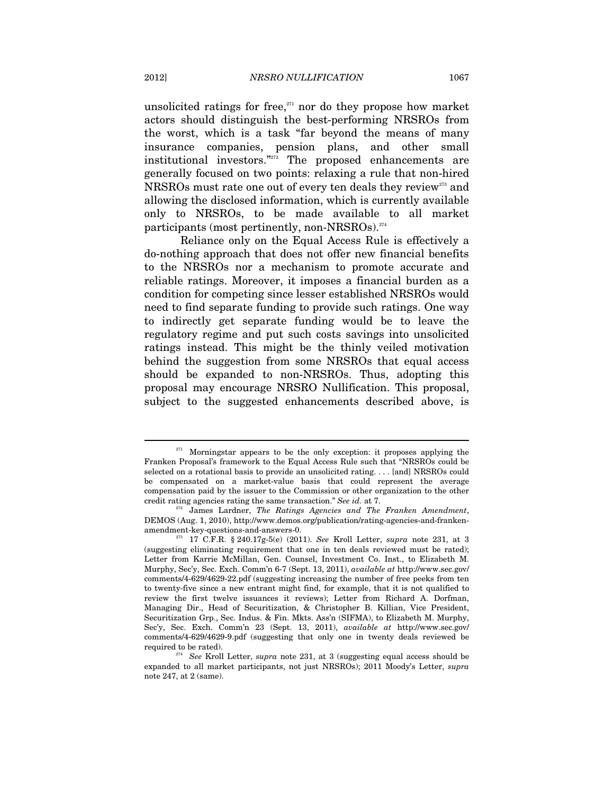unsolicited ratings for free, $271}$  nor do they propose how market actors should distinguish the best-performing NRSROs from the worst, which is a task "far beyond the means of many insurance companies, pension plans, and other small institutional investors."272 The proposed enhancements are generally focused on two points: relaxing a rule that non-hired NRSROs must rate one out of every ten deals they review<sup>273</sup> and allowing the disclosed information, which is currently available only to NRSROs, to be made available to all market participants (most pertinently, non-NRSROs). $274$ 

Reliance only on the Equal Access Rule is effectively a do-nothing approach that does not offer new financial benefits to the NRSROs nor a mechanism to promote accurate and reliable ratings. Moreover, it imposes a financial burden as a condition for competing since lesser established NRSROs would need to find separate funding to provide such ratings. One way to indirectly get separate funding would be to leave the regulatory regime and put such costs savings into unsolicited ratings instead. This might be the thinly veiled motivation behind the suggestion from some NRSROs that equal access should be expanded to non-NRSROs. Thus, adopting this proposal may encourage NRSRO Nullification. This proposal, subject to the suggested enhancements described above, is

 $271$  Morningstar appears to be the only exception: it proposes applying the Franken Proposal's framework to the Equal Access Rule such that "NRSROs could be selected on a rotational basis to provide an unsolicited rating. . . . [and] NRSROs could be compensated on a market-value basis that could represent the average compensation paid by the issuer to the Commission or other organization to the other credit rating agencies rating the same transaction." See id. at  $7$ .

<sup>&</sup>lt;sup>2</sup> James Lardner, The Ratings Agencies and The Franken Amendment, DEMOS (Aug. 1, 2010), http://www.demos.org/publication/rating-agencies-and-frankenamendment-key-questions-and-answers-0. 273 17 C.F.R. § 240.17g-5(e) (2011). *See* Kroll Letter, *supra* note 231, at 3

<sup>(</sup>suggesting eliminating requirement that one in ten deals reviewed must be rated); Letter from Karrie McMillan, Gen. Counsel, Investment Co. Inst., to Elizabeth M. Murphy, Sec'y, Sec. Exch. Comm'n 6-7 (Sept. 13, 2011), *available at* http://www.sec.gov/ comments/4-629/4629-22.pdf (suggesting increasing the number of free peeks from ten to twenty-five since a new entrant might find, for example, that it is not qualified to review the first twelve issuances it reviews); Letter from Richard A. Dorfman, Managing Dir., Head of Securitization, & Christopher B. Killian, Vice President, Securitization Grp., Sec. Indus. & Fin. Mkts. Ass'n (SIFMA), to Elizabeth M. Murphy, Sec'y, Sec. Exch. Comm'n 23 (Sept. 13, 2011), *available at* http://www.sec.gov/ comments/4-629/4629-9.pdf (suggesting that only one in twenty deals reviewed be required to be rated). 274 *See* Kroll Letter, *supra* note 231, at 3 (suggesting equal access should be

expanded to all market participants, not just NRSROs); 2011 Moody's Letter, *supra* note 247, at 2 (same).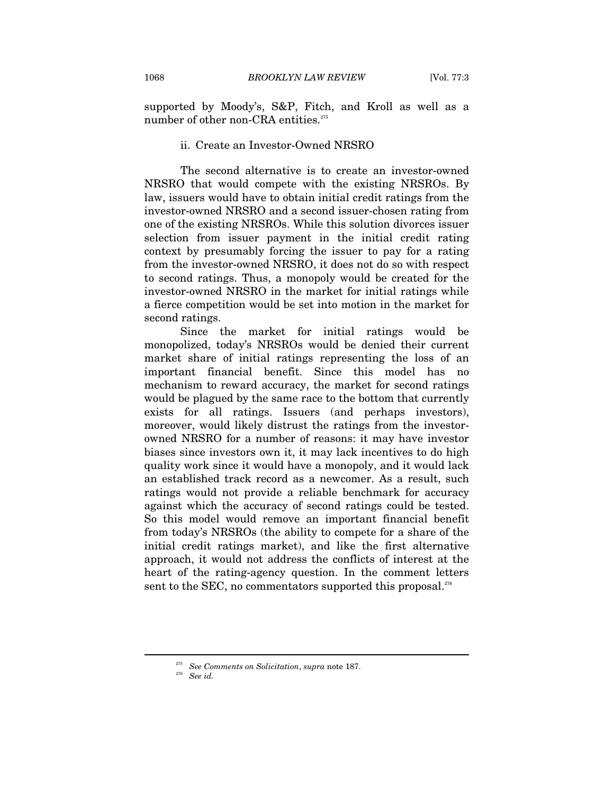supported by Moody's, S&P, Fitch, and Kroll as well as a number of other non-CRA entities.<sup>275</sup>

### ii. Create an Investor-Owned NRSRO

The second alternative is to create an investor-owned NRSRO that would compete with the existing NRSROs. By law, issuers would have to obtain initial credit ratings from the investor-owned NRSRO and a second issuer-chosen rating from one of the existing NRSROs. While this solution divorces issuer selection from issuer payment in the initial credit rating context by presumably forcing the issuer to pay for a rating from the investor-owned NRSRO, it does not do so with respect to second ratings. Thus, a monopoly would be created for the investor-owned NRSRO in the market for initial ratings while a fierce competition would be set into motion in the market for second ratings.

Since the market for initial ratings would be monopolized, today's NRSROs would be denied their current market share of initial ratings representing the loss of an important financial benefit. Since this model has no mechanism to reward accuracy, the market for second ratings would be plagued by the same race to the bottom that currently exists for all ratings. Issuers (and perhaps investors), moreover, would likely distrust the ratings from the investorowned NRSRO for a number of reasons: it may have investor biases since investors own it, it may lack incentives to do high quality work since it would have a monopoly, and it would lack an established track record as a newcomer. As a result, such ratings would not provide a reliable benchmark for accuracy against which the accuracy of second ratings could be tested. So this model would remove an important financial benefit from today's NRSROs (the ability to compete for a share of the initial credit ratings market), and like the first alternative approach, it would not address the conflicts of interest at the heart of the rating-agency question. In the comment letters sent to the SEC, no commentators supported this proposal.<sup>276</sup>

<sup>275</sup> *See Comments on Solicitation*, *supra* note 187. 276 *See id.*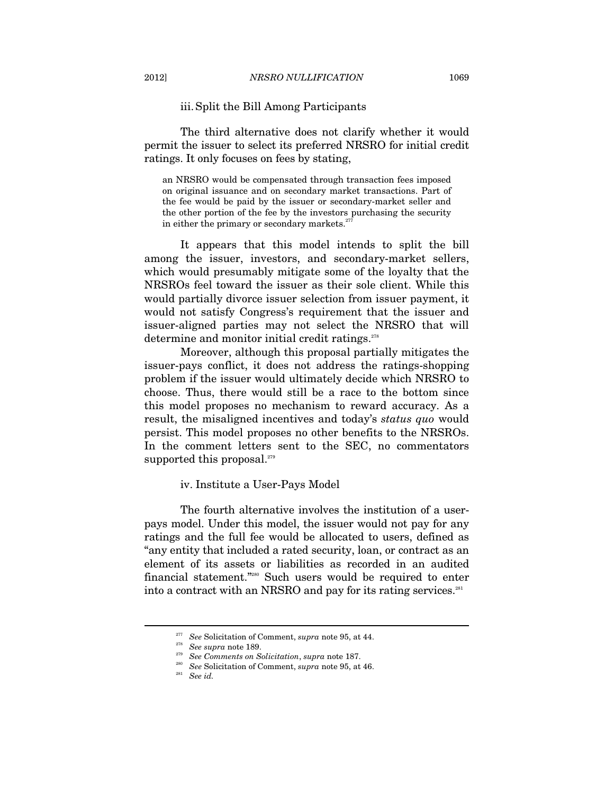# iii. Split the Bill Among Participants

The third alternative does not clarify whether it would permit the issuer to select its preferred NRSRO for initial credit ratings. It only focuses on fees by stating,

an NRSRO would be compensated through transaction fees imposed on original issuance and on secondary market transactions. Part of the fee would be paid by the issuer or secondary-market seller and the other portion of the fee by the investors purchasing the security in either the primary or secondary markets. $277$ 

It appears that this model intends to split the bill among the issuer, investors, and secondary-market sellers, which would presumably mitigate some of the loyalty that the NRSROs feel toward the issuer as their sole client. While this would partially divorce issuer selection from issuer payment, it would not satisfy Congress's requirement that the issuer and issuer-aligned parties may not select the NRSRO that will determine and monitor initial credit ratings.<sup>278</sup>

Moreover, although this proposal partially mitigates the issuer-pays conflict, it does not address the ratings-shopping problem if the issuer would ultimately decide which NRSRO to choose. Thus, there would still be a race to the bottom since this model proposes no mechanism to reward accuracy. As a result, the misaligned incentives and today's *status quo* would persist. This model proposes no other benefits to the NRSROs. In the comment letters sent to the SEC, no commentators supported this proposal.<sup>279</sup>

## iv. Institute a User-Pays Model

The fourth alternative involves the institution of a userpays model. Under this model, the issuer would not pay for any ratings and the full fee would be allocated to users, defined as "any entity that included a rated security, loan, or contract as an element of its assets or liabilities as recorded in an audited financial statement."280 Such users would be required to enter into a contract with an NRSRO and pay for its rating services.<sup>281</sup>

<sup>&</sup>lt;sup>277</sup> See Solicitation of Comment, *supra* note 95, at 44.<br><sup>278</sup> See *supra* note 189.<br><sup>279</sup> See Comments on Solicitation, *supra* note 187.<br><sup>280</sup> See Solicitation of Comment, *supra* note 95, at 46.<br>*See id.*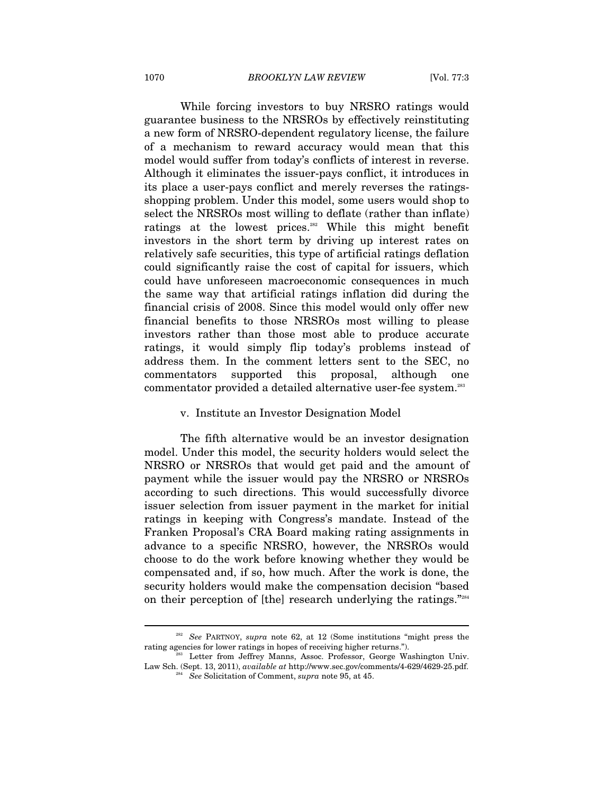While forcing investors to buy NRSRO ratings would guarantee business to the NRSROs by effectively reinstituting a new form of NRSRO-dependent regulatory license, the failure of a mechanism to reward accuracy would mean that this model would suffer from today's conflicts of interest in reverse. Although it eliminates the issuer-pays conflict, it introduces in its place a user-pays conflict and merely reverses the ratingsshopping problem. Under this model, some users would shop to select the NRSROs most willing to deflate (rather than inflate) ratings at the lowest prices.<sup>282</sup> While this might benefit investors in the short term by driving up interest rates on relatively safe securities, this type of artificial ratings deflation could significantly raise the cost of capital for issuers, which could have unforeseen macroeconomic consequences in much the same way that artificial ratings inflation did during the financial crisis of 2008. Since this model would only offer new financial benefits to those NRSROs most willing to please investors rather than those most able to produce accurate ratings, it would simply flip today's problems instead of address them. In the comment letters sent to the SEC, no commentators supported this proposal, although one commentator provided a detailed alternative user-fee system.<sup>283</sup>

#### v. Institute an Investor Designation Model

The fifth alternative would be an investor designation model. Under this model, the security holders would select the NRSRO or NRSROs that would get paid and the amount of payment while the issuer would pay the NRSRO or NRSROs according to such directions. This would successfully divorce issuer selection from issuer payment in the market for initial ratings in keeping with Congress's mandate. Instead of the Franken Proposal's CRA Board making rating assignments in advance to a specific NRSRO, however, the NRSROs would choose to do the work before knowing whether they would be compensated and, if so, how much. After the work is done, the security holders would make the compensation decision "based on their perception of [the] research underlying the ratings."284

<sup>&</sup>lt;sup>282</sup> See PARTNOY, *supra* note 62, at 12 (Some institutions "might press the rating agencies for lower ratings in hopes of receiving higher returns.").

Letter from Jeffrey Manns, Assoc. Professor, George Washington Univ. Law Sch. (Sept. 13, 2011), *available at* http://www.sec.gov/comments/4-629/4629-25.pdf. 284 *See* Solicitation of Comment, *supra* note 95, at 45.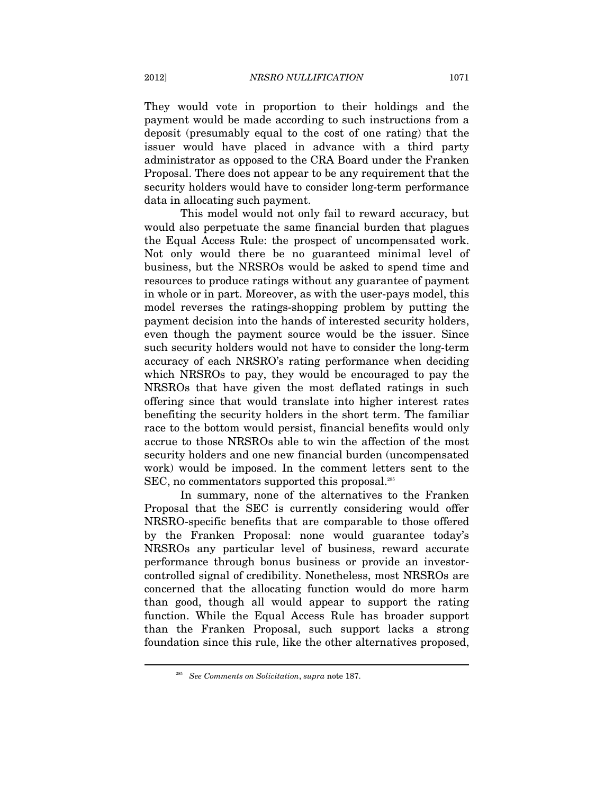They would vote in proportion to their holdings and the payment would be made according to such instructions from a deposit (presumably equal to the cost of one rating) that the issuer would have placed in advance with a third party administrator as opposed to the CRA Board under the Franken Proposal. There does not appear to be any requirement that the security holders would have to consider long-term performance data in allocating such payment.

This model would not only fail to reward accuracy, but would also perpetuate the same financial burden that plagues the Equal Access Rule: the prospect of uncompensated work. Not only would there be no guaranteed minimal level of business, but the NRSROs would be asked to spend time and resources to produce ratings without any guarantee of payment in whole or in part. Moreover, as with the user-pays model, this model reverses the ratings-shopping problem by putting the payment decision into the hands of interested security holders, even though the payment source would be the issuer. Since such security holders would not have to consider the long-term accuracy of each NRSRO's rating performance when deciding which NRSROs to pay, they would be encouraged to pay the NRSROs that have given the most deflated ratings in such offering since that would translate into higher interest rates benefiting the security holders in the short term. The familiar race to the bottom would persist, financial benefits would only accrue to those NRSROs able to win the affection of the most security holders and one new financial burden (uncompensated work) would be imposed. In the comment letters sent to the SEC, no commentators supported this proposal.<sup>285</sup>

In summary, none of the alternatives to the Franken Proposal that the SEC is currently considering would offer NRSRO-specific benefits that are comparable to those offered by the Franken Proposal: none would guarantee today's NRSROs any particular level of business, reward accurate performance through bonus business or provide an investorcontrolled signal of credibility. Nonetheless, most NRSROs are concerned that the allocating function would do more harm than good, though all would appear to support the rating function. While the Equal Access Rule has broader support than the Franken Proposal, such support lacks a strong foundation since this rule, like the other alternatives proposed,

<sup>285</sup> *See Comments on Solicitation*, *supra* note 187.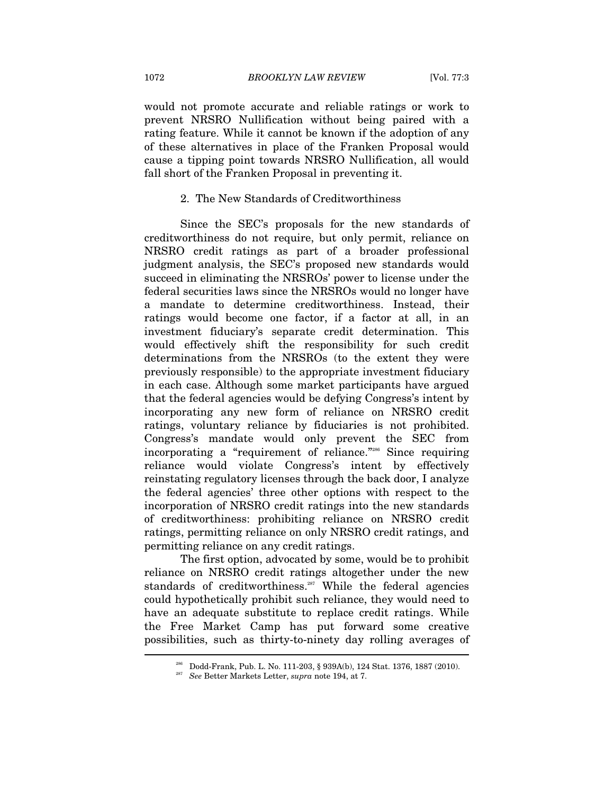would not promote accurate and reliable ratings or work to prevent NRSRO Nullification without being paired with a rating feature. While it cannot be known if the adoption of any of these alternatives in place of the Franken Proposal would cause a tipping point towards NRSRO Nullification, all would fall short of the Franken Proposal in preventing it.

## 2. The New Standards of Creditworthiness

Since the SEC's proposals for the new standards of creditworthiness do not require, but only permit, reliance on NRSRO credit ratings as part of a broader professional judgment analysis, the SEC's proposed new standards would succeed in eliminating the NRSROs' power to license under the federal securities laws since the NRSROs would no longer have a mandate to determine creditworthiness. Instead, their ratings would become one factor, if a factor at all, in an investment fiduciary's separate credit determination. This would effectively shift the responsibility for such credit determinations from the NRSROs (to the extent they were previously responsible) to the appropriate investment fiduciary in each case. Although some market participants have argued that the federal agencies would be defying Congress's intent by incorporating any new form of reliance on NRSRO credit ratings, voluntary reliance by fiduciaries is not prohibited. Congress's mandate would only prevent the SEC from incorporating a "requirement of reliance."286 Since requiring reliance would violate Congress's intent by effectively reinstating regulatory licenses through the back door, I analyze the federal agencies' three other options with respect to the incorporation of NRSRO credit ratings into the new standards of creditworthiness: prohibiting reliance on NRSRO credit ratings, permitting reliance on only NRSRO credit ratings, and permitting reliance on any credit ratings.

The first option, advocated by some, would be to prohibit reliance on NRSRO credit ratings altogether under the new standards of creditworthiness.<sup>287</sup> While the federal agencies could hypothetically prohibit such reliance, they would need to have an adequate substitute to replace credit ratings. While the Free Market Camp has put forward some creative possibilities, such as thirty-to-ninety day rolling averages of  $\overline{\phantom{0}}$ 

<sup>286</sup> Dodd-Frank, Pub. L. No. 111-203, § 939A(b), 124 Stat. 1376, 1887 (2010). 287 *See* Better Markets Letter, *supra* note 194, at 7.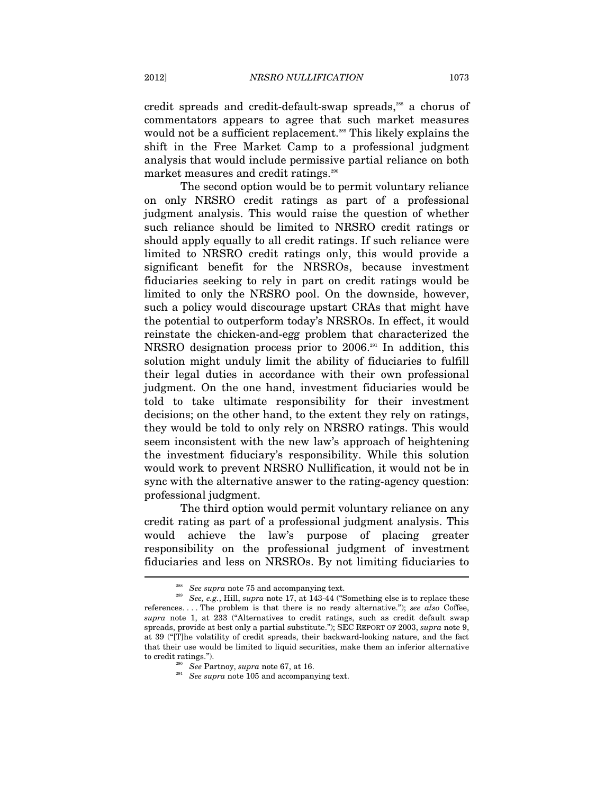credit spreads and credit-default-swap spreads,<sup>288</sup> a chorus of commentators appears to agree that such market measures would not be a sufficient replacement.<sup>289</sup> This likely explains the shift in the Free Market Camp to a professional judgment analysis that would include permissive partial reliance on both market measures and credit ratings.<sup>290</sup>

The second option would be to permit voluntary reliance on only NRSRO credit ratings as part of a professional judgment analysis. This would raise the question of whether such reliance should be limited to NRSRO credit ratings or should apply equally to all credit ratings. If such reliance were limited to NRSRO credit ratings only, this would provide a significant benefit for the NRSROs, because investment fiduciaries seeking to rely in part on credit ratings would be limited to only the NRSRO pool. On the downside, however, such a policy would discourage upstart CRAs that might have the potential to outperform today's NRSROs. In effect, it would reinstate the chicken-and-egg problem that characterized the NRSRO designation process prior to 2006.291 In addition, this solution might unduly limit the ability of fiduciaries to fulfill their legal duties in accordance with their own professional judgment. On the one hand, investment fiduciaries would be told to take ultimate responsibility for their investment decisions; on the other hand, to the extent they rely on ratings, they would be told to only rely on NRSRO ratings. This would seem inconsistent with the new law's approach of heightening the investment fiduciary's responsibility. While this solution would work to prevent NRSRO Nullification, it would not be in sync with the alternative answer to the rating-agency question: professional judgment.

The third option would permit voluntary reliance on any credit rating as part of a professional judgment analysis. This would achieve the law's purpose of placing greater responsibility on the professional judgment of investment fiduciaries and less on NRSROs. By not limiting fiduciaries to  $\overline{a}$ 

<sup>&</sup>lt;sup>288</sup> See supra note 75 and accompanying text.<br><sup>289</sup> See, e.g., Hill, supra note 17, at 143-44 ("Something else is to replace these references. . . . The problem is that there is no ready alternative."); *see also* Coffee, *supra* note 1, at 233 ("Alternatives to credit ratings, such as credit default swap spreads, provide at best only a partial substitute."); SEC REPORT OF 2003, *supra* note 9, at 39 ("[T]he volatility of credit spreads, their backward-looking nature, and the fact that their use would be limited to liquid securities, make them an inferior alternative to credit ratings."). 290 *See* Partnoy, *supra* note 67, at 16. 291 *See supra* note 105 and accompanying text.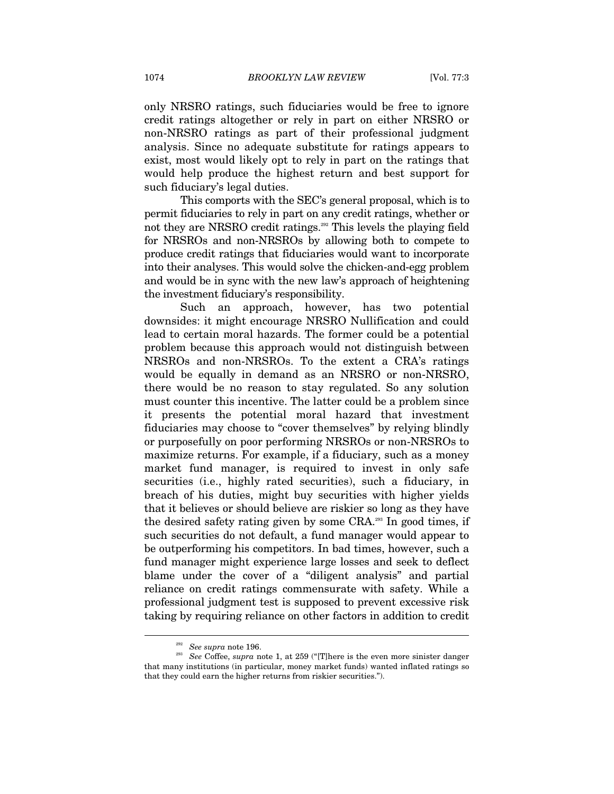only NRSRO ratings, such fiduciaries would be free to ignore credit ratings altogether or rely in part on either NRSRO or non-NRSRO ratings as part of their professional judgment analysis. Since no adequate substitute for ratings appears to exist, most would likely opt to rely in part on the ratings that would help produce the highest return and best support for such fiduciary's legal duties.

This comports with the SEC's general proposal, which is to permit fiduciaries to rely in part on any credit ratings, whether or not they are NRSRO credit ratings.<sup>292</sup> This levels the playing field for NRSROs and non-NRSROs by allowing both to compete to produce credit ratings that fiduciaries would want to incorporate into their analyses. This would solve the chicken-and-egg problem and would be in sync with the new law's approach of heightening the investment fiduciary's responsibility.

Such an approach, however, has two potential downsides: it might encourage NRSRO Nullification and could lead to certain moral hazards. The former could be a potential problem because this approach would not distinguish between NRSROs and non-NRSROs. To the extent a CRA's ratings would be equally in demand as an NRSRO or non-NRSRO, there would be no reason to stay regulated. So any solution must counter this incentive. The latter could be a problem since it presents the potential moral hazard that investment fiduciaries may choose to "cover themselves" by relying blindly or purposefully on poor performing NRSROs or non-NRSROs to maximize returns. For example, if a fiduciary, such as a money market fund manager, is required to invest in only safe securities (i.e., highly rated securities), such a fiduciary, in breach of his duties, might buy securities with higher yields that it believes or should believe are riskier so long as they have the desired safety rating given by some CRA.293 In good times, if such securities do not default, a fund manager would appear to be outperforming his competitors. In bad times, however, such a fund manager might experience large losses and seek to deflect blame under the cover of a "diligent analysis" and partial reliance on credit ratings commensurate with safety. While a professional judgment test is supposed to prevent excessive risk taking by requiring reliance on other factors in addition to credit

<sup>292</sup> *See supra* note 196. 293 *See* Coffee, *supra* note 1, at 259 ("[T]here is the even more sinister danger that many institutions (in particular, money market funds) wanted inflated ratings so that they could earn the higher returns from riskier securities.").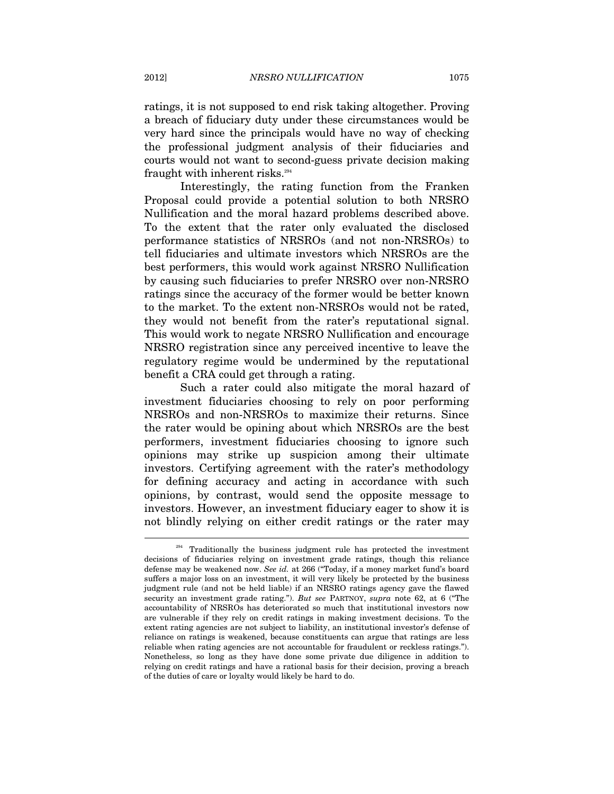ratings, it is not supposed to end risk taking altogether. Proving a breach of fiduciary duty under these circumstances would be very hard since the principals would have no way of checking the professional judgment analysis of their fiduciaries and courts would not want to second-guess private decision making fraught with inherent risks.<sup>294</sup>

Interestingly, the rating function from the Franken Proposal could provide a potential solution to both NRSRO Nullification and the moral hazard problems described above. To the extent that the rater only evaluated the disclosed performance statistics of NRSROs (and not non-NRSROs) to tell fiduciaries and ultimate investors which NRSROs are the best performers, this would work against NRSRO Nullification by causing such fiduciaries to prefer NRSRO over non-NRSRO ratings since the accuracy of the former would be better known to the market. To the extent non-NRSROs would not be rated, they would not benefit from the rater's reputational signal. This would work to negate NRSRO Nullification and encourage NRSRO registration since any perceived incentive to leave the regulatory regime would be undermined by the reputational benefit a CRA could get through a rating.

Such a rater could also mitigate the moral hazard of investment fiduciaries choosing to rely on poor performing NRSROs and non-NRSROs to maximize their returns. Since the rater would be opining about which NRSROs are the best performers, investment fiduciaries choosing to ignore such opinions may strike up suspicion among their ultimate investors. Certifying agreement with the rater's methodology for defining accuracy and acting in accordance with such opinions, by contrast, would send the opposite message to investors. However, an investment fiduciary eager to show it is not blindly relying on either credit ratings or the rater may  $\overline{a}$ 

 $294$  Traditionally the business judgment rule has protected the investment decisions of fiduciaries relying on investment grade ratings, though this reliance defense may be weakened now. *See id.* at 266 ("Today, if a money market fund's board suffers a major loss on an investment, it will very likely be protected by the business judgment rule (and not be held liable) if an NRSRO ratings agency gave the flawed security an investment grade rating."). *But see* PARTNOY, *supra* note 62, at 6 ("The accountability of NRSROs has deteriorated so much that institutional investors now are vulnerable if they rely on credit ratings in making investment decisions. To the extent rating agencies are not subject to liability, an institutional investor's defense of reliance on ratings is weakened, because constituents can argue that ratings are less reliable when rating agencies are not accountable for fraudulent or reckless ratings."). Nonetheless, so long as they have done some private due diligence in addition to relying on credit ratings and have a rational basis for their decision, proving a breach of the duties of care or loyalty would likely be hard to do.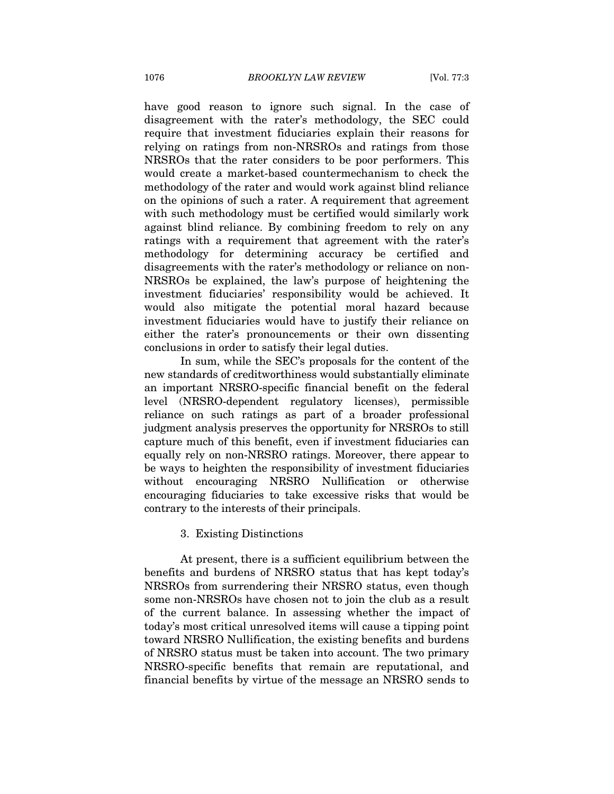have good reason to ignore such signal. In the case of disagreement with the rater's methodology, the SEC could require that investment fiduciaries explain their reasons for relying on ratings from non-NRSROs and ratings from those NRSROs that the rater considers to be poor performers. This would create a market-based countermechanism to check the methodology of the rater and would work against blind reliance on the opinions of such a rater. A requirement that agreement with such methodology must be certified would similarly work against blind reliance. By combining freedom to rely on any ratings with a requirement that agreement with the rater's methodology for determining accuracy be certified and disagreements with the rater's methodology or reliance on non-NRSROs be explained, the law's purpose of heightening the investment fiduciaries' responsibility would be achieved. It would also mitigate the potential moral hazard because investment fiduciaries would have to justify their reliance on either the rater's pronouncements or their own dissenting conclusions in order to satisfy their legal duties.

In sum, while the SEC's proposals for the content of the new standards of creditworthiness would substantially eliminate an important NRSRO-specific financial benefit on the federal level (NRSRO-dependent regulatory licenses), permissible reliance on such ratings as part of a broader professional judgment analysis preserves the opportunity for NRSROs to still capture much of this benefit, even if investment fiduciaries can equally rely on non-NRSRO ratings. Moreover, there appear to be ways to heighten the responsibility of investment fiduciaries without encouraging NRSRO Nullification or otherwise encouraging fiduciaries to take excessive risks that would be contrary to the interests of their principals.

# 3. Existing Distinctions

At present, there is a sufficient equilibrium between the benefits and burdens of NRSRO status that has kept today's NRSROs from surrendering their NRSRO status, even though some non-NRSROs have chosen not to join the club as a result of the current balance. In assessing whether the impact of today's most critical unresolved items will cause a tipping point toward NRSRO Nullification, the existing benefits and burdens of NRSRO status must be taken into account. The two primary NRSRO-specific benefits that remain are reputational, and financial benefits by virtue of the message an NRSRO sends to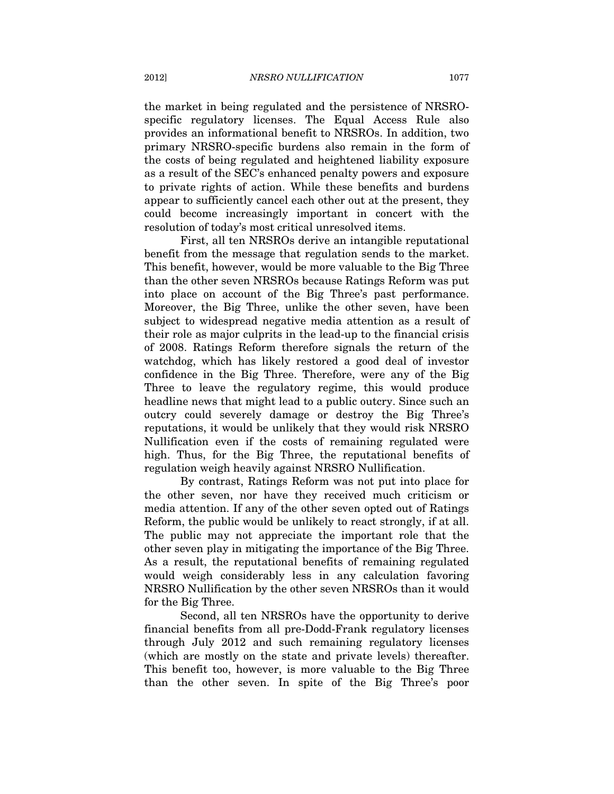the market in being regulated and the persistence of NRSROspecific regulatory licenses. The Equal Access Rule also provides an informational benefit to NRSROs. In addition, two primary NRSRO-specific burdens also remain in the form of the costs of being regulated and heightened liability exposure as a result of the SEC's enhanced penalty powers and exposure to private rights of action. While these benefits and burdens appear to sufficiently cancel each other out at the present, they could become increasingly important in concert with the resolution of today's most critical unresolved items.

First, all ten NRSROs derive an intangible reputational benefit from the message that regulation sends to the market. This benefit, however, would be more valuable to the Big Three than the other seven NRSROs because Ratings Reform was put into place on account of the Big Three's past performance. Moreover, the Big Three, unlike the other seven, have been subject to widespread negative media attention as a result of their role as major culprits in the lead-up to the financial crisis of 2008. Ratings Reform therefore signals the return of the watchdog, which has likely restored a good deal of investor confidence in the Big Three. Therefore, were any of the Big Three to leave the regulatory regime, this would produce headline news that might lead to a public outcry. Since such an outcry could severely damage or destroy the Big Three's reputations, it would be unlikely that they would risk NRSRO Nullification even if the costs of remaining regulated were high. Thus, for the Big Three, the reputational benefits of regulation weigh heavily against NRSRO Nullification.

By contrast, Ratings Reform was not put into place for the other seven, nor have they received much criticism or media attention. If any of the other seven opted out of Ratings Reform, the public would be unlikely to react strongly, if at all. The public may not appreciate the important role that the other seven play in mitigating the importance of the Big Three. As a result, the reputational benefits of remaining regulated would weigh considerably less in any calculation favoring NRSRO Nullification by the other seven NRSROs than it would for the Big Three.

Second, all ten NRSROs have the opportunity to derive financial benefits from all pre-Dodd-Frank regulatory licenses through July 2012 and such remaining regulatory licenses (which are mostly on the state and private levels) thereafter. This benefit too, however, is more valuable to the Big Three than the other seven. In spite of the Big Three's poor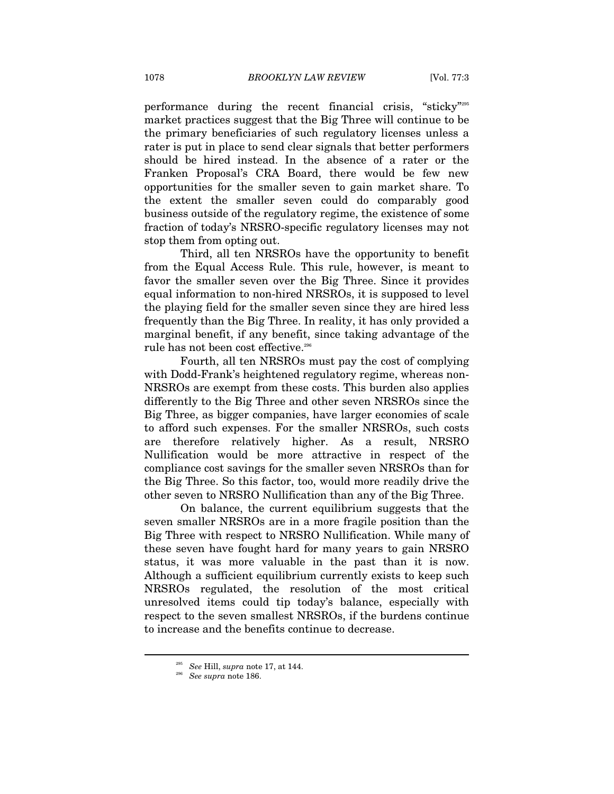performance during the recent financial crisis, "sticky"295 market practices suggest that the Big Three will continue to be the primary beneficiaries of such regulatory licenses unless a rater is put in place to send clear signals that better performers should be hired instead. In the absence of a rater or the Franken Proposal's CRA Board, there would be few new opportunities for the smaller seven to gain market share. To the extent the smaller seven could do comparably good business outside of the regulatory regime, the existence of some fraction of today's NRSRO-specific regulatory licenses may not stop them from opting out.

Third, all ten NRSROs have the opportunity to benefit from the Equal Access Rule. This rule, however, is meant to favor the smaller seven over the Big Three. Since it provides equal information to non-hired NRSROs, it is supposed to level the playing field for the smaller seven since they are hired less frequently than the Big Three. In reality, it has only provided a marginal benefit, if any benefit, since taking advantage of the rule has not been cost effective.<sup>296</sup>

Fourth, all ten NRSROs must pay the cost of complying with Dodd-Frank's heightened regulatory regime, whereas non-NRSROs are exempt from these costs. This burden also applies differently to the Big Three and other seven NRSROs since the Big Three, as bigger companies, have larger economies of scale to afford such expenses. For the smaller NRSROs, such costs are therefore relatively higher. As a result, NRSRO Nullification would be more attractive in respect of the compliance cost savings for the smaller seven NRSROs than for the Big Three. So this factor, too, would more readily drive the other seven to NRSRO Nullification than any of the Big Three.

On balance, the current equilibrium suggests that the seven smaller NRSROs are in a more fragile position than the Big Three with respect to NRSRO Nullification. While many of these seven have fought hard for many years to gain NRSRO status, it was more valuable in the past than it is now. Although a sufficient equilibrium currently exists to keep such NRSROs regulated, the resolution of the most critical unresolved items could tip today's balance, especially with respect to the seven smallest NRSROs, if the burdens continue to increase and the benefits continue to decrease.

<sup>295</sup> *See* Hill, *supra* note 17, at 144. 296 *See supra* note 186.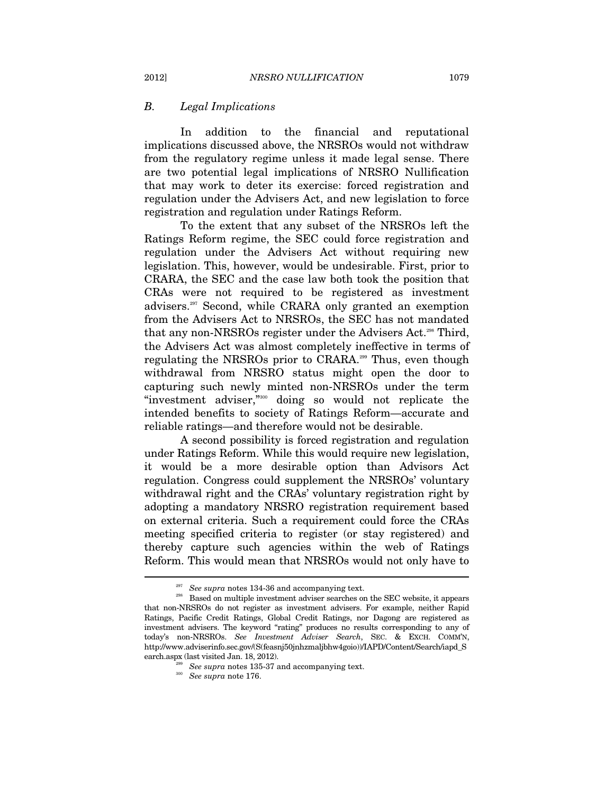## *B. Legal Implications*

In addition to the financial and reputational implications discussed above, the NRSROs would not withdraw from the regulatory regime unless it made legal sense. There are two potential legal implications of NRSRO Nullification that may work to deter its exercise: forced registration and regulation under the Advisers Act, and new legislation to force registration and regulation under Ratings Reform.

To the extent that any subset of the NRSROs left the Ratings Reform regime, the SEC could force registration and regulation under the Advisers Act without requiring new legislation. This, however, would be undesirable. First, prior to CRARA, the SEC and the case law both took the position that CRAs were not required to be registered as investment advisers.297 Second, while CRARA only granted an exemption from the Advisers Act to NRSROs, the SEC has not mandated that any non-NRSROs register under the Advisers Act.<sup>298</sup> Third, the Advisers Act was almost completely ineffective in terms of regulating the NRSROs prior to CRARA.299 Thus, even though withdrawal from NRSRO status might open the door to capturing such newly minted non-NRSROs under the term "investment adviser,"300 doing so would not replicate the intended benefits to society of Ratings Reform—accurate and reliable ratings—and therefore would not be desirable.

A second possibility is forced registration and regulation under Ratings Reform. While this would require new legislation, it would be a more desirable option than Advisors Act regulation. Congress could supplement the NRSROs' voluntary withdrawal right and the CRAs' voluntary registration right by adopting a mandatory NRSRO registration requirement based on external criteria. Such a requirement could force the CRAs meeting specified criteria to register (or stay registered) and thereby capture such agencies within the web of Ratings Reform. This would mean that NRSROs would not only have to

<sup>&</sup>lt;sup>297</sup> See supra notes 134-36 and accompanying text.<br><sup>298</sup> Based on multiple investment adviser searches on the SEC website, it appears that non-NRSROs do not register as investment advisers. For example, neither Rapid Ratings, Pacific Credit Ratings, Global Credit Ratings, nor Dagong are registered as investment advisers. The keyword "rating" produces no results corresponding to any of today's non-NRSROs. *See Investment Adviser Search*, SEC. & EXCH. COMM'N, http://www.adviserinfo.sec.gov/(S(feasnj50jnhzmaljbhw4goio))/IAPD/Content/Search/iapd\_S

<sup>&</sup>lt;sup>299</sup> See supra notes 135-37 and accompanying text.  $\frac{300}{20}$  See supra note 176.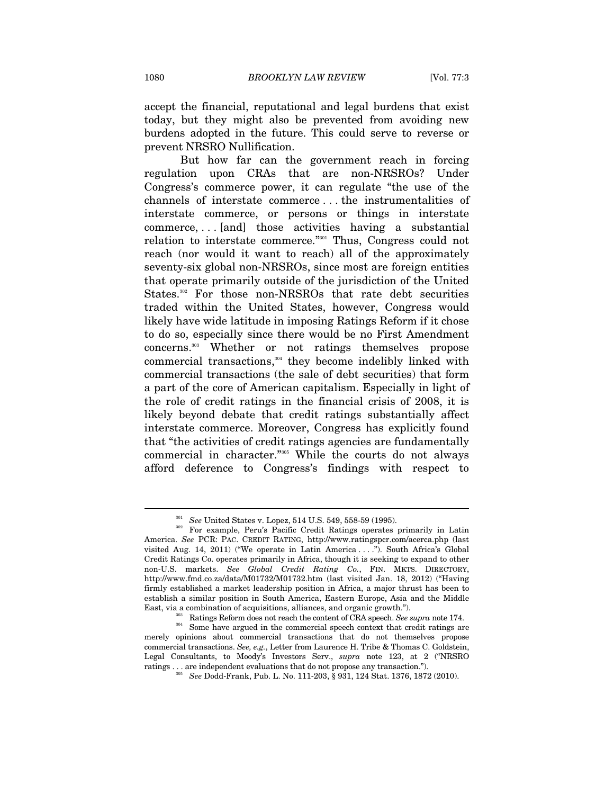accept the financial, reputational and legal burdens that exist today, but they might also be prevented from avoiding new burdens adopted in the future. This could serve to reverse or prevent NRSRO Nullification.

But how far can the government reach in forcing regulation upon CRAs that are non-NRSROs? Under Congress's commerce power, it can regulate "the use of the channels of interstate commerce . . . the instrumentalities of interstate commerce, or persons or things in interstate commerce, . . . [and] those activities having a substantial relation to interstate commerce."301 Thus, Congress could not reach (nor would it want to reach) all of the approximately seventy-six global non-NRSROs, since most are foreign entities that operate primarily outside of the jurisdiction of the United States.302 For those non-NRSROs that rate debt securities traded within the United States, however, Congress would likely have wide latitude in imposing Ratings Reform if it chose to do so, especially since there would be no First Amendment concerns.303 Whether or not ratings themselves propose commercial transactions,<sup>304</sup> they become indelibly linked with commercial transactions (the sale of debt securities) that form a part of the core of American capitalism. Especially in light of the role of credit ratings in the financial crisis of 2008, it is likely beyond debate that credit ratings substantially affect interstate commerce. Moreover, Congress has explicitly found that "the activities of credit ratings agencies are fundamentally commercial in character."305 While the courts do not always afford deference to Congress's findings with respect to

<sup>&</sup>lt;sup>301</sup> See United States v. Lopez, 514 U.S. 549, 558-59 (1995).<br><sup>302</sup> For example, Peru's Pacific Credit Ratings operates primarily in Latin America. *See* PCR: PAC. CREDIT RATING, http://www.ratingspcr.com/acerca.php (last visited Aug. 14, 2011) ("We operate in Latin America . . . ."). South Africa's Global Credit Ratings Co. operates primarily in Africa, though it is seeking to expand to other non-U.S. markets. *See Global Credit Rating Co.*, FIN. MKTS. DIRECTORY, http://www.fmd.co.za/data/M01732/M01732.htm (last visited Jan. 18, 2012) ("Having firmly established a market leadership position in Africa, a major thrust has been to establish a similar position in South America, Eastern Europe, Asia and the Middle

East, via a combination of acquisitions, alliances, and organic growth.").<br>Ratings Reform does not reach the content of CRA speech. See supra note 174.<br>Some have argued in the commercial speech context that credit ratings merely opinions about commercial transactions that do not themselves propose commercial transactions. *See, e.g.*, Letter from Laurence H. Tribe & Thomas C. Goldstein, Legal Consultants, to Moody's Investors Serv., *supra* note 123, at 2 ("NRSRO ratings . . . are independent evaluations that do not propose any transaction."). 305 *See* Dodd-Frank, Pub. L. No. 111-203, § 931, 124 Stat. 1376, 1872 (2010).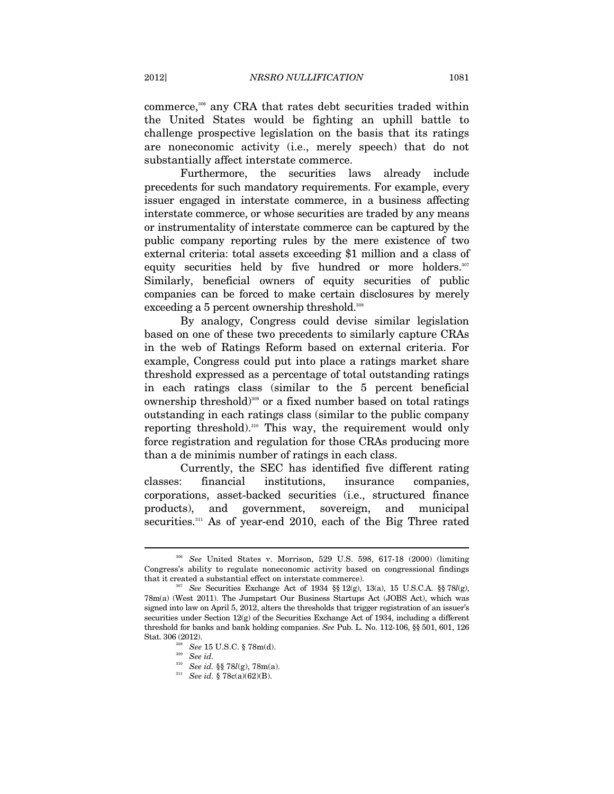commerce,<sup>306</sup> any CRA that rates debt securities traded within the United States would be fighting an uphill battle to challenge prospective legislation on the basis that its ratings are noneconomic activity (i.e., merely speech) that do not substantially affect interstate commerce.

Furthermore, the securities laws already include precedents for such mandatory requirements. For example, every issuer engaged in interstate commerce, in a business affecting interstate commerce, or whose securities are traded by any means or instrumentality of interstate commerce can be captured by the public company reporting rules by the mere existence of two external criteria: total assets exceeding \$1 million and a class of equity securities held by five hundred or more holders.<sup>307</sup> Similarly, beneficial owners of equity securities of public companies can be forced to make certain disclosures by merely exceeding a 5 percent ownership threshold.<sup>308</sup>

By analogy, Congress could devise similar legislation based on one of these two precedents to similarly capture CRAs in the web of Ratings Reform based on external criteria. For example, Congress could put into place a ratings market share threshold expressed as a percentage of total outstanding ratings in each ratings class (similar to the 5 percent beneficial ownership threshold)<sup>309</sup> or a fixed number based on total ratings outstanding in each ratings class (similar to the public company reporting threshold).310 This way, the requirement would only force registration and regulation for those CRAs producing more than a de minimis number of ratings in each class.

Currently, the SEC has identified five different rating classes: financial institutions, insurance companies, corporations, asset-backed securities (i.e., structured finance products), and government, sovereign, and municipal securities.<sup>311</sup> As of year-end 2010, each of the Big Three rated

<sup>306</sup> *See* United States v. Morrison, 529 U.S. 598, 617-18 (2000) (limiting Congress's ability to regulate noneconomic activity based on congressional findings that it created a substantial effect on interstate commerce).<br><sup>307</sup> See Securities Exchange Act of 1934 §§ 12(g), 13(a), 15 U.S.C.A. §§ 78*l*(g),

<sup>78</sup>m(a) (West 2011). The Jumpstart Our Business Startups Act (JOBS Act), which was signed into law on April 5, 2012, alters the thresholds that trigger registration of an issuer's securities under Section 12(g) of the Securities Exchange Act of 1934, including a different threshold for banks and bank holding companies. *See* Pub. L. No. 112-106, §§ 501, 601, 126 Stat. 306 (2012). 308 *See* 15 U.S.C. § 78m(d). 309 *See id.*

<sup>310</sup> *See id.* §§ 78*l*(g), 78m(a). 311 *See id.* § 78c(a)(62)(B).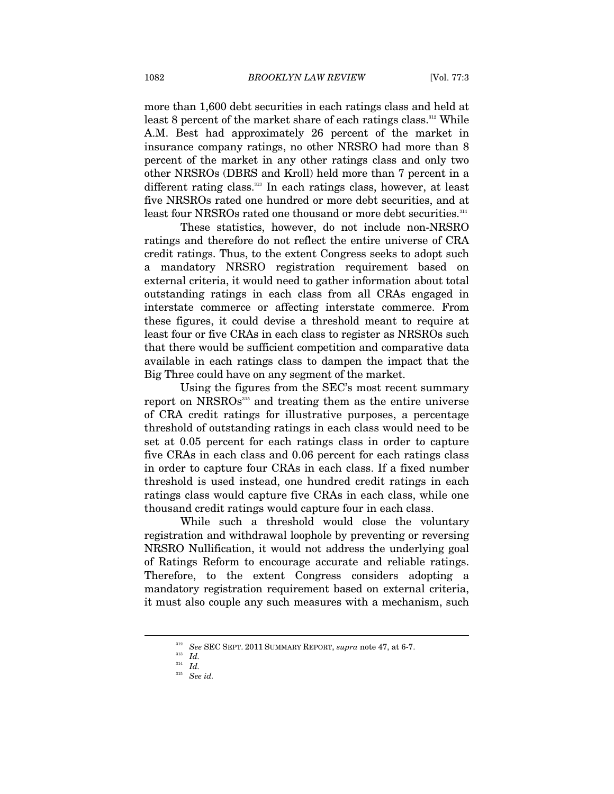more than 1,600 debt securities in each ratings class and held at least 8 percent of the market share of each ratings class.<sup>312</sup> While A.M. Best had approximately 26 percent of the market in insurance company ratings, no other NRSRO had more than 8 percent of the market in any other ratings class and only two other NRSROs (DBRS and Kroll) held more than 7 percent in a different rating class.<sup>313</sup> In each ratings class, however, at least five NRSROs rated one hundred or more debt securities, and at least four NRSROs rated one thousand or more debt securities.314

These statistics, however, do not include non-NRSRO ratings and therefore do not reflect the entire universe of CRA credit ratings. Thus, to the extent Congress seeks to adopt such a mandatory NRSRO registration requirement based on external criteria, it would need to gather information about total outstanding ratings in each class from all CRAs engaged in interstate commerce or affecting interstate commerce. From these figures, it could devise a threshold meant to require at least four or five CRAs in each class to register as NRSROs such that there would be sufficient competition and comparative data available in each ratings class to dampen the impact that the Big Three could have on any segment of the market.

Using the figures from the SEC's most recent summary report on NRSROs<sup>315</sup> and treating them as the entire universe of CRA credit ratings for illustrative purposes, a percentage threshold of outstanding ratings in each class would need to be set at 0.05 percent for each ratings class in order to capture five CRAs in each class and 0.06 percent for each ratings class in order to capture four CRAs in each class. If a fixed number threshold is used instead, one hundred credit ratings in each ratings class would capture five CRAs in each class, while one thousand credit ratings would capture four in each class.

While such a threshold would close the voluntary registration and withdrawal loophole by preventing or reversing NRSRO Nullification, it would not address the underlying goal of Ratings Reform to encourage accurate and reliable ratings. Therefore, to the extent Congress considers adopting a mandatory registration requirement based on external criteria, it must also couple any such measures with a mechanism, such

 $^{312}_{312}$   $^{52}_{\phantom{1}\phantom{1}\phantom{1}\phantom{1}2}$  See SEC SEPT. 2011 SUMMARY REPORT,  $supra$  note 47, at 6-7.

<sup>314</sup> *Id.*

<sup>315</sup> *See id.*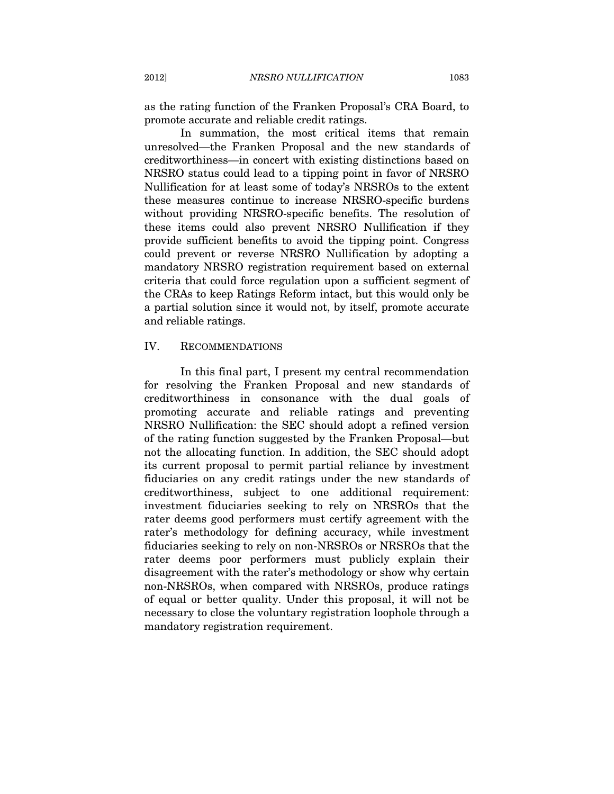as the rating function of the Franken Proposal's CRA Board, to promote accurate and reliable credit ratings.

In summation, the most critical items that remain unresolved—the Franken Proposal and the new standards of creditworthiness—in concert with existing distinctions based on NRSRO status could lead to a tipping point in favor of NRSRO Nullification for at least some of today's NRSROs to the extent these measures continue to increase NRSRO-specific burdens without providing NRSRO-specific benefits. The resolution of these items could also prevent NRSRO Nullification if they provide sufficient benefits to avoid the tipping point. Congress could prevent or reverse NRSRO Nullification by adopting a mandatory NRSRO registration requirement based on external criteria that could force regulation upon a sufficient segment of the CRAs to keep Ratings Reform intact, but this would only be a partial solution since it would not, by itself, promote accurate and reliable ratings.

# IV. RECOMMENDATIONS

In this final part, I present my central recommendation for resolving the Franken Proposal and new standards of creditworthiness in consonance with the dual goals of promoting accurate and reliable ratings and preventing NRSRO Nullification: the SEC should adopt a refined version of the rating function suggested by the Franken Proposal—but not the allocating function. In addition, the SEC should adopt its current proposal to permit partial reliance by investment fiduciaries on any credit ratings under the new standards of creditworthiness, subject to one additional requirement: investment fiduciaries seeking to rely on NRSROs that the rater deems good performers must certify agreement with the rater's methodology for defining accuracy, while investment fiduciaries seeking to rely on non-NRSROs or NRSROs that the rater deems poor performers must publicly explain their disagreement with the rater's methodology or show why certain non-NRSROs, when compared with NRSROs, produce ratings of equal or better quality. Under this proposal, it will not be necessary to close the voluntary registration loophole through a mandatory registration requirement.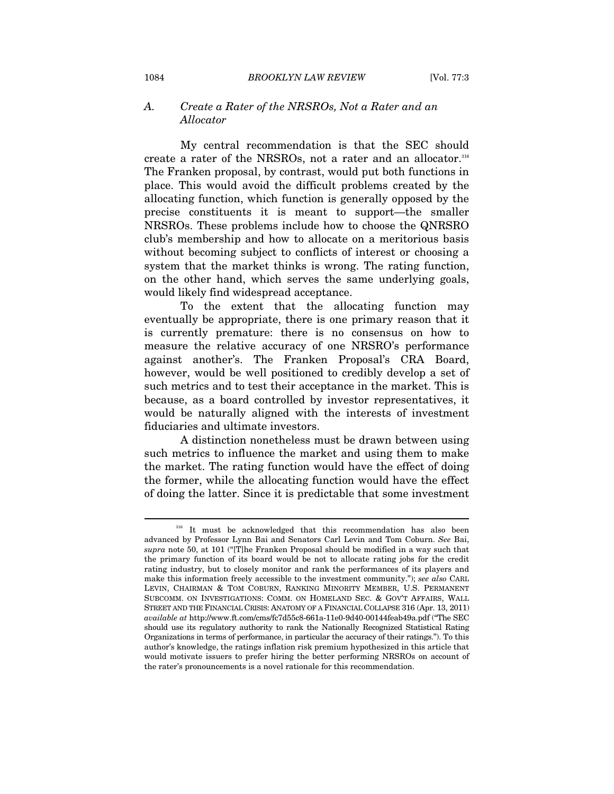# *A. Create a Rater of the NRSROs, Not a Rater and an Allocator*

My central recommendation is that the SEC should create a rater of the NRSROs, not a rater and an allocator.<sup>316</sup> The Franken proposal, by contrast, would put both functions in place. This would avoid the difficult problems created by the allocating function, which function is generally opposed by the precise constituents it is meant to support—the smaller NRSROs. These problems include how to choose the QNRSRO club's membership and how to allocate on a meritorious basis without becoming subject to conflicts of interest or choosing a system that the market thinks is wrong. The rating function, on the other hand, which serves the same underlying goals, would likely find widespread acceptance.

To the extent that the allocating function may eventually be appropriate, there is one primary reason that it is currently premature: there is no consensus on how to measure the relative accuracy of one NRSRO's performance against another's. The Franken Proposal's CRA Board, however, would be well positioned to credibly develop a set of such metrics and to test their acceptance in the market. This is because, as a board controlled by investor representatives, it would be naturally aligned with the interests of investment fiduciaries and ultimate investors.

A distinction nonetheless must be drawn between using such metrics to influence the market and using them to make the market. The rating function would have the effect of doing the former, while the allocating function would have the effect of doing the latter. Since it is predictable that some investment

 $316$  It must be acknowledged that this recommendation has also been advanced by Professor Lynn Bai and Senators Carl Levin and Tom Coburn. *See* Bai, *supra* note 50, at 101 ("[T]he Franken Proposal should be modified in a way such that the primary function of its board would be not to allocate rating jobs for the credit rating industry, but to closely monitor and rank the performances of its players and make this information freely accessible to the investment community."); *see also* CARL LEVIN, CHAIRMAN & TOM COBURN, RANKING MINORITY MEMBER, U.S. PERMANENT SUBCOMM. ON INVESTIGATIONS: COMM. ON HOMELAND SEC. & GOV'T AFFAIRS, WALL STREET AND THE FINANCIAL CRISIS: ANATOMY OF A FINANCIAL COLLAPSE 316 (Apr. 13, 2011) *available at* http://www.ft.com/cms/fc7d55c8-661a-11e0-9d40-00144feab49a.pdf ("The SEC should use its regulatory authority to rank the Nationally Recognized Statistical Rating Organizations in terms of performance, in particular the accuracy of their ratings."). To this author's knowledge, the ratings inflation risk premium hypothesized in this article that would motivate issuers to prefer hiring the better performing NRSROs on account of the rater's pronouncements is a novel rationale for this recommendation.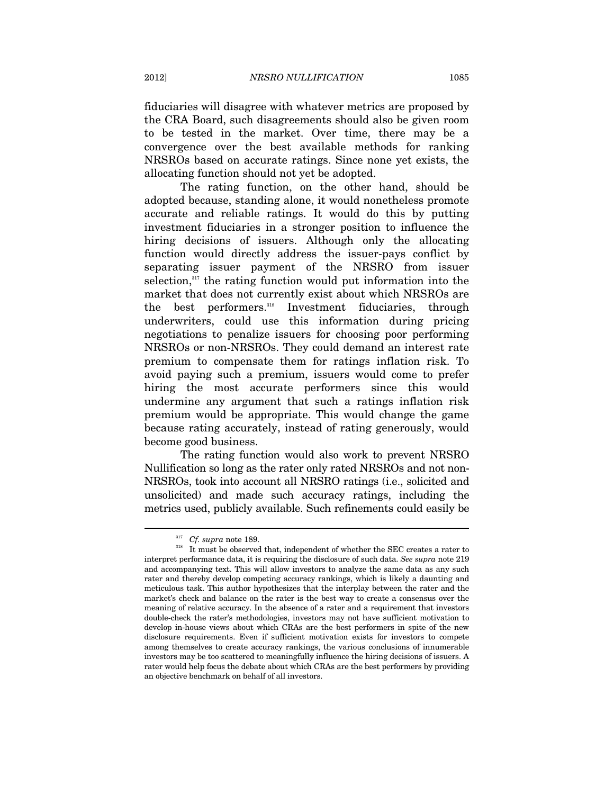fiduciaries will disagree with whatever metrics are proposed by the CRA Board, such disagreements should also be given room to be tested in the market. Over time, there may be a convergence over the best available methods for ranking NRSROs based on accurate ratings. Since none yet exists, the allocating function should not yet be adopted.

The rating function, on the other hand, should be adopted because, standing alone, it would nonetheless promote accurate and reliable ratings. It would do this by putting investment fiduciaries in a stronger position to influence the hiring decisions of issuers. Although only the allocating function would directly address the issuer-pays conflict by separating issuer payment of the NRSRO from issuer selection, $317$  the rating function would put information into the market that does not currently exist about which NRSROs are the best performers.318 Investment fiduciaries, through underwriters, could use this information during pricing negotiations to penalize issuers for choosing poor performing NRSROs or non-NRSROs. They could demand an interest rate premium to compensate them for ratings inflation risk. To avoid paying such a premium, issuers would come to prefer hiring the most accurate performers since this would undermine any argument that such a ratings inflation risk premium would be appropriate. This would change the game because rating accurately, instead of rating generously, would become good business.

The rating function would also work to prevent NRSRO Nullification so long as the rater only rated NRSROs and not non-NRSROs, took into account all NRSRO ratings (i.e., solicited and unsolicited) and made such accuracy ratings, including the metrics used, publicly available. Such refinements could easily be

<sup>&</sup>lt;sup>317</sup> *Cf. supra* note 189.<br><sup>318</sup> It must be observed that, independent of whether the SEC creates a rater to interpret performance data, it is requiring the disclosure of such data. *See supra* note 219 and accompanying text. This will allow investors to analyze the same data as any such rater and thereby develop competing accuracy rankings, which is likely a daunting and meticulous task. This author hypothesizes that the interplay between the rater and the market's check and balance on the rater is the best way to create a consensus over the meaning of relative accuracy. In the absence of a rater and a requirement that investors double-check the rater's methodologies, investors may not have sufficient motivation to develop in-house views about which CRAs are the best performers in spite of the new disclosure requirements. Even if sufficient motivation exists for investors to compete among themselves to create accuracy rankings, the various conclusions of innumerable investors may be too scattered to meaningfully influence the hiring decisions of issuers. A rater would help focus the debate about which CRAs are the best performers by providing an objective benchmark on behalf of all investors.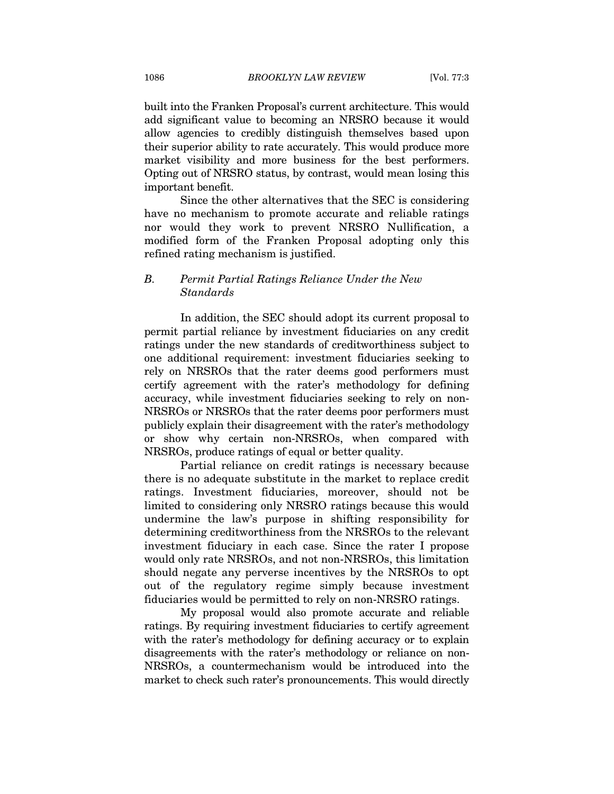built into the Franken Proposal's current architecture. This would add significant value to becoming an NRSRO because it would allow agencies to credibly distinguish themselves based upon their superior ability to rate accurately. This would produce more market visibility and more business for the best performers. Opting out of NRSRO status, by contrast, would mean losing this important benefit.

Since the other alternatives that the SEC is considering have no mechanism to promote accurate and reliable ratings nor would they work to prevent NRSRO Nullification, a modified form of the Franken Proposal adopting only this refined rating mechanism is justified.

## *B. Permit Partial Ratings Reliance Under the New Standards*

In addition, the SEC should adopt its current proposal to permit partial reliance by investment fiduciaries on any credit ratings under the new standards of creditworthiness subject to one additional requirement: investment fiduciaries seeking to rely on NRSROs that the rater deems good performers must certify agreement with the rater's methodology for defining accuracy, while investment fiduciaries seeking to rely on non-NRSROs or NRSROs that the rater deems poor performers must publicly explain their disagreement with the rater's methodology or show why certain non-NRSROs, when compared with NRSROs, produce ratings of equal or better quality.

Partial reliance on credit ratings is necessary because there is no adequate substitute in the market to replace credit ratings. Investment fiduciaries, moreover, should not be limited to considering only NRSRO ratings because this would undermine the law's purpose in shifting responsibility for determining creditworthiness from the NRSROs to the relevant investment fiduciary in each case. Since the rater I propose would only rate NRSROs, and not non-NRSROs, this limitation should negate any perverse incentives by the NRSROs to opt out of the regulatory regime simply because investment fiduciaries would be permitted to rely on non-NRSRO ratings.

My proposal would also promote accurate and reliable ratings. By requiring investment fiduciaries to certify agreement with the rater's methodology for defining accuracy or to explain disagreements with the rater's methodology or reliance on non-NRSROs, a countermechanism would be introduced into the market to check such rater's pronouncements. This would directly